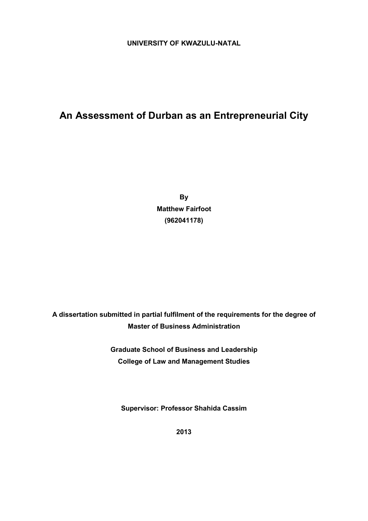# **UNIVERSITY OF KWAZULU-NATAL**

# **An Assessment of Durban as an Entrepreneurial City**

**By Matthew Fairfoot (962041178)** 

**A dissertation submitted in partial fulfilment of the requirements for the degree of Master of Business Administration** 

> **Graduate School of Business and Leadership College of Law and Management Studies**

**Supervisor: Professor Shahida Cassim**

**2013**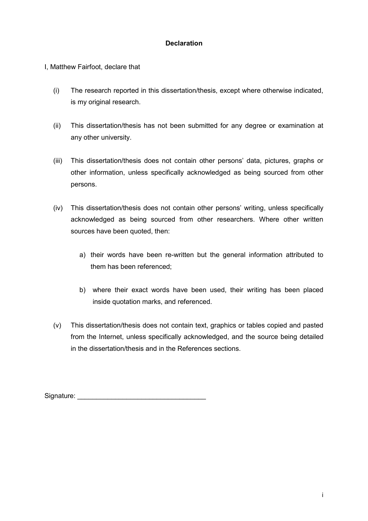# **Declaration**

I, Matthew Fairfoot, declare that

- (i) The research reported in this dissertation/thesis, except where otherwise indicated, is my original research.
- (ii) This dissertation/thesis has not been submitted for any degree or examination at any other university.
- (iii) This dissertation/thesis does not contain other persons' data, pictures, graphs or other information, unless specifically acknowledged as being sourced from other persons.
- (iv) This dissertation/thesis does not contain other persons' writing, unless specifically acknowledged as being sourced from other researchers. Where other written sources have been quoted, then:
	- a) their words have been re-written but the general information attributed to them has been referenced;
	- b) where their exact words have been used, their writing has been placed inside quotation marks, and referenced.
- (v) This dissertation/thesis does not contain text, graphics or tables copied and pasted from the Internet, unless specifically acknowledged, and the source being detailed in the dissertation/thesis and in the References sections.

Signature: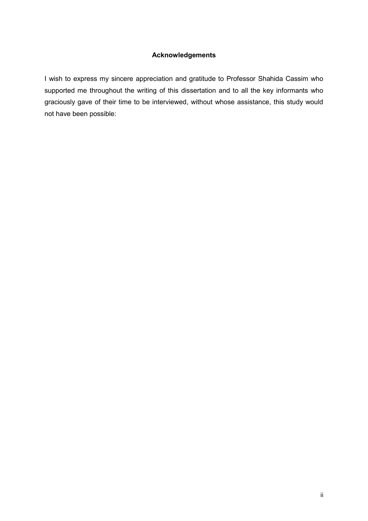#### **Acknowledgements**

I wish to express my sincere appreciation and gratitude to Professor Shahida Cassim who supported me throughout the writing of this dissertation and to all the key informants who graciously gave of their time to be interviewed, without whose assistance, this study would not have been possible: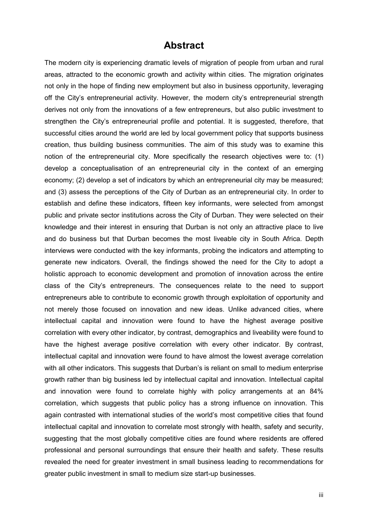# **Abstract**

The modern city is experiencing dramatic levels of migration of people from urban and rural areas, attracted to the economic growth and activity within cities. The migration originates not only in the hope of finding new employment but also in business opportunity, leveraging off the City's entrepreneurial activity. However, the modern city's entrepreneurial strength derives not only from the innovations of a few entrepreneurs, but also public investment to strengthen the City's entrepreneurial profile and potential. It is suggested, therefore, that successful cities around the world are led by local government policy that supports business creation, thus building business communities. The aim of this study was to examine this notion of the entrepreneurial city. More specifically the research objectives were to: (1) develop a conceptualisation of an entrepreneurial city in the context of an emerging economy; (2) develop a set of indicators by which an entrepreneurial city may be measured; and (3) assess the perceptions of the City of Durban as an entrepreneurial city. In order to establish and define these indicators, fifteen key informants, were selected from amongst public and private sector institutions across the City of Durban. They were selected on their knowledge and their interest in ensuring that Durban is not only an attractive place to live and do business but that Durban becomes the most liveable city in South Africa. Depth interviews were conducted with the key informants, probing the indicators and attempting to generate new indicators. Overall, the findings showed the need for the City to adopt a holistic approach to economic development and promotion of innovation across the entire class of the City's entrepreneurs. The consequences relate to the need to support entrepreneurs able to contribute to economic growth through exploitation of opportunity and not merely those focused on innovation and new ideas. Unlike advanced cities, where intellectual capital and innovation were found to have the highest average positive correlation with every other indicator, by contrast, demographics and liveability were found to have the highest average positive correlation with every other indicator. By contrast, intellectual capital and innovation were found to have almost the lowest average correlation with all other indicators. This suggests that Durban's is reliant on small to medium enterprise growth rather than big business led by intellectual capital and innovation. Intellectual capital and innovation were found to correlate highly with policy arrangements at an 84% correlation, which suggests that public policy has a strong influence on innovation. This again contrasted with international studies of the world's most competitive cities that found intellectual capital and innovation to correlate most strongly with health, safety and security, suggesting that the most globally competitive cities are found where residents are offered professional and personal surroundings that ensure their health and safety. These results revealed the need for greater investment in small business leading to recommendations for greater public investment in small to medium size start-up businesses.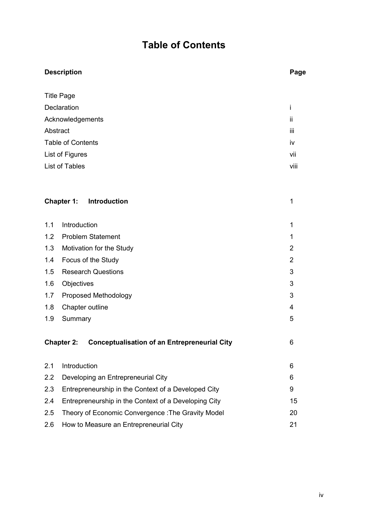# **Table of Contents**

|                          | <b>Description</b>                                                       |                |
|--------------------------|--------------------------------------------------------------------------|----------------|
|                          | <b>Title Page</b>                                                        |                |
|                          | i                                                                        |                |
| <b>Declaration</b>       |                                                                          |                |
|                          | Acknowledgements                                                         | ii             |
|                          | Abstract                                                                 | Ϊİ             |
| <b>Table of Contents</b> |                                                                          | iv             |
|                          | List of Figures                                                          | vii            |
|                          | List of Tables                                                           | viii           |
|                          |                                                                          |                |
|                          | Chapter 1:<br>Introduction                                               | 1              |
| 1.1                      | Introduction                                                             | 1              |
| 1.2                      | <b>Problem Statement</b>                                                 | $\mathbf 1$    |
| 1.3                      | Motivation for the Study                                                 | $\overline{2}$ |
| 1.4                      | Focus of the Study                                                       | $\overline{2}$ |
| 1.5                      | <b>Research Questions</b>                                                | 3              |
| 1.6                      | Objectives                                                               | 3              |
| 1.7                      | Proposed Methodology                                                     | 3              |
| 1.8                      | Chapter outline                                                          | 4              |
| 1.9                      | Summary                                                                  | 5              |
|                          | <b>Chapter 2:</b><br><b>Conceptualisation of an Entrepreneurial City</b> | 6              |
| 2.1                      | Introduction                                                             | 6              |
| 2.2                      | Developing an Entrepreneurial City                                       | 6              |
| 2.3                      | Entrepreneurship in the Context of a Developed City                      | 9              |
| 2.4                      | Entrepreneurship in the Context of a Developing City                     | 15             |
| 2.5                      | Theory of Economic Convergence: The Gravity Model                        | 20             |
| 2.6                      | How to Measure an Entrepreneurial City                                   | 21             |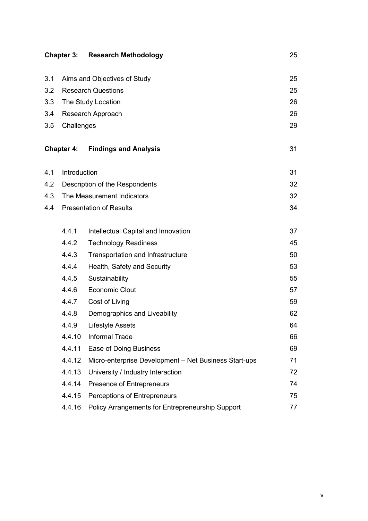|     |                   | <b>Chapter 3: Research Methodology</b>                | 25 |
|-----|-------------------|-------------------------------------------------------|----|
|     |                   |                                                       |    |
| 3.1 |                   | Aims and Objectives of Study                          | 25 |
| 3.2 |                   | <b>Research Questions</b>                             | 25 |
| 3.3 |                   | The Study Location                                    | 26 |
| 3.4 |                   | Research Approach                                     | 26 |
| 3.5 | Challenges        |                                                       | 29 |
|     | <b>Chapter 4:</b> | <b>Findings and Analysis</b>                          | 31 |
| 4.1 | Introduction      |                                                       | 31 |
| 4.2 |                   | Description of the Respondents                        | 32 |
| 4.3 |                   | The Measurement Indicators                            | 32 |
| 4.4 |                   | <b>Presentation of Results</b>                        | 34 |
|     |                   |                                                       |    |
|     | 4.4.1             | Intellectual Capital and Innovation                   | 37 |
|     | 4.4.2             | <b>Technology Readiness</b>                           | 45 |
|     | 4.4.3             | Transportation and Infrastructure                     | 50 |
|     | 4.4.4             | Health, Safety and Security                           | 53 |
|     | 4.4.5             | Sustainability                                        | 55 |
|     | 4.4.6             | <b>Economic Clout</b>                                 | 57 |
|     | 4.4.7             | Cost of Living                                        | 59 |
|     | 4.4.8             | Demographics and Liveability                          | 62 |
|     | 4.4.9             | <b>Lifestyle Assets</b>                               | 64 |
|     | 4.4.10            | <b>Informal Trade</b>                                 | 66 |
|     | 4.4.11            | Ease of Doing Business                                | 69 |
|     | 4.4.12            | Micro-enterprise Development - Net Business Start-ups | 71 |
|     | 4.4.13            | University / Industry Interaction                     | 72 |
|     | 4.4.14            | Presence of Entrepreneurs                             | 74 |
|     | 4.4.15            | Perceptions of Entrepreneurs                          | 75 |
|     | 4.4.16            | Policy Arrangements for Entrepreneurship Support      | 77 |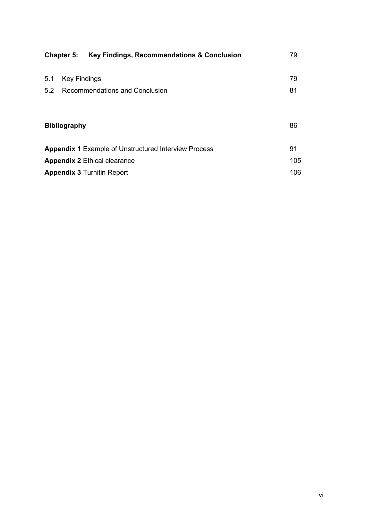|                                                             | Key Findings, Recommendations & Conclusion<br><b>Chapter 5:</b> | 79  |
|-------------------------------------------------------------|-----------------------------------------------------------------|-----|
| 5.1                                                         | <b>Key Findings</b>                                             | 79  |
| 5.2                                                         | Recommendations and Conclusion                                  | 81  |
|                                                             |                                                                 |     |
| <b>Bibliography</b>                                         |                                                                 |     |
|                                                             |                                                                 |     |
| <b>Appendix 1</b> Example of Unstructured Interview Process |                                                                 | 91  |
| <b>Appendix 2 Ethical clearance</b>                         |                                                                 | 105 |
| <b>Appendix 3 Turnitin Report</b>                           |                                                                 | 106 |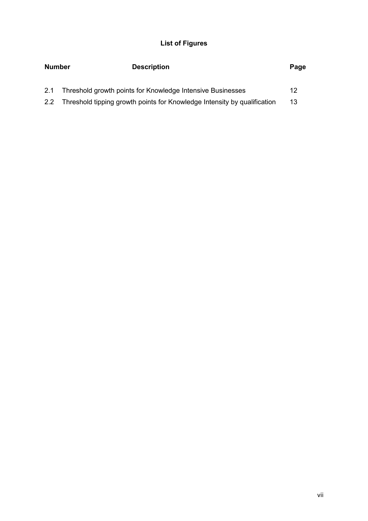# **List of Figures**

| <b>Number</b> | <b>Description</b>                                                       | Page |  |
|---------------|--------------------------------------------------------------------------|------|--|
| 2.1           | Threshold growth points for Knowledge Intensive Businesses               | 12   |  |
| 2.2           | Threshold tipping growth points for Knowledge Intensity by qualification | 13   |  |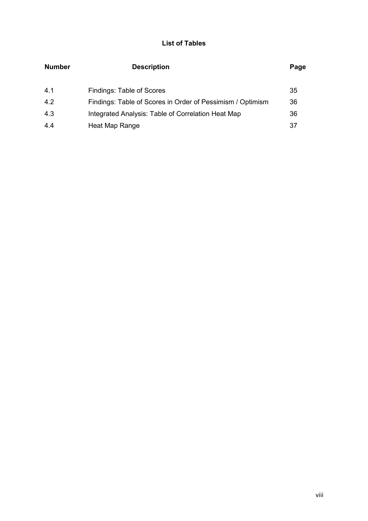# **List of Tables**

| <b>Number</b> | <b>Description</b>                                         | Page |
|---------------|------------------------------------------------------------|------|
| 4.1           | Findings: Table of Scores                                  | 35   |
| 4.2           | Findings: Table of Scores in Order of Pessimism / Optimism | 36   |
| 4.3           | Integrated Analysis: Table of Correlation Heat Map         | 36   |
| 4.4           | Heat Map Range                                             | 37   |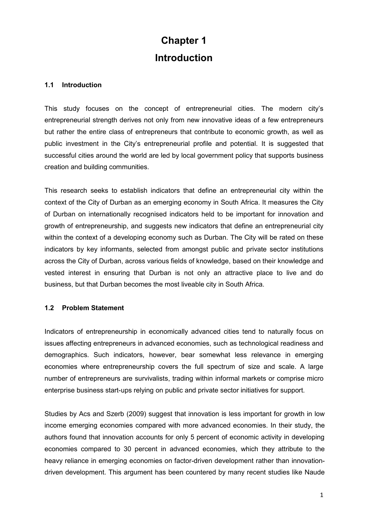# **Chapter 1 Introduction**

#### **1.1 Introduction**

This study focuses on the concept of entrepreneurial cities. The modern city's entrepreneurial strength derives not only from new innovative ideas of a few entrepreneurs but rather the entire class of entrepreneurs that contribute to economic growth, as well as public investment in the City's entrepreneurial profile and potential. It is suggested that successful cities around the world are led by local government policy that supports business creation and building communities.

This research seeks to establish indicators that define an entrepreneurial city within the context of the City of Durban as an emerging economy in South Africa. It measures the City of Durban on internationally recognised indicators held to be important for innovation and growth of entrepreneurship, and suggests new indicators that define an entrepreneurial city within the context of a developing economy such as Durban. The City will be rated on these indicators by key informants, selected from amongst public and private sector institutions across the City of Durban, across various fields of knowledge, based on their knowledge and vested interest in ensuring that Durban is not only an attractive place to live and do business, but that Durban becomes the most liveable city in South Africa.

# **1.2 Problem Statement**

Indicators of entrepreneurship in economically advanced cities tend to naturally focus on issues affecting entrepreneurs in advanced economies, such as technological readiness and demographics. Such indicators, however, bear somewhat less relevance in emerging economies where entrepreneurship covers the full spectrum of size and scale. A large number of entrepreneurs are survivalists, trading within informal markets or comprise micro enterprise business start-ups relying on public and private sector initiatives for support.

Studies by Acs and Szerb (2009) suggest that innovation is less important for growth in low income emerging economies compared with more advanced economies. In their study, the authors found that innovation accounts for only 5 percent of economic activity in developing economies compared to 30 percent in advanced economies, which they attribute to the heavy reliance in emerging economies on factor-driven development rather than innovationdriven development. This argument has been countered by many recent studies like Naude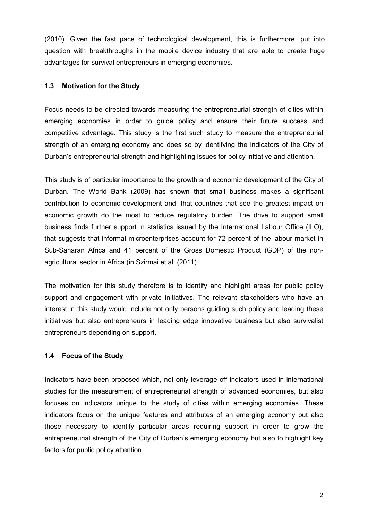(2010). Given the fast pace of technological development, this is furthermore, put into question with breakthroughs in the mobile device industry that are able to create huge advantages for survival entrepreneurs in emerging economies.

# **1.3 Motivation for the Study**

Focus needs to be directed towards measuring the entrepreneurial strength of cities within emerging economies in order to guide policy and ensure their future success and competitive advantage. This study is the first such study to measure the entrepreneurial strength of an emerging economy and does so by identifying the indicators of the City of Durban's entrepreneurial strength and highlighting issues for policy initiative and attention.

This study is of particular importance to the growth and economic development of the City of Durban. The World Bank (2009) has shown that small business makes a significant contribution to economic development and, that countries that see the greatest impact on economic growth do the most to reduce regulatory burden. The drive to support small business finds further support in statistics issued by the International Labour Office (ILO), that suggests that informal microenterprises account for 72 percent of the labour market in Sub-Saharan Africa and 41 percent of the Gross Domestic Product (GDP) of the nonagricultural sector in Africa (in Szirmai et al. (2011).

The motivation for this study therefore is to identify and highlight areas for public policy support and engagement with private initiatives. The relevant stakeholders who have an interest in this study would include not only persons guiding such policy and leading these initiatives but also entrepreneurs in leading edge innovative business but also survivalist entrepreneurs depending on support.

# **1.4 Focus of the Study**

Indicators have been proposed which, not only leverage off indicators used in international studies for the measurement of entrepreneurial strength of advanced economies, but also focuses on indicators unique to the study of cities within emerging economies. These indicators focus on the unique features and attributes of an emerging economy but also those necessary to identify particular areas requiring support in order to grow the entrepreneurial strength of the City of Durban's emerging economy but also to highlight key factors for public policy attention.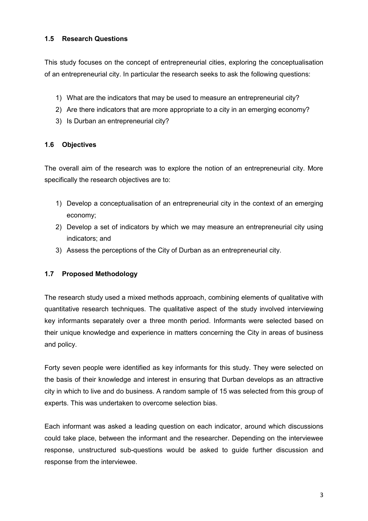# **1.5 Research Questions**

This study focuses on the concept of entrepreneurial cities, exploring the conceptualisation of an entrepreneurial city. In particular the research seeks to ask the following questions:

- 1) What are the indicators that may be used to measure an entrepreneurial city?
- 2) Are there indicators that are more appropriate to a city in an emerging economy?
- 3) Is Durban an entrepreneurial city?

# **1.6 Objectives**

The overall aim of the research was to explore the notion of an entrepreneurial city. More specifically the research objectives are to:

- 1) Develop a conceptualisation of an entrepreneurial city in the context of an emerging economy;
- 2) Develop a set of indicators by which we may measure an entrepreneurial city using indicators; and
- 3) Assess the perceptions of the City of Durban as an entrepreneurial city.

# **1.7 Proposed Methodology**

The research study used a mixed methods approach, combining elements of qualitative with quantitative research techniques. The qualitative aspect of the study involved interviewing key informants separately over a three month period. Informants were selected based on their unique knowledge and experience in matters concerning the City in areas of business and policy.

Forty seven people were identified as key informants for this study. They were selected on the basis of their knowledge and interest in ensuring that Durban develops as an attractive city in which to live and do business. A random sample of 15 was selected from this group of experts. This was undertaken to overcome selection bias.

Each informant was asked a leading question on each indicator, around which discussions could take place, between the informant and the researcher. Depending on the interviewee response, unstructured sub-questions would be asked to guide further discussion and response from the interviewee.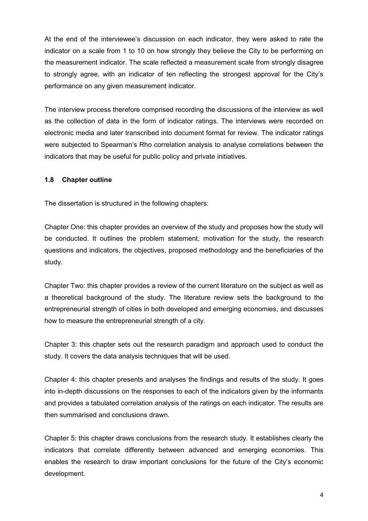At the end of the interviewee's discussion on each indicator, they were asked to rate the indicator on a scale from 1 to 10 on how strongly they believe the City to be performing on the measurement indicator. The scale reflected a measurement scale from strongly disagree to strongly agree, with an indicator of ten reflecting the strongest approval for the City's performance on any given measurement indicator.

The interview process therefore comprised recording the discussions of the interview as well as the collection of data in the form of indicator ratings. The interviews were recorded on electronic media and later transcribed into document format for review. The indicator ratings were subjected to Spearman's Rho correlation analysis to analyse correlations between the indicators that may be useful for public policy and private initiatives.

# **1.8 Chapter outline**

The dissertation is structured in the following chapters:

Chapter One: this chapter provides an overview of the study and proposes how the study will be conducted. It outlines the problem statement, motivation for the study, the research questions and indicators, the objectives, proposed methodology and the beneficiaries of the study.

Chapter Two: this chapter provides a review of the current literature on the subject as well as a theoretical background of the study. The literature review sets the background to the entrepreneurial strength of cities in both developed and emerging economies, and discusses how to measure the entrepreneurial strength of a city.

Chapter 3: this chapter sets out the research paradigm and approach used to conduct the study. It covers the data analysis techniques that will be used.

Chapter 4: this chapter presents and analyses the findings and results of the study. It goes into in-depth discussions on the responses to each of the indicators given by the informants and provides a tabulated correlation analysis of the ratings on each indicator. The results are then summarised and conclusions drawn.

Chapter 5: this chapter draws conclusions from the research study. It establishes clearly the indicators that correlate differently between advanced and emerging economies. This enables the research to draw important conclusions for the future of the City's economic development.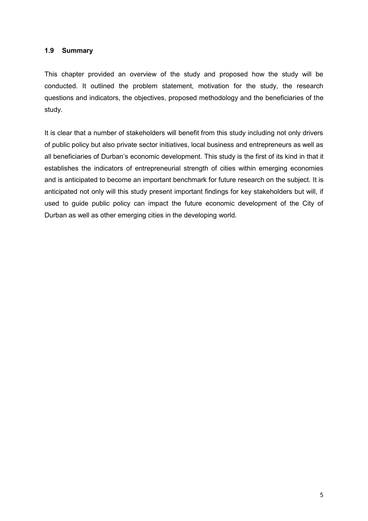#### **1.9 Summary**

This chapter provided an overview of the study and proposed how the study will be conducted. It outlined the problem statement, motivation for the study, the research questions and indicators, the objectives, proposed methodology and the beneficiaries of the study.

It is clear that a number of stakeholders will benefit from this study including not only drivers of public policy but also private sector initiatives, local business and entrepreneurs as well as all beneficiaries of Durban's economic development. This study is the first of its kind in that it establishes the indicators of entrepreneurial strength of cities within emerging economies and is anticipated to become an important benchmark for future research on the subject. It is anticipated not only will this study present important findings for key stakeholders but will, if used to guide public policy can impact the future economic development of the City of Durban as well as other emerging cities in the developing world.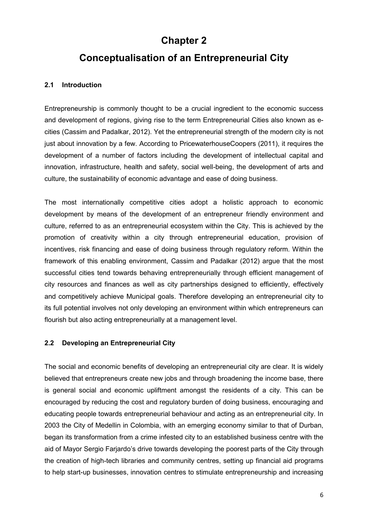# **Chapter 2**

# **Conceptualisation of an Entrepreneurial City**

# **2.1 Introduction**

Entrepreneurship is commonly thought to be a crucial ingredient to the economic success and development of regions, giving rise to the term Entrepreneurial Cities also known as ecities (Cassim and Padalkar, 2012). Yet the entrepreneurial strength of the modern city is not just about innovation by a few. According to PricewaterhouseCoopers (2011), it requires the development of a number of factors including the development of intellectual capital and innovation, infrastructure, health and safety, social well-being, the development of arts and culture, the sustainability of economic advantage and ease of doing business.

The most internationally competitive cities adopt a holistic approach to economic development by means of the development of an entrepreneur friendly environment and culture, referred to as an entrepreneurial ecosystem within the City. This is achieved by the promotion of creativity within a city through entrepreneurial education, provision of incentives, risk financing and ease of doing business through regulatory reform. Within the framework of this enabling environment, Cassim and Padalkar (2012) argue that the most successful cities tend towards behaving entrepreneurially through efficient management of city resources and finances as well as city partnerships designed to efficiently, effectively and competitively achieve Municipal goals. Therefore developing an entrepreneurial city to its full potential involves not only developing an environment within which entrepreneurs can flourish but also acting entrepreneurially at a management level.

# **2.2 Developing an Entrepreneurial City**

The social and economic benefits of developing an entrepreneurial city are clear. It is widely believed that entrepreneurs create new jobs and through broadening the income base, there is general social and economic upliftment amongst the residents of a city. This can be encouraged by reducing the cost and regulatory burden of doing business, encouraging and educating people towards entrepreneurial behaviour and acting as an entrepreneurial city. In 2003 the City of Medellin in Colombia, with an emerging economy similar to that of Durban, began its transformation from a crime infested city to an established business centre with the aid of Mayor Sergio Farjardo's drive towards developing the poorest parts of the City through the creation of high-tech libraries and community centres, setting up financial aid programs to help start-up businesses, innovation centres to stimulate entrepreneurship and increasing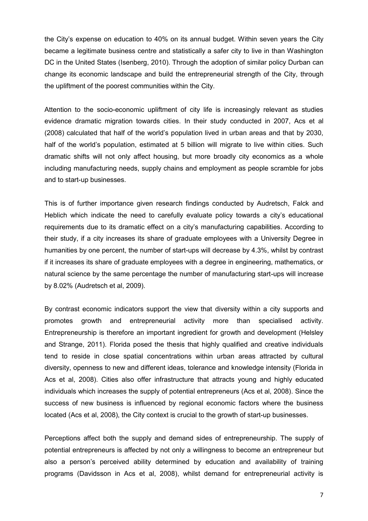the City's expense on education to 40% on its annual budget. Within seven years the City became a legitimate business centre and statistically a safer city to live in than Washington DC in the United States (Isenberg, 2010). Through the adoption of similar policy Durban can change its economic landscape and build the entrepreneurial strength of the City, through the upliftment of the poorest communities within the City.

Attention to the socio-economic upliftment of city life is increasingly relevant as studies evidence dramatic migration towards cities. In their study conducted in 2007, Acs et al (2008) calculated that half of the world's population lived in urban areas and that by 2030, half of the world's population, estimated at 5 billion will migrate to live within cities. Such dramatic shifts will not only affect housing, but more broadly city economics as a whole including manufacturing needs, supply chains and employment as people scramble for jobs and to start-up businesses.

This is of further importance given research findings conducted by Audretsch, Falck and Heblich which indicate the need to carefully evaluate policy towards a city's educational requirements due to its dramatic effect on a city's manufacturing capabilities. According to their study, if a city increases its share of graduate employees with a University Degree in humanities by one percent, the number of start-ups will decrease by 4.3%, whilst by contrast if it increases its share of graduate employees with a degree in engineering, mathematics, or natural science by the same percentage the number of manufacturing start-ups will increase by 8.02% (Audretsch et al, 2009).

By contrast economic indicators support the view that diversity within a city supports and promotes growth and entrepreneurial activity more than specialised activity. Entrepreneurship is therefore an important ingredient for growth and development (Helsley and Strange, 2011). Florida posed the thesis that highly qualified and creative individuals tend to reside in close spatial concentrations within urban areas attracted by cultural diversity, openness to new and different ideas, tolerance and knowledge intensity (Florida in Acs et al, 2008). Cities also offer infrastructure that attracts young and highly educated individuals which increases the supply of potential entrepreneurs (Acs et al, 2008). Since the success of new business is influenced by regional economic factors where the business located (Acs et al, 2008), the City context is crucial to the growth of start-up businesses.

Perceptions affect both the supply and demand sides of entrepreneurship. The supply of potential entrepreneurs is affected by not only a willingness to become an entrepreneur but also a person's perceived ability determined by education and availability of training programs (Davidsson in Acs et al, 2008), whilst demand for entrepreneurial activity is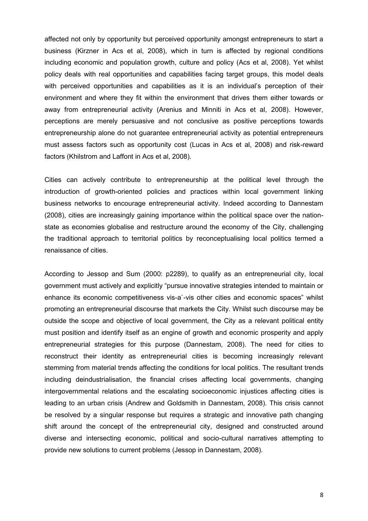affected not only by opportunity but perceived opportunity amongst entrepreneurs to start a business (Kirzner in Acs et al, 2008), which in turn is affected by regional conditions including economic and population growth, culture and policy (Acs et al, 2008). Yet whilst policy deals with real opportunities and capabilities facing target groups, this model deals with perceived opportunities and capabilities as it is an individual's perception of their environment and where they fit within the environment that drives them either towards or away from entrepreneurial activity (Arenius and Minniti in Acs et al, 2008). However, perceptions are merely persuasive and not conclusive as positive perceptions towards entrepreneurship alone do not guarantee entrepreneurial activity as potential entrepreneurs must assess factors such as opportunity cost (Lucas in Acs et al, 2008) and risk-reward factors (Khilstrom and Laffont in Acs et al, 2008).

Cities can actively contribute to entrepreneurship at the political level through the introduction of growth-oriented policies and practices within local government linking business networks to encourage entrepreneurial activity. Indeed according to Dannestam (2008), cities are increasingly gaining importance within the political space over the nationstate as economies globalise and restructure around the economy of the City, challenging the traditional approach to territorial politics by reconceptualising local politics termed a renaissance of cities.

According to Jessop and Sum (2000: p2289), to qualify as an entrepreneurial city, local government must actively and explicitly "pursue innovative strategies intended to maintain or enhance its economic competitiveness vis-a`-vis other cities and economic spaces" whilst promoting an entrepreneurial discourse that markets the City. Whilst such discourse may be outside the scope and objective of local government, the City as a relevant political entity must position and identify itself as an engine of growth and economic prosperity and apply entrepreneurial strategies for this purpose (Dannestam, 2008). The need for cities to reconstruct their identity as entrepreneurial cities is becoming increasingly relevant stemming from material trends affecting the conditions for local politics. The resultant trends including deindustrialisation, the financial crises affecting local governments, changing intergovernmental relations and the escalating socioeconomic injustices affecting cities is leading to an urban crisis (Andrew and Goldsmith in Dannestam, 2008). This crisis cannot be resolved by a singular response but requires a strategic and innovative path changing shift around the concept of the entrepreneurial city, designed and constructed around diverse and intersecting economic, political and socio-cultural narratives attempting to provide new solutions to current problems (Jessop in Dannestam, 2008).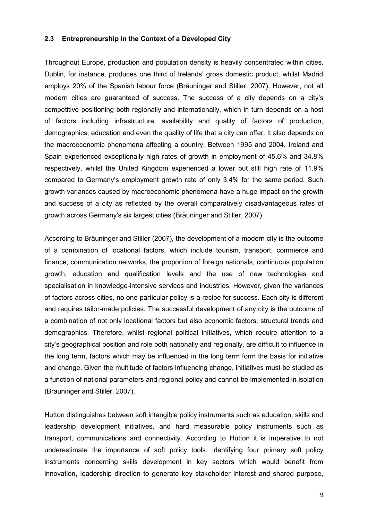#### **2.3 Entrepreneurship in the Context of a Developed City**

Throughout Europe, production and population density is heavily concentrated within cities. Dublin, for instance, produces one third of Irelands' gross domestic product, whilst Madrid employs 20% of the Spanish labour force (Bräuninger and Stiller, 2007). However, not all modern cities are guaranteed of success. The success of a city depends on a city's competitive positioning both regionally and internationally, which in turn depends on a host of factors including infrastructure, availability and quality of factors of production, demographics, education and even the quality of life that a city can offer. It also depends on the macroeconomic phenomena affecting a country. Between 1995 and 2004, Ireland and Spain experienced exceptionally high rates of growth in employment of 45.6% and 34.8% respectively, whilst the United Kingdom experienced a lower but still high rate of 11.9% compared to Germany's employment growth rate of only 3.4% for the same period. Such growth variances caused by macroeconomic phenomena have a huge impact on the growth and success of a city as reflected by the overall comparatively disadvantageous rates of growth across Germany's six largest cities (Bräuninger and Stiller, 2007).

According to Bräuninger and Stiller (2007), the development of a modern city is the outcome of a combination of locational factors, which include tourism, transport, commerce and finance, communication networks, the proportion of foreign nationals, continuous population growth, education and qualification levels and the use of new technologies and specialisation in knowledge-intensive services and industries. However, given the variances of factors across cities, no one particular policy is a recipe for success. Each city is different and requires tailor-made policies. The successful development of any city is the outcome of a combination of not only locational factors but also economic factors, structural trends and demographics. Therefore, whilst regional political initiatives, which require attention to a city's geographical position and role both nationally and regionally, are difficult to influence in the long term, factors which may be influenced in the long term form the basis for initiative and change. Given the multitude of factors influencing change, initiatives must be studied as a function of national parameters and regional policy and cannot be implemented in isolation (Bräuninger and Stiller, 2007).

Hutton distinguishes between soft intangible policy instruments such as education, skills and leadership development initiatives, and hard measurable policy instruments such as transport, communications and connectivity. According to Hutton it is imperative to not underestimate the importance of soft policy tools, identifying four primary soft policy instruments concerning skills development in key sectors which would benefit from innovation, leadership direction to generate key stakeholder interest and shared purpose,

9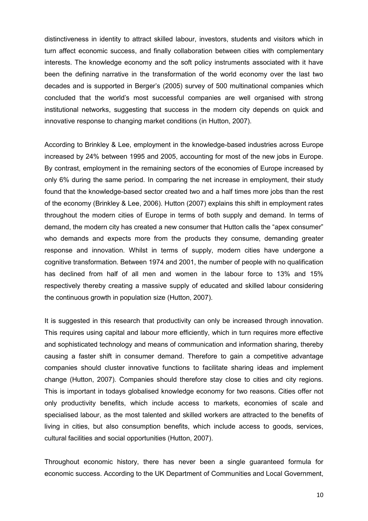distinctiveness in identity to attract skilled labour, investors, students and visitors which in turn affect economic success, and finally collaboration between cities with complementary interests. The knowledge economy and the soft policy instruments associated with it have been the defining narrative in the transformation of the world economy over the last two decades and is supported in Berger's (2005) survey of 500 multinational companies which concluded that the world's most successful companies are well organised with strong institutional networks, suggesting that success in the modern city depends on quick and innovative response to changing market conditions (in Hutton, 2007).

According to Brinkley & Lee, employment in the knowledge-based industries across Europe increased by 24% between 1995 and 2005, accounting for most of the new jobs in Europe. By contrast, employment in the remaining sectors of the economies of Europe increased by only 6% during the same period. In comparing the net increase in employment, their study found that the knowledge-based sector created two and a half times more jobs than the rest of the economy (Brinkley & Lee, 2006). Hutton (2007) explains this shift in employment rates throughout the modern cities of Europe in terms of both supply and demand. In terms of demand, the modern city has created a new consumer that Hutton calls the "apex consumer" who demands and expects more from the products they consume, demanding greater response and innovation. Whilst in terms of supply, modern cities have undergone a cognitive transformation. Between 1974 and 2001, the number of people with no qualification has declined from half of all men and women in the labour force to 13% and 15% respectively thereby creating a massive supply of educated and skilled labour considering the continuous growth in population size (Hutton, 2007).

It is suggested in this research that productivity can only be increased through innovation. This requires using capital and labour more efficiently, which in turn requires more effective and sophisticated technology and means of communication and information sharing, thereby causing a faster shift in consumer demand. Therefore to gain a competitive advantage companies should cluster innovative functions to facilitate sharing ideas and implement change (Hutton, 2007). Companies should therefore stay close to cities and city regions. This is important in todays globalised knowledge economy for two reasons. Cities offer not only productivity benefits, which include access to markets, economies of scale and specialised labour, as the most talented and skilled workers are attracted to the benefits of living in cities, but also consumption benefits, which include access to goods, services, cultural facilities and social opportunities (Hutton, 2007).

Throughout economic history, there has never been a single guaranteed formula for economic success. According to the UK Department of Communities and Local Government,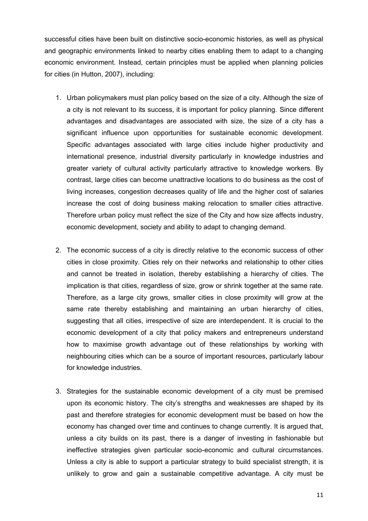successful cities have been built on distinctive socio-economic histories, as well as physical and geographic environments linked to nearby cities enabling them to adapt to a changing economic environment. Instead, certain principles must be applied when planning policies for cities (in Hutton, 2007), including:

- 1. Urban policymakers must plan policy based on the size of a city. Although the size of a city is not relevant to its success, it is important for policy planning. Since different advantages and disadvantages are associated with size, the size of a city has a significant influence upon opportunities for sustainable economic development. Specific advantages associated with large cities include higher productivity and international presence, industrial diversity particularly in knowledge industries and greater variety of cultural activity particularly attractive to knowledge workers. By contrast, large cities can become unattractive locations to do business as the cost of living increases, congestion decreases quality of life and the higher cost of salaries increase the cost of doing business making relocation to smaller cities attractive. Therefore urban policy must reflect the size of the City and how size affects industry, economic development, society and ability to adapt to changing demand.
- 2. The economic success of a city is directly relative to the economic success of other cities in close proximity. Cities rely on their networks and relationship to other cities and cannot be treated in isolation, thereby establishing a hierarchy of cities. The implication is that cities, regardless of size, grow or shrink together at the same rate. Therefore, as a large city grows, smaller cities in close proximity will grow at the same rate thereby establishing and maintaining an urban hierarchy of cities, suggesting that all cities, irrespective of size are interdependent. It is crucial to the economic development of a city that policy makers and entrepreneurs understand how to maximise growth advantage out of these relationships by working with neighbouring cities which can be a source of important resources, particularly labour for knowledge industries.
- 3. Strategies for the sustainable economic development of a city must be premised upon its economic history. The city's strengths and weaknesses are shaped by its past and therefore strategies for economic development must be based on how the economy has changed over time and continues to change currently. It is argued that, unless a city builds on its past, there is a danger of investing in fashionable but ineffective strategies given particular socio-economic and cultural circumstances. Unless a city is able to support a particular strategy to build specialist strength, it is unlikely to grow and gain a sustainable competitive advantage. A city must be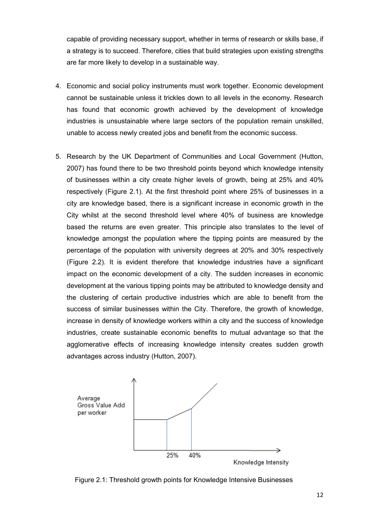capable of providing necessary support, whether in terms of research or skills base, if a strategy is to succeed. Therefore, cities that build strategies upon existing strengths are far more likely to develop in a sustainable way.

- 4. Economic and social policy instruments must work together. Economic development cannot be sustainable unless it trickles down to all levels in the economy. Research has found that economic growth achieved by the development of knowledge industries is unsustainable where large sectors of the population remain unskilled, unable to access newly created jobs and benefit from the economic success.
- 5. Research by the UK Department of Communities and Local Government (Hutton, 2007) has found there to be two threshold points beyond which knowledge intensity of businesses within a city create higher levels of growth, being at 25% and 40% respectively (Figure 2.1). At the first threshold point where 25% of businesses in a city are knowledge based, there is a significant increase in economic growth in the City whilst at the second threshold level where 40% of business are knowledge based the returns are even greater. This principle also translates to the level of knowledge amongst the population where the tipping points are measured by the percentage of the population with university degrees at 20% and 30% respectively (Figure 2.2). It is evident therefore that knowledge industries have a significant impact on the economic development of a city. The sudden increases in economic development at the various tipping points may be attributed to knowledge density and the clustering of certain productive industries which are able to benefit from the success of similar businesses within the City. Therefore, the growth of knowledge, increase in density of knowledge workers within a city and the success of knowledge industries, create sustainable economic benefits to mutual advantage so that the agglomerative effects of increasing knowledge intensity creates sudden growth advantages across industry (Hutton, 2007).



Figure 2.1: Threshold growth points for Knowledge Intensive Businesses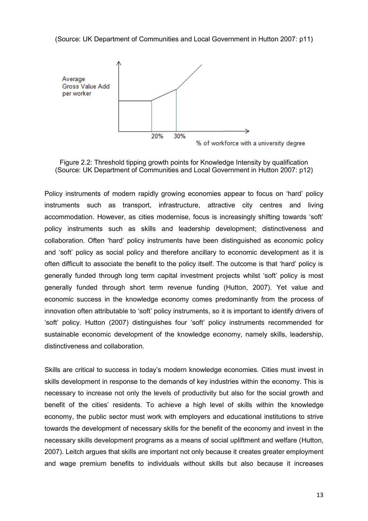(Source: UK Department of Communities and Local Government in Hutton 2007: p11)





Policy instruments of modern rapidly growing economies appear to focus on 'hard' policy instruments such as transport, infrastructure, attractive city centres and living accommodation. However, as cities modernise, focus is increasingly shifting towards 'soft' policy instruments such as skills and leadership development; distinctiveness and collaboration. Often 'hard' policy instruments have been distinguished as economic policy and 'soft' policy as social policy and therefore ancillary to economic development as it is often difficult to associate the benefit to the policy itself. The outcome is that 'hard' policy is generally funded through long term capital investment projects whilst 'soft' policy is most generally funded through short term revenue funding (Hutton, 2007). Yet value and economic success in the knowledge economy comes predominantly from the process of innovation often attributable to 'soft' policy instruments, so it is important to identify drivers of 'soft' policy. Hutton (2007) distinguishes four 'soft' policy instruments recommended for sustainable economic development of the knowledge economy, namely skills, leadership, distinctiveness and collaboration.

Skills are critical to success in today's modern knowledge economies. Cities must invest in skills development in response to the demands of key industries within the economy. This is necessary to increase not only the levels of productivity but also for the social growth and benefit of the cities' residents. To achieve a high level of skills within the knowledge economy, the public sector must work with employers and educational institutions to strive towards the development of necessary skills for the benefit of the economy and invest in the necessary skills development programs as a means of social upliftment and welfare (Hutton, 2007). Leitch argues that skills are important not only because it creates greater employment and wage premium benefits to individuals without skills but also because it increases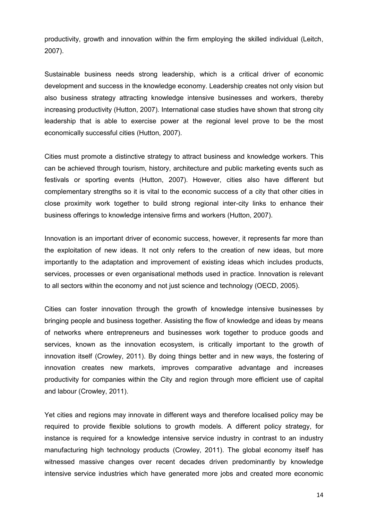productivity, growth and innovation within the firm employing the skilled individual (Leitch, 2007).

Sustainable business needs strong leadership, which is a critical driver of economic development and success in the knowledge economy. Leadership creates not only vision but also business strategy attracting knowledge intensive businesses and workers, thereby increasing productivity (Hutton, 2007). International case studies have shown that strong city leadership that is able to exercise power at the regional level prove to be the most economically successful cities (Hutton, 2007).

Cities must promote a distinctive strategy to attract business and knowledge workers. This can be achieved through tourism, history, architecture and public marketing events such as festivals or sporting events (Hutton, 2007). However, cities also have different but complementary strengths so it is vital to the economic success of a city that other cities in close proximity work together to build strong regional inter-city links to enhance their business offerings to knowledge intensive firms and workers (Hutton, 2007).

Innovation is an important driver of economic success, however, it represents far more than the exploitation of new ideas. It not only refers to the creation of new ideas, but more importantly to the adaptation and improvement of existing ideas which includes products, services, processes or even organisational methods used in practice. Innovation is relevant to all sectors within the economy and not just science and technology (OECD, 2005).

Cities can foster innovation through the growth of knowledge intensive businesses by bringing people and business together. Assisting the flow of knowledge and ideas by means of networks where entrepreneurs and businesses work together to produce goods and services, known as the innovation ecosystem, is critically important to the growth of innovation itself (Crowley, 2011). By doing things better and in new ways, the fostering of innovation creates new markets, improves comparative advantage and increases productivity for companies within the City and region through more efficient use of capital and labour (Crowley, 2011).

Yet cities and regions may innovate in different ways and therefore localised policy may be required to provide flexible solutions to growth models. A different policy strategy, for instance is required for a knowledge intensive service industry in contrast to an industry manufacturing high technology products (Crowley, 2011). The global economy itself has witnessed massive changes over recent decades driven predominantly by knowledge intensive service industries which have generated more jobs and created more economic

14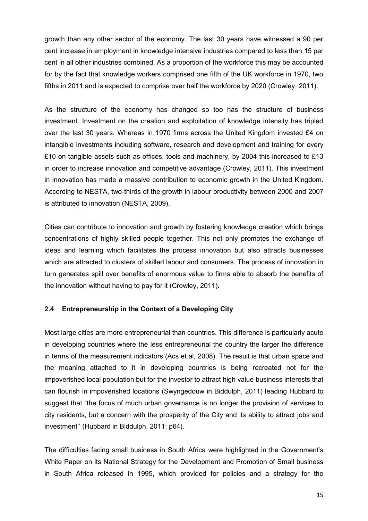growth than any other sector of the economy. The last 30 years have witnessed a 90 per cent increase in employment in knowledge intensive industries compared to less than 15 per cent in all other industries combined. As a proportion of the workforce this may be accounted for by the fact that knowledge workers comprised one fifth of the UK workforce in 1970, two fifths in 2011 and is expected to comprise over half the workforce by 2020 (Crowley, 2011).

As the structure of the economy has changed so too has the structure of business investment. Investment on the creation and exploitation of knowledge intensity has tripled over the last 30 years. Whereas in 1970 firms across the United Kingdom invested £4 on intangible investments including software, research and development and training for every £10 on tangible assets such as offices, tools and machinery, by 2004 this increased to £13 in order to increase innovation and competitive advantage (Crowley, 2011). This investment in innovation has made a massive contribution to economic growth in the United Kingdom. According to NESTA, two-thirds of the growth in labour productivity between 2000 and 2007 is attributed to innovation (NESTA, 2009).

Cities can contribute to innovation and growth by fostering knowledge creation which brings concentrations of highly skilled people together. This not only promotes the exchange of ideas and learning which facilitates the process innovation but also attracts businesses which are attracted to clusters of skilled labour and consumers. The process of innovation in turn generates spill over benefits of enormous value to firms able to absorb the benefits of the innovation without having to pay for it (Crowley, 2011).

# **2.4 Entrepreneurship in the Context of a Developing City**

Most large cities are more entrepreneurial than countries. This difference is particularly acute in developing countries where the less entrepreneurial the country the larger the difference in terms of the measurement indicators (Acs et al, 2008). The result is that urban space and the meaning attached to it in developing countries is being recreated not for the impoverished local population but for the investor to attract high value business interests that can flourish in impoverished locations (Swyngedouw in Biddulph, 2011) leading Hubbard to suggest that "the focus of much urban governance is no longer the provision of services to city residents, but a concern with the prosperity of the City and its ability to attract jobs and investment'' (Hubbard in Biddulph, 2011: p64).

The difficulties facing small business in South Africa were highlighted in the Government's White Paper on its National Strategy for the Development and Promotion of Small business in South Africa released in 1995, which provided for policies and a strategy for the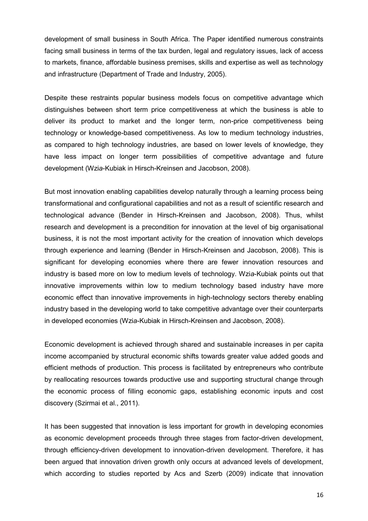development of small business in South Africa. The Paper identified numerous constraints facing small business in terms of the tax burden, legal and regulatory issues, lack of access to markets, finance, affordable business premises, skills and expertise as well as technology and infrastructure (Department of Trade and Industry, 2005).

Despite these restraints popular business models focus on competitive advantage which distinguishes between short term price competitiveness at which the business is able to deliver its product to market and the longer term, non-price competitiveness being technology or knowledge-based competitiveness. As low to medium technology industries, as compared to high technology industries, are based on lower levels of knowledge, they have less impact on longer term possibilities of competitive advantage and future development (Wzi*a*-Kubiak in Hirsch-Kreinsen and Jacobson, 2008).

But most innovation enabling capabilities develop naturally through a learning process being transformational and configurational capabilities and not as a result of scientific research and technological advance (Bender in Hirsch-Kreinsen and Jacobson, 2008). Thus, whilst research and development is a precondition for innovation at the level of big organisational business, it is not the most important activity for the creation of innovation which develops through experience and learning (Bender in Hirsch-Kreinsen and Jacobson, 2008). This is significant for developing economies where there are fewer innovation resources and industry is based more on low to medium levels of technology. Wzi*a*-Kubiak points out that innovative improvements within low to medium technology based industry have more economic effect than innovative improvements in high-technology sectors thereby enabling industry based in the developing world to take competitive advantage over their counterparts in developed economies (Wzi*a*-Kubiak in Hirsch-Kreinsen and Jacobson, 2008).

Economic development is achieved through shared and sustainable increases in per capita income accompanied by structural economic shifts towards greater value added goods and efficient methods of production. This process is facilitated by entrepreneurs who contribute by reallocating resources towards productive use and supporting structural change through the economic process of filling economic gaps, establishing economic inputs and cost discovery (Szirmai et al., 2011).

It has been suggested that innovation is less important for growth in developing economies as economic development proceeds through three stages from factor-driven development, through efficiency-driven development to innovation-driven development. Therefore, it has been argued that innovation driven growth only occurs at advanced levels of development, which according to studies reported by Acs and Szerb (2009) indicate that innovation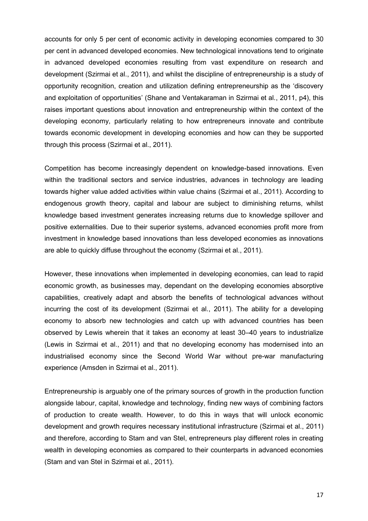accounts for only 5 per cent of economic activity in developing economies compared to 30 per cent in advanced developed economies. New technological innovations tend to originate in advanced developed economies resulting from vast expenditure on research and development (Szirmai et al., 2011), and whilst the discipline of entrepreneurship is a study of opportunity recognition, creation and utilization defining entrepreneurship as the 'discovery and exploitation of opportunities' (Shane and Ventakaraman in Szirmai et al., 2011, p4), this raises important questions about innovation and entrepreneurship within the context of the developing economy, particularly relating to how entrepreneurs innovate and contribute towards economic development in developing economies and how can they be supported through this process (Szirmai et al., 2011).

Competition has become increasingly dependent on knowledge-based innovations. Even within the traditional sectors and service industries, advances in technology are leading towards higher value added activities within value chains (Szirmai et al., 2011). According to endogenous growth theory, capital and labour are subject to diminishing returns, whilst knowledge based investment generates increasing returns due to knowledge spillover and positive externalities. Due to their superior systems, advanced economies profit more from investment in knowledge based innovations than less developed economies as innovations are able to quickly diffuse throughout the economy (Szirmai et al., 2011).

However, these innovations when implemented in developing economies, can lead to rapid economic growth, as businesses may, dependant on the developing economies absorptive capabilities, creatively adapt and absorb the benefits of technological advances without incurring the cost of its development (Szirmai et al., 2011). The ability for a developing economy to absorb new technologies and catch up with advanced countries has been observed by Lewis wherein that it takes an economy at least 30–40 years to industrialize (Lewis in Szirmai et al., 2011) and that no developing economy has modernised into an industrialised economy since the Second World War without pre-war manufacturing experience (Amsden in Szirmai et al., 2011).

Entrepreneurship is arguably one of the primary sources of growth in the production function alongside labour, capital, knowledge and technology, finding new ways of combining factors of production to create wealth. However, to do this in ways that will unlock economic development and growth requires necessary institutional infrastructure (Szirmai et al., 2011) and therefore, according to Stam and van Stel, entrepreneurs play different roles in creating wealth in developing economies as compared to their counterparts in advanced economies (Stam and van Stel in Szirmai et al., 2011).

17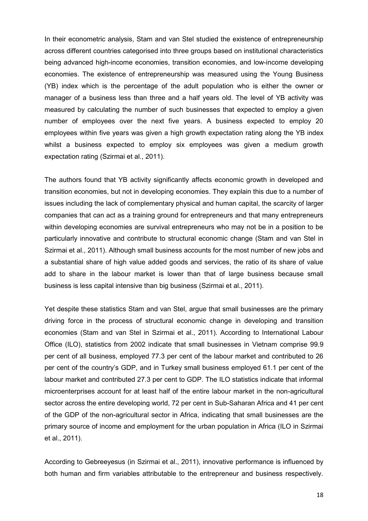In their econometric analysis, Stam and van Stel studied the existence of entrepreneurship across different countries categorised into three groups based on institutional characteristics being advanced high-income economies, transition economies, and low-income developing economies. The existence of entrepreneurship was measured using the Young Business (YB) index which is the percentage of the adult population who is either the owner or manager of a business less than three and a half years old. The level of YB activity was measured by calculating the number of such businesses that expected to employ a given number of employees over the next five years. A business expected to employ 20 employees within five years was given a high growth expectation rating along the YB index whilst a business expected to employ six employees was given a medium growth expectation rating (Szirmai et al., 2011).

The authors found that YB activity significantly affects economic growth in developed and transition economies, but not in developing economies. They explain this due to a number of issues including the lack of complementary physical and human capital, the scarcity of larger companies that can act as a training ground for entrepreneurs and that many entrepreneurs within developing economies are survival entrepreneurs who may not be in a position to be particularly innovative and contribute to structural economic change (Stam and van Stel in Szirmai et al., 2011). Although small business accounts for the most number of new jobs and a substantial share of high value added goods and services, the ratio of its share of value add to share in the labour market is lower than that of large business because small business is less capital intensive than big business (Szirmai et al., 2011).

Yet despite these statistics Stam and van Stel, argue that small businesses are the primary driving force in the process of structural economic change in developing and transition economies (Stam and van Stel in Szirmai et al., 2011). According to International Labour Office (ILO), statistics from 2002 indicate that small businesses in Vietnam comprise 99.9 per cent of all business, employed 77.3 per cent of the labour market and contributed to 26 per cent of the country's GDP, and in Turkey small business employed 61.1 per cent of the labour market and contributed 27.3 per cent to GDP. The ILO statistics indicate that informal microenterprises account for at least half of the entire labour market in the non-agricultural sector across the entire developing world, 72 per cent in Sub-Saharan Africa and 41 per cent of the GDP of the non-agricultural sector in Africa, indicating that small businesses are the primary source of income and employment for the urban population in Africa (ILO in Szirmai et al., 2011).

According to Gebreeyesus (in Szirmai et al., 2011), innovative performance is influenced by both human and firm variables attributable to the entrepreneur and business respectively.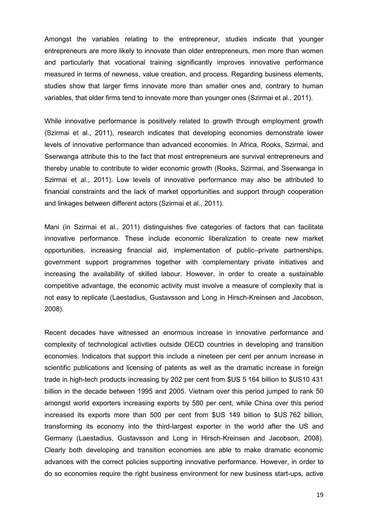Amongst the variables relating to the entrepreneur, studies indicate that younger entrepreneurs are more likely to innovate than older entrepreneurs, men more than women and particularly that vocational training significantly improves innovative performance measured in terms of newness, value creation, and process. Regarding business elements, studies show that larger firms innovate more than smaller ones and, contrary to human variables, that older firms tend to innovate more than younger ones (Szirmai et al., 2011).

While innovative performance is positively related to growth through employment growth (Szirmai et al., 2011), research indicates that developing economies demonstrate lower levels of innovative performance than advanced economies. In Africa, Rooks, Szirmai, and Sserwanga attribute this to the fact that most entrepreneurs are survival entrepreneurs and thereby unable to contribute to wider economic growth (Rooks, Szirmai, and Sserwanga in Szirmai et al., 2011). Low levels of innovative performance may also be attributed to financial constraints and the lack of market opportunities and support through cooperation and linkages between different actors (Szirmai et al., 2011).

Mani (in Szirmai et al., 2011) distinguishes five categories of factors that can facilitate innovative performance. These include economic liberalization to create new market opportunities, increasing financial aid, implementation of public–private partnerships, government support programmes together with complementary private initiatives and increasing the availability of skilled labour. However, in order to create a sustainable competitive advantage, the economic activity must involve a measure of complexity that is not easy to replicate (Laestadius, Gustavsson and Long in Hirsch-Kreinsen and Jacobson, 2008).

Recent decades have witnessed an enormous increase in innovative performance and complexity of technological activities outside OECD countries in developing and transition economies. Indicators that support this include a nineteen per cent per annum increase in scientific publications and licensing of patents as well as the dramatic increase in foreign trade in high-tech products increasing by 202 per cent from \$US 5 164 billion to \$US10 431 billion in the decade between 1995 and 2005. Vietnam over this period jumped to rank 50 amongst world exporters increasing exports by 580 per cent, while China over this period increased its exports more than 500 per cent from \$US 149 billion to \$US 762 billion, transforming its economy into the third-largest exporter in the world after the US and Germany (Laestadius, Gustavsson and Long in Hirsch-Kreinsen and Jacobson, 2008). Clearly both developing and transition economies are able to make dramatic economic advances with the correct policies supporting innovative performance. However, in order to do so economies require the right business environment for new business start-ups, active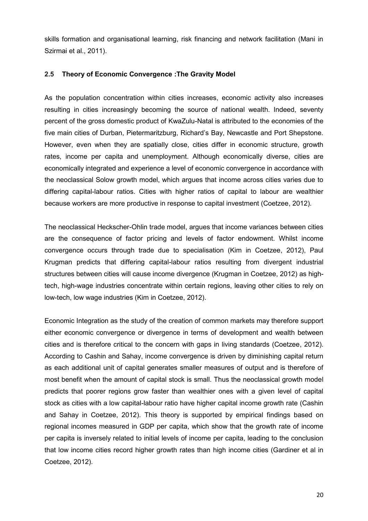skills formation and organisational learning, risk financing and network facilitation (Mani in Szirmai et al., 2011).

#### **2.5 Theory of Economic Convergence :The Gravity Model**

As the population concentration within cities increases, economic activity also increases resulting in cities increasingly becoming the source of national wealth. Indeed, seventy percent of the gross domestic product of KwaZulu-Natal is attributed to the economies of the five main cities of Durban, Pietermaritzburg, Richard's Bay, Newcastle and Port Shepstone. However, even when they are spatially close, cities differ in economic structure, growth rates, income per capita and unemployment. Although economically diverse, cities are economically integrated and experience a level of economic convergence in accordance with the neoclassical Solow growth model, which argues that income across cities varies due to differing capital-labour ratios. Cities with higher ratios of capital to labour are wealthier because workers are more productive in response to capital investment (Coetzee, 2012).

The neoclassical Heckscher-Ohlin trade model, argues that income variances between cities are the consequence of factor pricing and levels of factor endowment. Whilst income convergence occurs through trade due to specialisation (Kim in Coetzee, 2012), Paul Krugman predicts that differing capital-labour ratios resulting from divergent industrial structures between cities will cause income divergence (Krugman in Coetzee, 2012) as hightech, high-wage industries concentrate within certain regions, leaving other cities to rely on low-tech, low wage industries (Kim in Coetzee, 2012).

Economic Integration as the study of the creation of common markets may therefore support either economic convergence or divergence in terms of development and wealth between cities and is therefore critical to the concern with gaps in living standards (Coetzee, 2012). According to Cashin and Sahay, income convergence is driven by diminishing capital return as each additional unit of capital generates smaller measures of output and is therefore of most benefit when the amount of capital stock is small. Thus the neoclassical growth model predicts that poorer regions grow faster than wealthier ones with a given level of capital stock as cities with a low capital-labour ratio have higher capital income growth rate (Cashin and Sahay in Coetzee, 2012). This theory is supported by empirical findings based on regional incomes measured in GDP per capita, which show that the growth rate of income per capita is inversely related to initial levels of income per capita, leading to the conclusion that low income cities record higher growth rates than high income cities (Gardiner et al in Coetzee, 2012).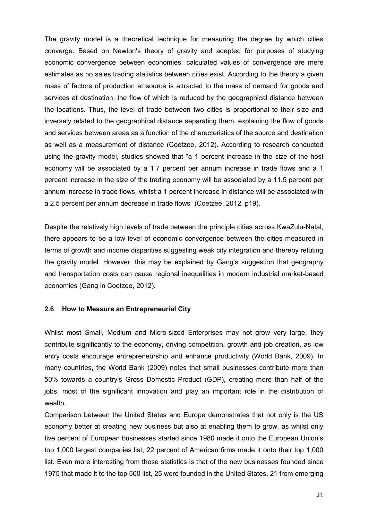The gravity model is a theoretical technique for measuring the degree by which cities converge. Based on Newton's theory of gravity and adapted for purposes of studying economic convergence between economies, calculated values of convergence are mere estimates as no sales trading statistics between cities exist. According to the theory a given mass of factors of production at source is attracted to the mass of demand for goods and services at destination, the flow of which is reduced by the geographical distance between the locations. Thus, the level of trade between two cities is proportional to their size and inversely related to the geographical distance separating them, explaining the flow of goods and services between areas as a function of the characteristics of the source and destination as well as a measurement of distance (Coetzee, 2012). According to research conducted using the gravity model, studies showed that "a 1 percent increase in the size of the host economy will be associated by a 1.7 percent per annum increase in trade flows and a 1 percent increase in the size of the trading economy will be associated by a 11.5 percent per annum increase in trade flows, whilst a 1 percent increase in distance will be associated with a 2.5 percent per annum decrease in trade flows" (Coetzee, 2012, p19).

Despite the relatively high levels of trade between the principle cities across KwaZulu-Natal, there appears to be a low level of economic convergence between the cities measured in terms of growth and income disparities suggesting weak city integration and thereby refuting the gravity model. However, this may be explained by Gang's suggestion that geography and transportation costs can cause regional inequalities in modern industrial market-based economies (Gang in Coetzee, 2012).

#### **2.6 How to Measure an Entrepreneurial City**

Whilst most Small, Medium and Micro-sized Enterprises may not grow very large, they contribute significantly to the economy, driving competition, growth and job creation, as low entry costs encourage entrepreneurship and enhance productivity (World Bank, 2009). In many countries, the World Bank (2009) notes that small businesses contribute more than 50% towards a country's Gross Domestic Product (GDP), creating more than half of the jobs, most of the significant innovation and play an important role in the distribution of wealth.

Comparison between the United States and Europe demonstrates that not only is the US economy better at creating new business but also at enabling them to grow, as whilst only five percent of European businesses started since 1980 made it onto the European Union's top 1,000 largest companies list, 22 percent of American firms made it onto their top 1,000 list. Even more interesting from these statistics is that of the new businesses founded since 1975 that made it to the top 500 list, 25 were founded in the United States, 21 from emerging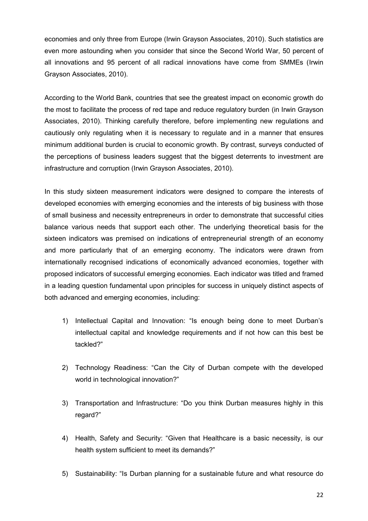economies and only three from Europe (Irwin Grayson Associates, 2010). Such statistics are even more astounding when you consider that since the Second World War, 50 percent of all innovations and 95 percent of all radical innovations have come from SMMEs (Irwin Grayson Associates, 2010).

According to the World Bank, countries that see the greatest impact on economic growth do the most to facilitate the process of red tape and reduce regulatory burden (in Irwin Grayson Associates, 2010). Thinking carefully therefore, before implementing new regulations and cautiously only regulating when it is necessary to regulate and in a manner that ensures minimum additional burden is crucial to economic growth. By contrast, surveys conducted of the perceptions of business leaders suggest that the biggest deterrents to investment are infrastructure and corruption (Irwin Grayson Associates, 2010).

In this study sixteen measurement indicators were designed to compare the interests of developed economies with emerging economies and the interests of big business with those of small business and necessity entrepreneurs in order to demonstrate that successful cities balance various needs that support each other. The underlying theoretical basis for the sixteen indicators was premised on indications of entrepreneurial strength of an economy and more particularly that of an emerging economy. The indicators were drawn from internationally recognised indications of economically advanced economies, together with proposed indicators of successful emerging economies. Each indicator was titled and framed in a leading question fundamental upon principles for success in uniquely distinct aspects of both advanced and emerging economies, including:

- 1) Intellectual Capital and Innovation: "Is enough being done to meet Durban's intellectual capital and knowledge requirements and if not how can this best be tackled?"
- 2) Technology Readiness: "Can the City of Durban compete with the developed world in technological innovation?"
- 3) Transportation and Infrastructure: "Do you think Durban measures highly in this regard?"
- 4) Health, Safety and Security: "Given that Healthcare is a basic necessity, is our health system sufficient to meet its demands?"
- 5) Sustainability: "Is Durban planning for a sustainable future and what resource do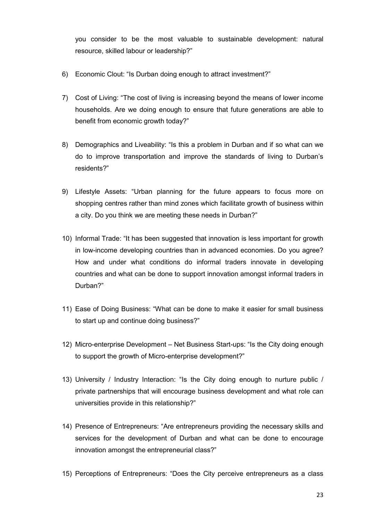you consider to be the most valuable to sustainable development: natural resource, skilled labour or leadership?"

- 6) Economic Clout: "Is Durban doing enough to attract investment?"
- 7) Cost of Living: "The cost of living is increasing beyond the means of lower income households. Are we doing enough to ensure that future generations are able to benefit from economic growth today?"
- 8) Demographics and Liveability: "Is this a problem in Durban and if so what can we do to improve transportation and improve the standards of living to Durban's residents?"
- 9) Lifestyle Assets: "Urban planning for the future appears to focus more on shopping centres rather than mind zones which facilitate growth of business within a city. Do you think we are meeting these needs in Durban?"
- 10) Informal Trade: "It has been suggested that innovation is less important for growth in low-income developing countries than in advanced economies. Do you agree? How and under what conditions do informal traders innovate in developing countries and what can be done to support innovation amongst informal traders in Durban?"
- 11) Ease of Doing Business: "What can be done to make it easier for small business to start up and continue doing business?"
- 12) Micro-enterprise Development Net Business Start-ups: "Is the City doing enough to support the growth of Micro-enterprise development?"
- 13) University / Industry Interaction: "Is the City doing enough to nurture public / private partnerships that will encourage business development and what role can universities provide in this relationship?"
- 14) Presence of Entrepreneurs: "Are entrepreneurs providing the necessary skills and services for the development of Durban and what can be done to encourage innovation amongst the entrepreneurial class?"
- 15) Perceptions of Entrepreneurs: "Does the City perceive entrepreneurs as a class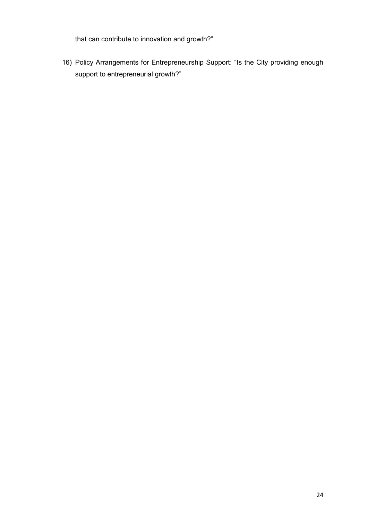that can contribute to innovation and growth?"

16) Policy Arrangements for Entrepreneurship Support: "Is the City providing enough support to entrepreneurial growth?"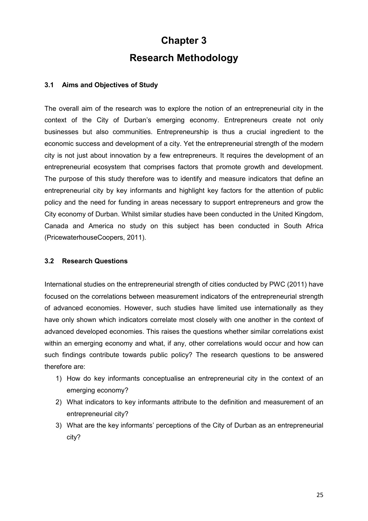# **Chapter 3 Research Methodology**

# **3.1 Aims and Objectives of Study**

The overall aim of the research was to explore the notion of an entrepreneurial city in the context of the City of Durban's emerging economy. Entrepreneurs create not only businesses but also communities. Entrepreneurship is thus a crucial ingredient to the economic success and development of a city. Yet the entrepreneurial strength of the modern city is not just about innovation by a few entrepreneurs. It requires the development of an entrepreneurial ecosystem that comprises factors that promote growth and development. The purpose of this study therefore was to identify and measure indicators that define an entrepreneurial city by key informants and highlight key factors for the attention of public policy and the need for funding in areas necessary to support entrepreneurs and grow the City economy of Durban. Whilst similar studies have been conducted in the United Kingdom, Canada and America no study on this subject has been conducted in South Africa (PricewaterhouseCoopers, 2011).

# **3.2 Research Questions**

International studies on the entrepreneurial strength of cities conducted by PWC (2011) have focused on the correlations between measurement indicators of the entrepreneurial strength of advanced economies. However, such studies have limited use internationally as they have only shown which indicators correlate most closely with one another in the context of advanced developed economies. This raises the questions whether similar correlations exist within an emerging economy and what, if any, other correlations would occur and how can such findings contribute towards public policy? The research questions to be answered therefore are:

- 1) How do key informants conceptualise an entrepreneurial city in the context of an emerging economy?
- 2) What indicators to key informants attribute to the definition and measurement of an entrepreneurial city?
- 3) What are the key informants' perceptions of the City of Durban as an entrepreneurial city?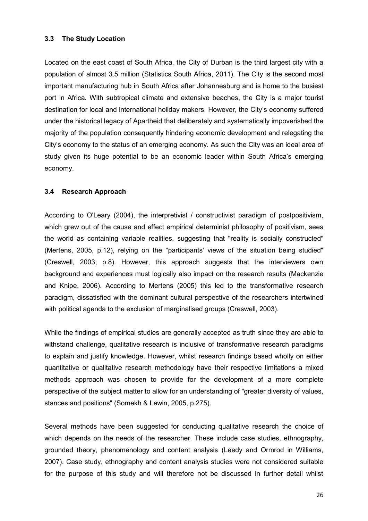#### **3.3 The Study Location**

Located on the east coast of South Africa, the City of Durban is the third largest city with a population of almost 3.5 million (Statistics South Africa, 2011). The City is the second most important manufacturing hub in South Africa after [Johannesburg](http://en.wikipedia.org/wiki/Johannesburg) and is home to the busiest port in Africa. With subtropical climate and extensive beaches, the City is a major tourist destination for local and international holiday makers. However, the City's economy suffered under the historical legacy of Apartheid that deliberately and systematically impoverished the majority of the population consequently hindering economic development and relegating the City's economy to the status of an emerging economy. As such the City was an ideal area of study given its huge potential to be an economic leader within South Africa's emerging economy.

#### **3.4 Research Approach**

According to O'Leary (2004), the interpretivist / constructivist paradigm of postpositivism, which grew out of the cause and effect empirical determinist philosophy of positivism, sees the world as containing variable realities, suggesting that "reality is socially constructed" (Mertens, 2005, p.12), relying on the "participants' views of the situation being studied" (Creswell, 2003, p.8). However, this approach suggests that the interviewers own background and experiences must logically also impact on the research results (Mackenzie and Knipe, 2006). According to Mertens (2005) this led to the transformative research paradigm, dissatisfied with the dominant cultural perspective of the researchers intertwined with political agenda to the exclusion of marginalised groups (Creswell, 2003).

While the findings of empirical studies are generally accepted as truth since they are able to withstand challenge, qualitative research is inclusive of transformative research paradigms to explain and justify knowledge. However, whilst research findings based wholly on either quantitative or qualitative research methodology have their respective limitations a mixed methods approach was chosen to provide for the development of a more complete perspective of the subject matter to allow for an understanding of "greater diversity of values, stances and positions" (Somekh & Lewin, 2005, p.275).

Several methods have been suggested for conducting qualitative research the choice of which depends on the needs of the researcher. These include case studies, ethnography, grounded theory, phenomenology and content analysis (Leedy and Ormrod in Williams, 2007). Case study, ethnography and content analysis studies were not considered suitable for the purpose of this study and will therefore not be discussed in further detail whilst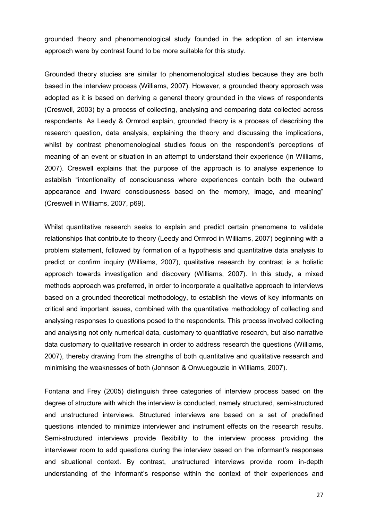grounded theory and phenomenological study founded in the adoption of an interview approach were by contrast found to be more suitable for this study.

Grounded theory studies are similar to phenomenological studies because they are both based in the interview process (Williams, 2007). However, a grounded theory approach was adopted as it is based on deriving a general theory grounded in the views of respondents (Creswell, 2003) by a process of collecting, analysing and comparing data collected across respondents. As Leedy & Ormrod explain, grounded theory is a process of describing the research question, data analysis, explaining the theory and discussing the implications, whilst by contrast phenomenological studies focus on the respondent's perceptions of meaning of an event or situation in an attempt to understand their experience (in Williams, 2007). Creswell explains that the purpose of the approach is to analyse experience to establish "intentionality of consciousness where experiences contain both the outward appearance and inward consciousness based on the memory, image, and meaning" (Creswell in Williams, 2007, p69).

Whilst quantitative research seeks to explain and predict certain phenomena to validate relationships that contribute to theory (Leedy and Ormrod in Williams, 2007) beginning with a problem statement, followed by formation of a hypothesis and quantitative data analysis to predict or confirm inquiry (Williams, 2007), qualitative research by contrast is a holistic approach towards investigation and discovery (Williams, 2007). In this study, a mixed methods approach was preferred, in order to incorporate a qualitative approach to interviews based on a grounded theoretical methodology, to establish the views of key informants on critical and important issues, combined with the quantitative methodology of collecting and analysing responses to questions posed to the respondents. This process involved collecting and analysing not only numerical data, customary to quantitative research, but also narrative data customary to qualitative research in order to address research the questions (Williams, 2007), thereby drawing from the strengths of both quantitative and qualitative research and minimising the weaknesses of both (Johnson & Onwuegbuzie in Williams, 2007).

Fontana and Frey (2005) distinguish three categories of interview process based on the degree of structure with which the interview is conducted, namely structured, semi-structured and unstructured interviews. Structured interviews are based on a set of predefined questions intended to minimize interviewer and instrument effects on the research results. Semi-structured interviews provide flexibility to the interview process providing the interviewer room to add questions during the interview based on the informant's responses and situational context. By contrast, unstructured interviews provide room in-depth understanding of the informant's response within the context of their experiences and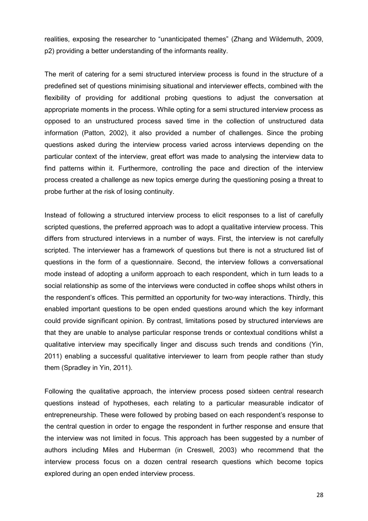realities, exposing the researcher to "unanticipated themes" (Zhang and Wildemuth, 2009, p2) providing a better understanding of the informants reality.

The merit of catering for a semi structured interview process is found in the structure of a predefined set of questions minimising situational and interviewer effects, combined with the flexibility of providing for additional probing questions to adjust the conversation at appropriate moments in the process. While opting for a semi structured interview process as opposed to an unstructured process saved time in the collection of unstructured data information (Patton, 2002), it also provided a number of challenges. Since the probing questions asked during the interview process varied across interviews depending on the particular context of the interview, great effort was made to analysing the interview data to find patterns within it. Furthermore, controlling the pace and direction of the interview process created a challenge as new topics emerge during the questioning posing a threat to probe further at the risk of losing continuity.

Instead of following a structured interview process to elicit responses to a list of carefully scripted questions, the preferred approach was to adopt a qualitative interview process. This differs from structured interviews in a number of ways. First, the interview is not carefully scripted. The interviewer has a framework of questions but there is not a structured list of questions in the form of a questionnaire. Second, the interview follows a conversational mode instead of adopting a uniform approach to each respondent, which in turn leads to a social relationship as some of the interviews were conducted in coffee shops whilst others in the respondent's offices. This permitted an opportunity for two-way interactions. Thirdly, this enabled important questions to be open ended questions around which the key informant could provide significant opinion. By contrast, limitations posed by structured interviews are that they are unable to analyse particular response trends or contextual conditions whilst a qualitative interview may specifically linger and discuss such trends and conditions (Yin, 2011) enabling a successful qualitative interviewer to learn from people rather than study them (Spradley in Yin, 2011).

Following the qualitative approach, the interview process posed sixteen central research questions instead of hypotheses, each relating to a particular measurable indicator of entrepreneurship. These were followed by probing based on each respondent's response to the central question in order to engage the respondent in further response and ensure that the interview was not limited in focus. This approach has been suggested by a number of authors including Miles and Huberman (in Creswell, 2003) who recommend that the interview process focus on a dozen central research questions which become topics explored during an open ended interview process.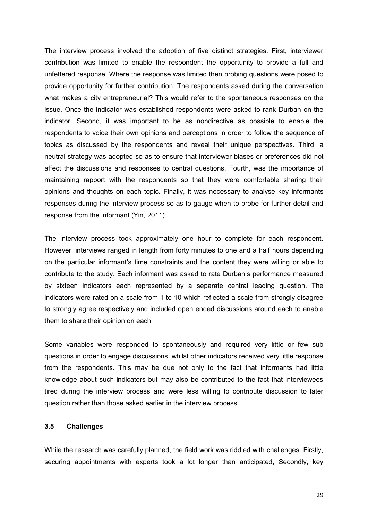The interview process involved the adoption of five distinct strategies. First, interviewer contribution was limited to enable the respondent the opportunity to provide a full and unfettered response. Where the response was limited then probing questions were posed to provide opportunity for further contribution. The respondents asked during the conversation what makes a city entrepreneurial? This would refer to the spontaneous responses on the issue. Once the indicator was established respondents were asked to rank Durban on the indicator. Second, it was important to be as nondirective as possible to enable the respondents to voice their own opinions and perceptions in order to follow the sequence of topics as discussed by the respondents and reveal their unique perspectives. Third, a neutral strategy was adopted so as to ensure that interviewer biases or preferences did not affect the discussions and responses to central questions. Fourth, was the importance of maintaining rapport with the respondents so that they were comfortable sharing their opinions and thoughts on each topic. Finally, it was necessary to analyse key informants responses during the interview process so as to gauge when to probe for further detail and response from the informant (Yin, 2011).

The interview process took approximately one hour to complete for each respondent. However, interviews ranged in length from forty minutes to one and a half hours depending on the particular informant's time constraints and the content they were willing or able to contribute to the study. Each informant was asked to rate Durban's performance measured by sixteen indicators each represented by a separate central leading question. The indicators were rated on a scale from 1 to 10 which reflected a scale from strongly disagree to strongly agree respectively and included open ended discussions around each to enable them to share their opinion on each.

Some variables were responded to spontaneously and required very little or few sub questions in order to engage discussions, whilst other indicators received very little response from the respondents. This may be due not only to the fact that informants had little knowledge about such indicators but may also be contributed to the fact that interviewees tired during the interview process and were less willing to contribute discussion to later question rather than those asked earlier in the interview process.

#### **3.5 Challenges**

While the research was carefully planned, the field work was riddled with challenges. Firstly, securing appointments with experts took a lot longer than anticipated, Secondly, key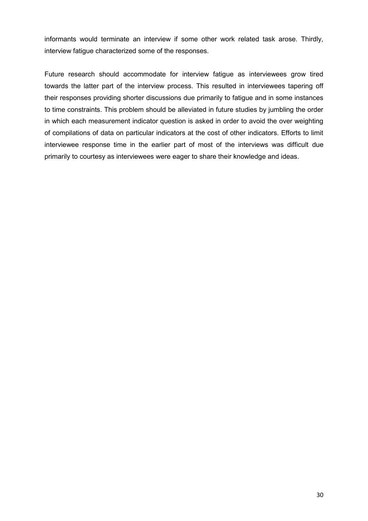informants would terminate an interview if some other work related task arose. Thirdly, interview fatigue characterized some of the responses.

Future research should accommodate for interview fatigue as interviewees grow tired towards the latter part of the interview process. This resulted in interviewees tapering off their responses providing shorter discussions due primarily to fatigue and in some instances to time constraints. This problem should be alleviated in future studies by jumbling the order in which each measurement indicator question is asked in order to avoid the over weighting of compilations of data on particular indicators at the cost of other indicators. Efforts to limit interviewee response time in the earlier part of most of the interviews was difficult due primarily to courtesy as interviewees were eager to share their knowledge and ideas.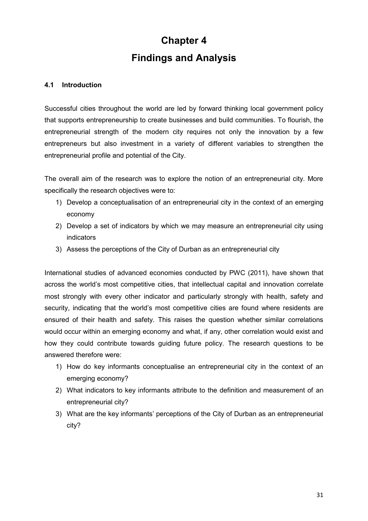# **Chapter 4 Findings and Analysis**

# **4.1 Introduction**

Successful cities throughout the world are led by forward thinking local government policy that supports entrepreneurship to create businesses and build communities. To flourish, the entrepreneurial strength of the modern city requires not only the innovation by a few entrepreneurs but also investment in a variety of different variables to strengthen the entrepreneurial profile and potential of the City.

The overall aim of the research was to explore the notion of an entrepreneurial city. More specifically the research objectives were to:

- 1) Develop a conceptualisation of an entrepreneurial city in the context of an emerging economy
- 2) Develop a set of indicators by which we may measure an entrepreneurial city using indicators
- 3) Assess the perceptions of the City of Durban as an entrepreneurial city

International studies of advanced economies conducted by PWC (2011), have shown that across the world's most competitive cities, that intellectual capital and innovation correlate most strongly with every other indicator and particularly strongly with health, safety and security, indicating that the world's most competitive cities are found where residents are ensured of their health and safety. This raises the question whether similar correlations would occur within an emerging economy and what, if any, other correlation would exist and how they could contribute towards guiding future policy. The research questions to be answered therefore were:

- 1) How do key informants conceptualise an entrepreneurial city in the context of an emerging economy?
- 2) What indicators to key informants attribute to the definition and measurement of an entrepreneurial city?
- 3) What are the key informants' perceptions of the City of Durban as an entrepreneurial city?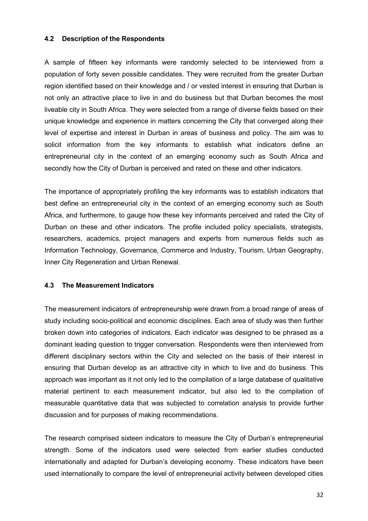#### **4.2 Description of the Respondents**

A sample of fifteen key informants were randomly selected to be interviewed from a population of forty seven possible candidates. They were recruited from the greater Durban region identified based on their knowledge and / or vested interest in ensuring that Durban is not only an attractive place to live in and do business but that Durban becomes the most liveable city in South Africa. They were selected from a range of diverse fields based on their unique knowledge and experience in matters concerning the City that converged along their level of expertise and interest in Durban in areas of business and policy. The aim was to solicit information from the key informants to establish what indicators define an entrepreneurial city in the context of an emerging economy such as South Africa and secondly how the City of Durban is perceived and rated on these and other indicators.

The importance of appropriately profiling the key informants was to establish indicators that best define an entrepreneurial city in the context of an emerging economy such as South Africa, and furthermore, to gauge how these key informants perceived and rated the City of Durban on these and other indicators. The profile included policy specialists, strategists, researchers, academics, project managers and experts from numerous fields such as Information Technology, Governance*,* Commerce and Industry, Tourism, Urban Geography, Inner City Regeneration and Urban Renewal.

# **4.3 The Measurement Indicators**

The measurement indicators of entrepreneurship were drawn from a broad range of areas of study including socio-political and economic disciplines. Each area of study was then further broken down into categories of indicators. Each indicator was designed to be phrased as a dominant leading question to trigger conversation. Respondents were then interviewed from different disciplinary sectors within the City and selected on the basis of their interest in ensuring that Durban develop as an attractive city in which to live and do business. This approach was important as it not only led to the compilation of a large database of qualitative material pertinent to each measurement indicator, but also led to the compilation of measurable quantitative data that was subjected to correlation analysis to provide further discussion and for purposes of making recommendations.

The research comprised sixteen indicators to measure the City of Durban's entrepreneurial strength. Some of the indicators used were selected from earlier studies conducted internationally and adapted for Durban's developing economy. These indicators have been used internationally to compare the level of entrepreneurial activity between developed cities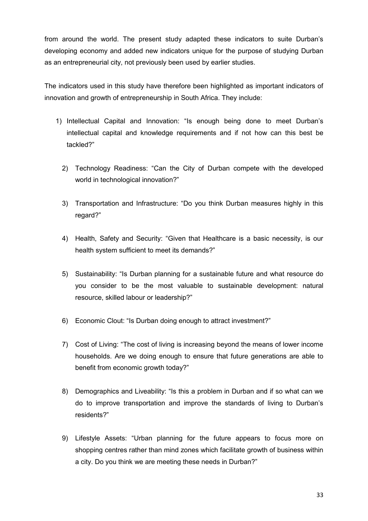from around the world. The present study adapted these indicators to suite Durban's developing economy and added new indicators unique for the purpose of studying Durban as an entrepreneurial city, not previously been used by earlier studies.

The indicators used in this study have therefore been highlighted as important indicators of innovation and growth of entrepreneurship in South Africa. They include:

- 1) Intellectual Capital and Innovation: "Is enough being done to meet Durban's intellectual capital and knowledge requirements and if not how can this best be tackled?"
	- 2) Technology Readiness: "Can the City of Durban compete with the developed world in technological innovation?"
	- 3) Transportation and Infrastructure: "Do you think Durban measures highly in this regard?"
	- 4) Health, Safety and Security: "Given that Healthcare is a basic necessity, is our health system sufficient to meet its demands?"
	- 5) Sustainability: "Is Durban planning for a sustainable future and what resource do you consider to be the most valuable to sustainable development: natural resource, skilled labour or leadership?"
	- 6) Economic Clout: "Is Durban doing enough to attract investment?"
	- 7) Cost of Living: "The cost of living is increasing beyond the means of lower income households. Are we doing enough to ensure that future generations are able to benefit from economic growth today?"
	- 8) Demographics and Liveability: "Is this a problem in Durban and if so what can we do to improve transportation and improve the standards of living to Durban's residents?"
	- 9) Lifestyle Assets: "Urban planning for the future appears to focus more on shopping centres rather than mind zones which facilitate growth of business within a city. Do you think we are meeting these needs in Durban?"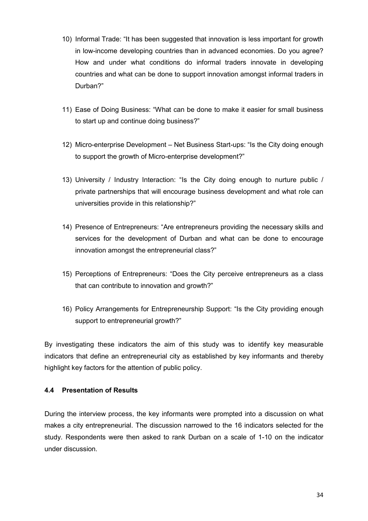- 10) Informal Trade: "It has been suggested that innovation is less important for growth in low-income developing countries than in advanced economies. Do you agree? How and under what conditions do informal traders innovate in developing countries and what can be done to support innovation amongst informal traders in Durban?"
- 11) Ease of Doing Business: "What can be done to make it easier for small business to start up and continue doing business?"
- 12) Micro-enterprise Development Net Business Start-ups: "Is the City doing enough to support the growth of Micro-enterprise development?"
- 13) University / Industry Interaction: "Is the City doing enough to nurture public / private partnerships that will encourage business development and what role can universities provide in this relationship?"
- 14) Presence of Entrepreneurs: "Are entrepreneurs providing the necessary skills and services for the development of Durban and what can be done to encourage innovation amongst the entrepreneurial class?"
- 15) Perceptions of Entrepreneurs: "Does the City perceive entrepreneurs as a class that can contribute to innovation and growth?"
- 16) Policy Arrangements for Entrepreneurship Support: "Is the City providing enough support to entrepreneurial growth?"

By investigating these indicators the aim of this study was to identify key measurable indicators that define an entrepreneurial city as established by key informants and thereby highlight key factors for the attention of public policy.

# **4.4 Presentation of Results**

During the interview process, the key informants were prompted into a discussion on what makes a city entrepreneurial. The discussion narrowed to the 16 indicators selected for the study. Respondents were then asked to rank Durban on a scale of 1-10 on the indicator under discussion.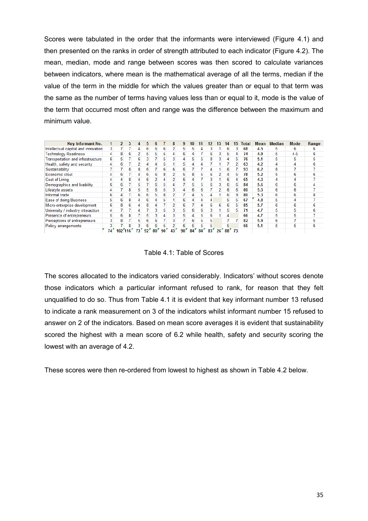Scores were tabulated in the order that the informants were interviewed (Figure 4.1) and then presented on the ranks in order of strength attributed to each indicator (Figure 4.2). The mean, median, mode and range between scores was then scored to calculate variances between indicators, where mean is the mathematical average of all the terms, median if the value of the term in the middle for which the values greater than or equal to that term was the same as the number of terms having values less than or equal to it, mode is the value of the term that occurred most often and range was the difference between the maximum and minimum value.

| Key Informant No.                   |    |          |   |    |    |    |    | 8             | 9  |    |    |     | 3               | 14              | 15 | otal | Mean | <b>Median</b> | Mode    | Range |
|-------------------------------------|----|----------|---|----|----|----|----|---------------|----|----|----|-----|-----------------|-----------------|----|------|------|---------------|---------|-------|
| Intellectual capital and innovation |    |          |   | Δ  | 6  | 6  | 6  |               | 5  | b. |    |     |                 | ь               |    | 68   | 4.5  | 5             | 6       |       |
| <b>Technology Readiness</b>         |    | 8        | 6 |    | 5  | 5  | 5  |               | 6  |    |    | 6   | 3               | 5               | 4  | 74   | 4.9  | 5             | $4 - 5$ | ь     |
| Transportation and infrastructure   |    | 5        |   | 6  |    |    | 5  |               |    |    |    | 8   | 3               |                 | 5  | 76   | 5.1  | 5             | 5       |       |
| Health, safety and security         |    | 6        |   |    |    |    |    |               | 5  |    |    |     |                 |                 |    | 63   | 4.2  | 4             |         |       |
| Sustainability                      |    |          | 8 | 8  | 6  |    | 6  | 6             | 6  |    |    |     |                 | 6               |    | 93   | 6.2  | 8             |         |       |
| Economic clout                      |    | 6        |   |    | 6  | 6. | 8  |               | 5  | 8  | 5  | 6   |                 |                 | 5  | 78   | 5.2  | 5             | 6       |       |
| <b>Cost of Living</b>               |    |          | 8 |    | 6  |    |    |               | 6  |    |    |     |                 | 6               |    | 65   | 4.3  | 4             |         |       |
| Demographics and livability         | 6  | 6        |   | 5. |    | 6. | 5  |               |    | 5. | 5  | 6   | 3               | 6               | 6  | 84   | 5.6  | 6             | 6       |       |
| Lifestyle assets                    |    |          | 8 | 5. | 5  | 6  | 5  | 3             |    | 6  | 6  |     | 2               | 6               | 6  | 80   | 5.3  | 6             | 6       |       |
| Informal trade                      | 6  |          |   | 6  | 6  | 5. | 8  |               |    | 4  | 5  |     |                 | 6               | 9  | 80   | 5.3  | 6             | 6       | 8     |
| <b>Ease of doing Business</b>       | 5  | 6        | 8 | 4  | 6  | 4  | 5  |               | 6  | 4  | 4  |     |                 | 5               | 5  | 67   | 4.8  | 5             | 4       |       |
| Micro-enterprise development        | 6  | 8        | 6 | 4  | 8  | 4  |    |               | 6  |    | 4  | 6   | 6.              | 6               | 5  | 85   | 5.7  | 6             | 6       | 6     |
| University / industry interaction   | 4  |          |   | 4  |    | 3. | 5  | 3             | 5  | 6  | 6  | 3   |                 | 5               | 5  | 71   | 4.7  | 5             | 5       | 6     |
| Presence of entrepreneurs           | 5  | 6        | 8 |    | 5  |    | 4  | 3             | 5  | 4  | 5  | 6   |                 | 4               |    | 66   | 4.7  | 5             | 5       |       |
| Perceptions of entrepreneurs        |    | 8        |   | 5  | 6  | 6  |    | 3             |    | 6  | 5  | 5   |                 |                 |    | 82   | 5.9  | 6             |         | ь     |
| Policy arrangements                 |    |          |   |    |    |    | 5  | $\mathcal{P}$ | 6  | ь. | 5  | 5   |                 | 5               |    | 66   | 5.1  | 5             | 5       | 6     |
|                                     | 74 | 102'116' |   |    | 92 | 80 | 90 | 43            | 90 | 84 | 84 | 83' | 26 <sup>r</sup> | 88 <sup>7</sup> | 73 |      |      |               |         |       |

Table 4.1: Table of Scores

The scores allocated to the indicators varied considerably. Indicators' without scores denote those indicators which a particular informant refused to rank, for reason that they felt unqualified to do so. Thus from Table 4.1 it is evident that key informant number 13 refused to indicate a rank measurement on 3 of the indicators whilst informant number 15 refused to answer on 2 of the indicators. Based on mean score averages it is evident that sustainability scored the highest with a mean score of 6.2 while health, safety and security scoring the lowest with an average of 4.2.

These scores were then re-ordered from lowest to highest as shown in Table 4.2 below.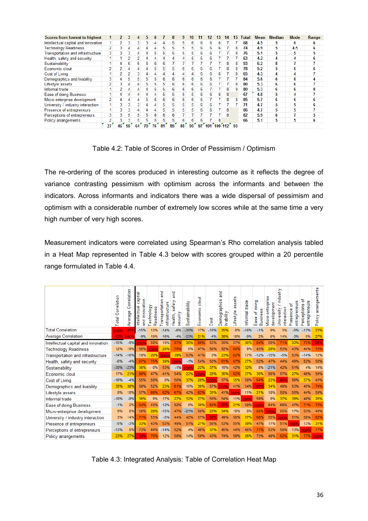| <b>Scores from lowest to highest</b>     |    |                |    |    |    |    |    |    | q  |    |    |             |    | 14 | 15 | Total | Mean | <b>Median</b> | Mode  | Range |
|------------------------------------------|----|----------------|----|----|----|----|----|----|----|----|----|-------------|----|----|----|-------|------|---------------|-------|-------|
| Intellectual capital and innovation      |    | 2              |    |    |    |    |    | 5  |    |    | h  | 6           | 6. |    |    | 68    | 4.5  | 5             | 6     |       |
| <b>Technology Readiness</b>              |    | 3              |    |    |    |    | 5  | 5  | 5  |    | 6  | 6           | 6  |    | 8  | 74    | 4.9  | 5             | $4-5$ | n     |
| <b>Transportation and infrastructure</b> |    |                |    |    |    | 5  | 5  | 5  | ь  |    | 6  | 6           |    |    | 8  | 76    | 5.1  | 5             | 5     |       |
| Health, safety and security              |    |                |    |    |    |    | 4  |    |    |    | 5  | 6           |    |    |    | 63    | 4.2  | 4             | 4     | h     |
| Sustainability                           |    | 4              |    | ь  |    | 6  | 6  |    |    |    |    |             |    | 8  | 8  | 93    | 6.2  | 8             |       |       |
| Economic clout                           |    |                |    |    |    | 5  | 5  | 5  | 6  |    | 6  | 6           |    | 8  | 8  | 78    | 5.2  | 5             | 6     |       |
| <b>Cost of Living</b>                    |    | 2              |    |    |    |    | 4  | 4  | 4  |    | 6  | 6           | 6. |    | 8  | 65    | 4.3  | 4             | 4     |       |
| Demographics and livability              |    | 4              |    |    | 5  | 5  | 6  | 6  | 6  | 6  | 6  | 6           |    |    |    | 84    | 5.6  | 6             | 6     |       |
| Lifestyle assets                         |    | 3              |    | 4  |    |    | 5  | 6  | 6  | 6  | 6  | 6           |    |    | 8  | 80    | 5.3  | 6             | 6     |       |
| Informal trade                           |    | $\overline{2}$ |    |    |    | 5  | 5  | 6  | 6  | 6  | 6  |             |    | 8  | 9  | 80    | 5.3  | 6             | 6     |       |
| Ease of doing Business                   |    | 4              |    |    |    |    | 5  |    |    |    | 6  | 6           |    | 8  |    | 67    | 4.8  | 5             |       |       |
| Micro-enterprise development             |    |                |    |    |    |    | 6  | 6  |    |    | 6  |             |    | 8  | 8  | 85    | 5.7  | 6             |       |       |
| University / industry interaction        |    | 3              |    |    |    |    | 5  | 5  |    |    | 6  | 6           |    |    |    | 71    | 4.7  | 5             |       |       |
| Presence of entrepreneurs                |    | 3              |    |    |    |    | 5. | 5  |    |    | 6  | 6           |    | 8  |    | 66    | 4.7  | 5             |       |       |
| Perceptions of entrepreneurs             |    | 3              |    | 5  |    |    | 6  | 6  |    |    |    |             |    | 8  |    | 82    | 5.9  | 6             |       |       |
| Policy arrangements                      |    | 3              |    |    |    |    | 5. | 5  |    |    | 6  |             |    |    |    | 66    | 5.1  | 5             | 5     | ь     |
|                                          | 27 | 46             | 59 | 64 | 70 | 76 | 81 | 85 | 88 | 90 | 97 | $101$ $109$ |    |    | 93 |       |      |               |       |       |

Table 4.2: Table of Scores in Order of Pessimism / Optimism

The re-ordering of the scores produced in interesting outcome as it reflects the degree of variance contrasting pessimism with optimism across the informants and between the indicators. Across informants and indicators there was a wide dispersal of pessimism and optimism with a considerable number of extremely low scores while at the same time a very high number of very high scores.

Measurement indicators were correlated using Spearman's Rho correlation analysis tabled in a Heat Map represented in Table 4.3 below with scores grouped within a 20 percentile range formulated in Table 4.4.

|                                          | Correlation<br>otal | orrelation<br>O<br>கு<br>era<br>≹ | capital<br>ation<br>Intellectual<br>innov<br>g | echnology<br>Readiness | gu<br>ransportation<br>infrastructure | 픊<br>safety<br>security<br>Health, | Sustainability | clout<br>conomic<br>யி | 芴<br>ö<br>Ō | 뎥<br>Demographics<br>livability | sets<br>S<br>ōσ<br>estyle<br>€ | nformal trade | doing<br><b>Business</b><br>ቴ<br>Ease | viicro-enterprise<br>development | /industry<br>interaction<br><b>Jniversity</b> | entrepreneurs<br>፟፟፟፟፟፟፟<br>Presence | ፞፝፝፝፝፝፝<br>entrepreneurs<br>erceptions<br>ñ | arrangements<br>olicy<br>Δ |
|------------------------------------------|---------------------|-----------------------------------|------------------------------------------------|------------------------|---------------------------------------|------------------------------------|----------------|------------------------|-------------|---------------------------------|--------------------------------|---------------|---------------------------------------|----------------------------------|-----------------------------------------------|--------------------------------------|---------------------------------------------|----------------------------|
| <b>Total Correlation</b>                 | 100%                | 929                               | $-15%$                                         |                        |                                       | $-6%$                              | $-30%$         | 17%                    | $-16%$      | 35%                             | 8%                             | $-18%$        | $-1%$                                 |                                  | 3%                                            | -5%                                  | $-13%$                                      | 23%                        |
| <b>Average Correlation</b>               | 92%                 | 1009                              | $-9%$                                          | 19%                    | $-16%$                                | $-4%$                              | $-23%$         | 21%                    | $-4%$       | 38%                             | 18%                            | $-9%$         | 2%                                    | 6%                               | 14%                                           | $-3%$                                | 0%                                          | 27%                        |
| Intellectual capital and innovation      | $-15%$              | $-9%$                             | 00%                                            | 58%                    | 19%                                   | 67%                                | 36%            | 66%                    | 55%         | 56%                             | 57%                            | 36%           | 64%                                   | 50%                              | 71%                                           | 33%                                  | 73%                                         | 84%                        |
| <b>Technology Readiness</b>              | 12%                 | 19%                               | 58%                                            |                        | 20%                                   | 75%                                | 0%             | 47%                    | 50%         | 52%                             | 60%                            | 9%            | 43%                                   | 28%                              | 53%                                           | 43%                                  | 44%                                         | 70%                        |
| <b>Transportation and infrastructure</b> | $-14%$              | $-16%$                            | 19%                                            | 20%                    | 1009                                  | 39%                                | 53%            | 41%                    | 0%          | 23%                             | 62%                            | 17%           | $-12%$                                | $-15%$                           | $-5%$                                         | 53%                                  | $-14%$                                      | 12%                        |
| Health, safety and security              | $-6%$               | $-4%$                             | 67%                                            | 75%                    | 39%                                   |                                    | $-1%$          | 54%                    | 50%         |                                 |                                | 27%           | 52%                                   |                                  | 44%                                           |                                      |                                             | 58%                        |
| Sustainability                           | $-30%$              | $-23%$                            | 36%                                            | 0%                     | 53%                                   | $-1%$                              | 00%            | 22%                    | 37%         | 16%                             | 42%                            | 32%           | 8%                                    | $-21%$                           | 42%                                           | 51%                                  | 4%                                          | 14%                        |
| Economic clout                           | 17%                 | 21%                               | 66%                                            | 47%                    | 41%                                   |                                    |                | 00%                    | 28%         | 36%                             |                                | 27%           | 30%                                   | 56%                              | 57%                                           | 27%                                  | 46%                                         | 59%                        |
| Cost of Living                           | $-16%$              | $-4%$                             | 55%                                            | 50%                    | 0%                                    | 50%                                | 37%            | 28%                    | 1009        | 57%                             | 35%                            | 58%           | 64%                                   | 23%                              | 80%                                           | 56%                                  | 37%                                         | 43%                        |
| Demographics and livability              | 35%                 | 38%                               | 56%                                            | 52%                    | 23%                                   | 61%                                | 16%            | 36%                    | 57%         | 1009                            | 41%                            | 54%           | 80%                                   | 34%                              | 49%                                           | 53%                                  | 45%                                         | 74%                        |
| Lifestyle assets                         | 8%                  | 18%                               | 57%                                            |                        | 62%                                   |                                    | 42%            | 62%                    | 35%         | 41%                             | 1009                           | 11%           | 21%                                   | 18%                              | 50%                                           | 55%                                  | 44%                                         | 59%                        |
| Informal trade                           | $-18%$              | $-9%$                             | 36%                                            | 9%                     | 17%                                   | 27%                                | 32%            | 27%                    | 58%         | 54%                             | 11%                            | 1009          | 59%                                   | 8%                               | 37%                                           | 39%                                  | 46%                                         | 26%                        |
| Ease of doing Business                   | $-1%$               | 2%                                | 64%                                            | 43%                    | $-12%$                                | 52%                                | 8%             | 30%                    | 64%         | 80%                             | 21%                            | 59%           | 00%                                   | 64%                              | 68%                                           |                                      |                                             | 73%                        |
| Micro-enterprise development             | 9%                  | 6%                                | 50%                                            | 28%                    | $-15%$                                | 47%                                | $-21%$         | 56%                    | 23%         | 34%                             | 18%                            | 8%            | 64%                                   | 1009                             | 55%                                           | 17%                                  | 53%                                         | 49%                        |
| University / industry interaction        | 3%                  | 14%                               | 71%                                            | 53%                    | $-5%$                                 | 44%                                | 42%            | 57%                    | 80%         | 49%                             | 50%                            | 37%           | 68%                                   | 55%                              | 1009                                          | 51%                                  | 58%                                         | 62%                        |
| Presence of entrepreneurs                | $-5%$               | $-3%$                             | 33%                                            | 43%                    | 53%                                   | 49%                                | 51%            | 27%                    | 56%         | 53%                             | 55%                            | 39%           | 47%                                   | 17%                              | 51%                                           | 1009                                 | 13%                                         | 31%                        |
| Perceptions of entrepreneurs             | $-13%$              | 0%                                | 73%                                            | 44%                    | $-14%$                                | 52%                                | 4%             | 46%                    |             | 45%                             | 44%                            | 46%           | 71%                                   | 53%                              | 58%                                           | 13%                                  | 100%                                        | 77%                        |
| Policy arrangements                      | 23%                 | 27%                               | 84%                                            | 70%                    | 12%                                   | 58%                                | 14%            | 59%                    | 43%         | 74%                             | 59%                            | 26%           | 73%                                   | 49%                              | 62%                                           | 31%                                  | 77%                                         | 100%                       |

Table 4.3: Integrated Analysis: Table of Correlation Heat Map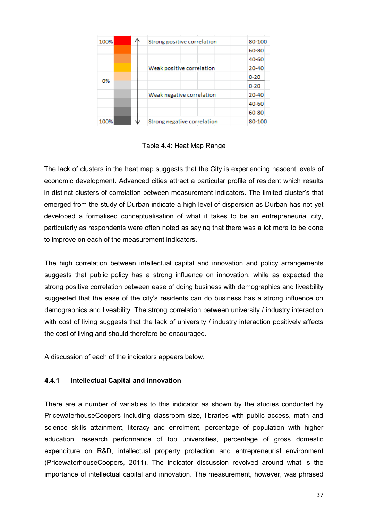| 100% |  | Strong positive correlation | 80-100   |
|------|--|-----------------------------|----------|
|      |  |                             | 60-80    |
|      |  |                             | 40-60    |
|      |  | Weak positive correlation   | 20-40    |
| 0%   |  |                             | $0 - 20$ |
|      |  |                             | $0 - 20$ |
|      |  | Weak negative correlation   | 20-40    |
|      |  |                             | 40-60    |
|      |  |                             | 60-80    |
| 100% |  | Strong negative correlation | 80-100   |

Table 4.4: Heat Map Range

The lack of clusters in the heat map suggests that the City is experiencing nascent levels of economic development. Advanced cities attract a particular profile of resident which results in distinct clusters of correlation between measurement indicators. The limited cluster's that emerged from the study of Durban indicate a high level of dispersion as Durban has not yet developed a formalised conceptualisation of what it takes to be an entrepreneurial city, particularly as respondents were often noted as saying that there was a lot more to be done to improve on each of the measurement indicators.

The high correlation between intellectual capital and innovation and policy arrangements suggests that public policy has a strong influence on innovation, while as expected the strong positive correlation between ease of doing business with demographics and liveability suggested that the ease of the city's residents can do business has a strong influence on demographics and liveability. The strong correlation between university / industry interaction with cost of living suggests that the lack of university / industry interaction positively affects the cost of living and should therefore be encouraged.

A discussion of each of the indicators appears below.

#### **4.4.1 Intellectual Capital and Innovation**

There are a number of variables to this indicator as shown by the studies conducted by PricewaterhouseCoopers including classroom size, libraries with public access, math and science skills attainment, literacy and enrolment, percentage of population with higher education, research performance of top universities, percentage of gross domestic expenditure on R&D, intellectual property protection and entrepreneurial environment (PricewaterhouseCoopers, 2011). The indicator discussion revolved around what is the importance of intellectual capital and innovation. The measurement, however, was phrased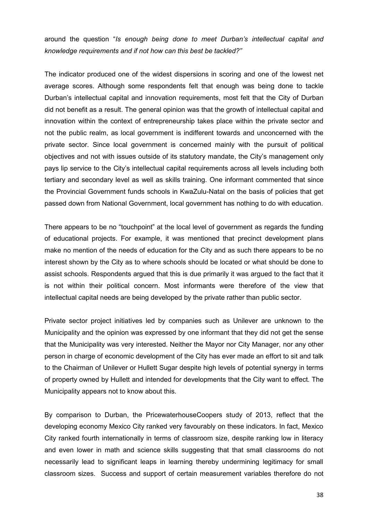around the question "*Is enough being done to meet Durban's intellectual capital and knowledge requirements and if not how can this best be tackled?"* 

The indicator produced one of the widest dispersions in scoring and one of the lowest net average scores. Although some respondents felt that enough was being done to tackle Durban's intellectual capital and innovation requirements, most felt that the City of Durban did not benefit as a result. The general opinion was that the growth of intellectual capital and innovation within the context of entrepreneurship takes place within the private sector and not the public realm, as local government is indifferent towards and unconcerned with the private sector. Since local government is concerned mainly with the pursuit of political objectives and not with issues outside of its statutory mandate, the City's management only pays lip service to the City's intellectual capital requirements across all levels including both tertiary and secondary level as well as skills training. One informant commented that since the Provincial Government funds schools in KwaZulu-Natal on the basis of policies that get passed down from National Government, local government has nothing to do with education.

There appears to be no "touchpoint" at the local level of government as regards the funding of educational projects. For example, it was mentioned that precinct development plans make no mention of the needs of education for the City and as such there appears to be no interest shown by the City as to where schools should be located or what should be done to assist schools. Respondents argued that this is due primarily it was argued to the fact that it is not within their political concern. Most informants were therefore of the view that intellectual capital needs are being developed by the private rather than public sector.

Private sector project initiatives led by companies such as Unilever are unknown to the Municipality and the opinion was expressed by one informant that they did not get the sense that the Municipality was very interested. Neither the Mayor nor City Manager, nor any other person in charge of economic development of the City has ever made an effort to sit and talk to the Chairman of Unilever or Hullett Sugar despite high levels of potential synergy in terms of property owned by Hullett and intended for developments that the City want to effect. The Municipality appears not to know about this.

By comparison to Durban, the PricewaterhouseCoopers study of 2013, reflect that the developing economy Mexico City ranked very favourably on these indicators. In fact, Mexico City ranked fourth internationally in terms of classroom size, despite ranking low in literacy and even lower in math and science skills suggesting that that small classrooms do not necessarily lead to significant leaps in learning thereby undermining legitimacy for small classroom sizes. Success and support of certain measurement variables therefore do not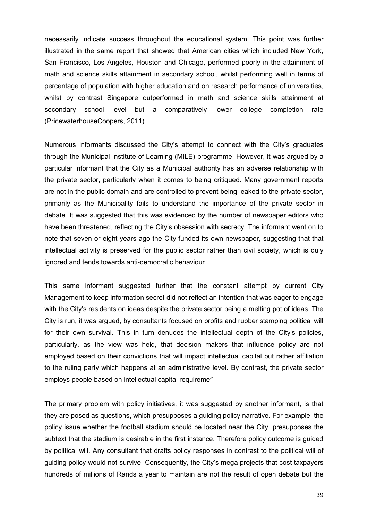necessarily indicate success throughout the educational system. This point was further illustrated in the same report that showed that American cities which included New York, San Francisco, Los Angeles, Houston and Chicago, performed poorly in the attainment of math and science skills attainment in secondary school, whilst performing well in terms of percentage of population with higher education and on research performance of universities, whilst by contrast Singapore outperformed in math and science skills attainment at secondary school level but a comparatively lower college completion rate (PricewaterhouseCoopers, 2011).

Numerous informants discussed the City's attempt to connect with the City's graduates through the Municipal Institute of Learning (MILE) programme. However, it was argued by a particular informant that the City as a Municipal authority has an adverse relationship with the private sector, particularly when it comes to being critiqued. Many government reports are not in the public domain and are controlled to prevent being leaked to the private sector, primarily as the Municipality fails to understand the importance of the private sector in debate. It was suggested that this was evidenced by the number of newspaper editors who have been threatened, reflecting the City's obsession with secrecy. The informant went on to note that seven or eight years ago the City funded its own newspaper, suggesting that that intellectual activity is preserved for the public sector rather than civil society, which is duly ignored and tends towards anti-democratic behaviour.

This same informant suggested further that the constant attempt by current City Management to keep information secret did not reflect an intention that was eager to engage with the City's residents on ideas despite the private sector being a melting pot of ideas. The City is run, it was argued, by consultants focused on profits and rubber stamping political will for their own survival. This in turn denudes the intellectual depth of the City's policies, particularly, as the view was held, that decision makers that influence policy are not employed based on their convictions that will impact intellectual capital but rather affiliation to the ruling party which happens at an administrative level. By contrast, the private sector employs people based on intellectual capital requireme"

The primary problem with policy initiatives, it was suggested by another informant, is that they are posed as questions, which presupposes a guiding policy narrative. For example, the policy issue whether the football stadium should be located near the City, presupposes the subtext that the stadium is desirable in the first instance. Therefore policy outcome is guided by political will. Any consultant that drafts policy responses in contrast to the political will of guiding policy would not survive. Consequently, the City's mega projects that cost taxpayers hundreds of millions of Rands a year to maintain are not the result of open debate but the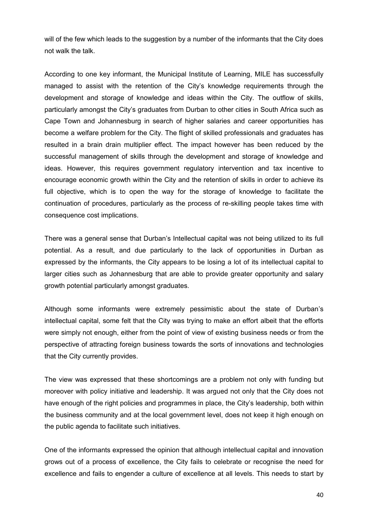will of the few which leads to the suggestion by a number of the informants that the City does not walk the talk.

According to one key informant, the Municipal Institute of Learning, MILE has successfully managed to assist with the retention of the City's knowledge requirements through the development and storage of knowledge and ideas within the City. The outflow of skills, particularly amongst the City's graduates from Durban to other cities in South Africa such as Cape Town and Johannesburg in search of higher salaries and career opportunities has become a welfare problem for the City. The flight of skilled professionals and graduates has resulted in a brain drain multiplier effect. The impact however has been reduced by the successful management of skills through the development and storage of knowledge and ideas. However, this requires government regulatory intervention and tax incentive to encourage economic growth within the City and the retention of skills in order to achieve its full objective, which is to open the way for the storage of knowledge to facilitate the continuation of procedures, particularly as the process of re-skilling people takes time with consequence cost implications.

There was a general sense that Durban's Intellectual capital was not being utilized to its full potential. As a result, and due particularly to the lack of opportunities in Durban as expressed by the informants, the City appears to be losing a lot of its intellectual capital to larger cities such as Johannesburg that are able to provide greater opportunity and salary growth potential particularly amongst graduates.

Although some informants were extremely pessimistic about the state of Durban's intellectual capital, some felt that the City was trying to make an effort albeit that the efforts were simply not enough, either from the point of view of existing business needs or from the perspective of attracting foreign business towards the sorts of innovations and technologies that the City currently provides.

The view was expressed that these shortcomings are a problem not only with funding but moreover with policy initiative and leadership. It was argued not only that the City does not have enough of the right policies and programmes in place, the City's leadership, both within the business community and at the local government level, does not keep it high enough on the public agenda to facilitate such initiatives.

One of the informants expressed the opinion that although intellectual capital and innovation grows out of a process of excellence, the City fails to celebrate or recognise the need for excellence and fails to engender a culture of excellence at all levels. This needs to start by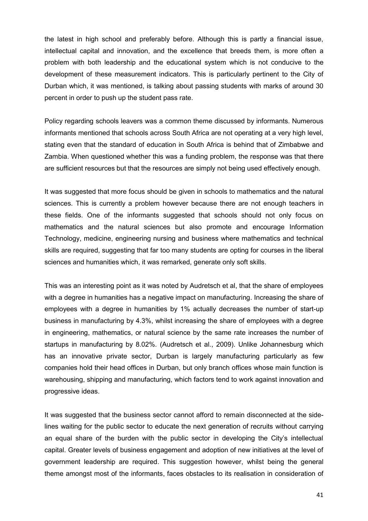the latest in high school and preferably before. Although this is partly a financial issue, intellectual capital and innovation, and the excellence that breeds them, is more often a problem with both leadership and the educational system which is not conducive to the development of these measurement indicators. This is particularly pertinent to the City of Durban which, it was mentioned, is talking about passing students with marks of around 30 percent in order to push up the student pass rate.

Policy regarding schools leavers was a common theme discussed by informants. Numerous informants mentioned that schools across South Africa are not operating at a very high level, stating even that the standard of education in South Africa is behind that of Zimbabwe and Zambia. When questioned whether this was a funding problem, the response was that there are sufficient resources but that the resources are simply not being used effectively enough.

It was suggested that more focus should be given in schools to mathematics and the natural sciences. This is currently a problem however because there are not enough teachers in these fields. One of the informants suggested that schools should not only focus on mathematics and the natural sciences but also promote and encourage Information Technology, medicine, engineering nursing and business where mathematics and technical skills are required, suggesting that far too many students are opting for courses in the liberal sciences and humanities which, it was remarked, generate only soft skills.

This was an interesting point as it was noted by Audretsch et al, that the share of employees with a degree in humanities has a negative impact on manufacturing. Increasing the share of employees with a degree in humanities by 1% actually decreases the number of start-up business in manufacturing by 4.3%, whilst increasing the share of employees with a degree in engineering, mathematics, or natural science by the same rate increases the number of startups in manufacturing by 8.02%. (Audretsch et al., 2009). Unlike Johannesburg which has an innovative private sector, Durban is largely manufacturing particularly as few companies hold their head offices in Durban, but only branch offices whose main function is warehousing, shipping and manufacturing, which factors tend to work against innovation and progressive ideas.

It was suggested that the business sector cannot afford to remain disconnected at the sidelines waiting for the public sector to educate the next generation of recruits without carrying an equal share of the burden with the public sector in developing the City's intellectual capital. Greater levels of business engagement and adoption of new initiatives at the level of government leadership are required. This suggestion however, whilst being the general theme amongst most of the informants, faces obstacles to its realisation in consideration of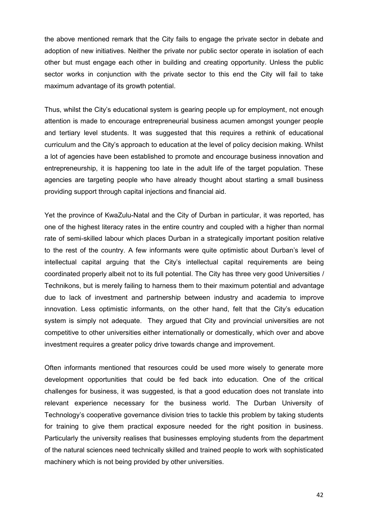the above mentioned remark that the City fails to engage the private sector in debate and adoption of new initiatives. Neither the private nor public sector operate in isolation of each other but must engage each other in building and creating opportunity. Unless the public sector works in conjunction with the private sector to this end the City will fail to take maximum advantage of its growth potential.

Thus, whilst the City's educational system is gearing people up for employment, not enough attention is made to encourage entrepreneurial business acumen amongst younger people and tertiary level students. It was suggested that this requires a rethink of educational curriculum and the City's approach to education at the level of policy decision making. Whilst a lot of agencies have been established to promote and encourage business innovation and entrepreneurship, it is happening too late in the adult life of the target population. These agencies are targeting people who have already thought about starting a small business providing support through capital injections and financial aid.

Yet the province of KwaZulu-Natal and the City of Durban in particular, it was reported, has one of the highest literacy rates in the entire country and coupled with a higher than normal rate of semi-skilled labour which places Durban in a strategically important position relative to the rest of the country. A few informants were quite optimistic about Durban's level of intellectual capital arguing that the City's intellectual capital requirements are being coordinated properly albeit not to its full potential. The City has three very good Universities / Technikons, but is merely failing to harness them to their maximum potential and advantage due to lack of investment and partnership between industry and academia to improve innovation. Less optimistic informants, on the other hand, felt that the City's education system is simply not adequate. They argued that City and provincial universities are not competitive to other universities either internationally or domestically, which over and above investment requires a greater policy drive towards change and improvement.

Often informants mentioned that resources could be used more wisely to generate more development opportunities that could be fed back into education. One of the critical challenges for business, it was suggested, is that a good education does not translate into relevant experience necessary for the business world. The Durban University of Technology's cooperative governance division tries to tackle this problem by taking students for training to give them practical exposure needed for the right position in business. Particularly the university realises that businesses employing students from the department of the natural sciences need technically skilled and trained people to work with sophisticated machinery which is not being provided by other universities.

42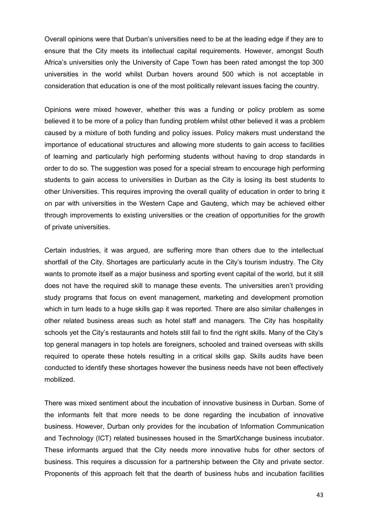Overall opinions were that Durban's universities need to be at the leading edge if they are to ensure that the City meets its intellectual capital requirements. However, amongst South Africa's universities only the University of Cape Town has been rated amongst the top 300 universities in the world whilst Durban hovers around 500 which is not acceptable in consideration that education is one of the most politically relevant issues facing the country.

Opinions were mixed however, whether this was a funding or policy problem as some believed it to be more of a policy than funding problem whilst other believed it was a problem caused by a mixture of both funding and policy issues. Policy makers must understand the importance of educational structures and allowing more students to gain access to facilities of learning and particularly high performing students without having to drop standards in order to do so. The suggestion was posed for a special stream to encourage high performing students to gain access to universities in Durban as the City is losing its best students to other Universities. This requires improving the overall quality of education in order to bring it on par with universities in the Western Cape and Gauteng, which may be achieved either through improvements to existing universities or the creation of opportunities for the growth of private universities.

Certain industries, it was argued, are suffering more than others due to the intellectual shortfall of the City. Shortages are particularly acute in the City's tourism industry. The City wants to promote itself as a major business and sporting event capital of the world, but it still does not have the required skill to manage these events. The universities aren't providing study programs that focus on event management, marketing and development promotion which in turn leads to a huge skills gap it was reported. There are also similar challenges in other related business areas such as hotel staff and managers. The City has hospitality schools yet the City's restaurants and hotels still fail to find the right skills. Many of the City's top general managers in top hotels are foreigners, schooled and trained overseas with skills required to operate these hotels resulting in a critical skills gap. Skills audits have been conducted to identify these shortages however the business needs have not been effectively mobilized.

There was mixed sentiment about the incubation of innovative business in Durban. Some of the informants felt that more needs to be done regarding the incubation of innovative business. However, Durban only provides for the incubation of Information Communication and Technology (ICT) related businesses housed in the SmartXchange business incubator. These informants argued that the City needs more innovative hubs for other sectors of business. This requires a discussion for a partnership between the City and private sector. Proponents of this approach felt that the dearth of business hubs and incubation facilities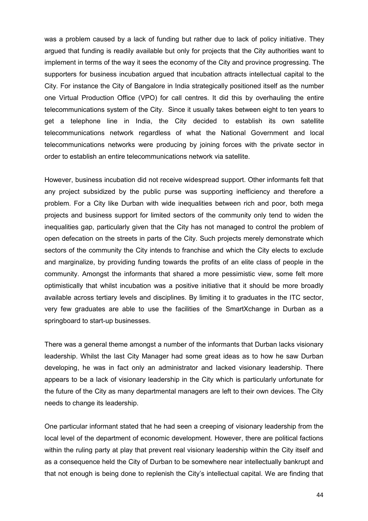was a problem caused by a lack of funding but rather due to lack of policy initiative. They argued that funding is readily available but only for projects that the City authorities want to implement in terms of the way it sees the economy of the City and province progressing. The supporters for business incubation argued that incubation attracts intellectual capital to the City. For instance the City of Bangalore in India strategically positioned itself as the number one Virtual Production Office (VPO) for call centres. It did this by overhauling the entire telecommunications system of the City. Since it usually takes between eight to ten years to get a telephone line in India, the City decided to establish its own satellite telecommunications network regardless of what the National Government and local telecommunications networks were producing by joining forces with the private sector in order to establish an entire telecommunications network via satellite.

However, business incubation did not receive widespread support. Other informants felt that any project subsidized by the public purse was supporting inefficiency and therefore a problem. For a City like Durban with wide inequalities between rich and poor, both mega projects and business support for limited sectors of the community only tend to widen the inequalities gap, particularly given that the City has not managed to control the problem of open defecation on the streets in parts of the City. Such projects merely demonstrate which sectors of the community the City intends to franchise and which the City elects to exclude and marginalize, by providing funding towards the profits of an elite class of people in the community. Amongst the informants that shared a more pessimistic view, some felt more optimistically that whilst incubation was a positive initiative that it should be more broadly available across tertiary levels and disciplines. By limiting it to graduates in the ITC sector, very few graduates are able to use the facilities of the SmartXchange in Durban as a springboard to start-up businesses.

There was a general theme amongst a number of the informants that Durban lacks visionary leadership. Whilst the last City Manager had some great ideas as to how he saw Durban developing, he was in fact only an administrator and lacked visionary leadership. There appears to be a lack of visionary leadership in the City which is particularly unfortunate for the future of the City as many departmental managers are left to their own devices. The City needs to change its leadership.

One particular informant stated that he had seen a creeping of visionary leadership from the local level of the department of economic development. However, there are political factions within the ruling party at play that prevent real visionary leadership within the City itself and as a consequence held the City of Durban to be somewhere near intellectually bankrupt and that not enough is being done to replenish the City's intellectual capital. We are finding that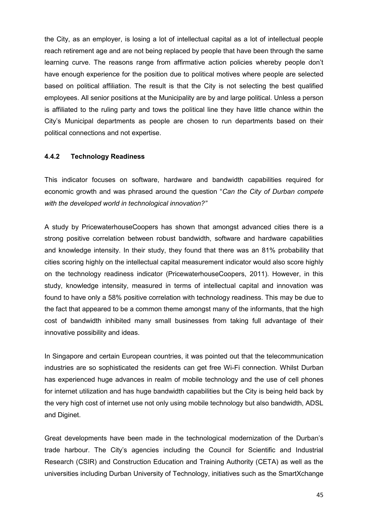the City, as an employer, is losing a lot of intellectual capital as a lot of intellectual people reach retirement age and are not being replaced by people that have been through the same learning curve. The reasons range from affirmative action policies whereby people don't have enough experience for the position due to political motives where people are selected based on political affiliation. The result is that the City is not selecting the best qualified employees. All senior positions at the Municipality are by and large political. Unless a person is affiliated to the ruling party and tows the political line they have little chance within the City's Municipal departments as people are chosen to run departments based on their political connections and not expertise.

#### **4.4.2 Technology Readiness**

This indicator focuses on software, hardware and bandwidth capabilities required for economic growth and was phrased around the question "*Can the City of Durban compete with the developed world in technological innovation?"* 

A study by PricewaterhouseCoopers has shown that amongst advanced cities there is a strong positive correlation between robust bandwidth, software and hardware capabilities and knowledge intensity. In their study, they found that there was an 81% probability that cities scoring highly on the intellectual capital measurement indicator would also score highly on the technology readiness indicator (PricewaterhouseCoopers, 2011). However, in this study, knowledge intensity, measured in terms of intellectual capital and innovation was found to have only a 58% positive correlation with technology readiness. This may be due to the fact that appeared to be a common theme amongst many of the informants, that the high cost of bandwidth inhibited many small businesses from taking full advantage of their innovative possibility and ideas.

In Singapore and certain European countries, it was pointed out that the telecommunication industries are so sophisticated the residents can get free Wi-Fi connection. Whilst Durban has experienced huge advances in realm of mobile technology and the use of cell phones for internet utilization and has huge bandwidth capabilities but the City is being held back by the very high cost of internet use not only using mobile technology but also bandwidth, ADSL and Diginet.

Great developments have been made in the technological modernization of the Durban's trade harbour. The City's agencies including the Council for Scientific and Industrial Research (CSIR) and Construction Education and Training Authority (CETA) as well as the universities including Durban University of Technology, initiatives such as the SmartXchange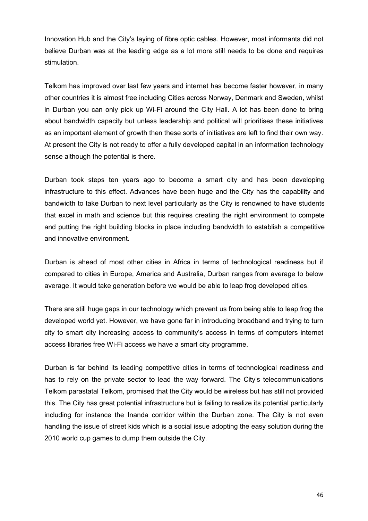Innovation Hub and the City's laying of fibre optic cables. However, most informants did not believe Durban was at the leading edge as a lot more still needs to be done and requires stimulation.

Telkom has improved over last few years and internet has become faster however, in many other countries it is almost free including Cities across Norway, Denmark and Sweden, whilst in Durban you can only pick up Wi-Fi around the City Hall. A lot has been done to bring about bandwidth capacity but unless leadership and political will prioritises these initiatives as an important element of growth then these sorts of initiatives are left to find their own way. At present the City is not ready to offer a fully developed capital in an information technology sense although the potential is there.

Durban took steps ten years ago to become a smart city and has been developing infrastructure to this effect. Advances have been huge and the City has the capability and bandwidth to take Durban to next level particularly as the City is renowned to have students that excel in math and science but this requires creating the right environment to compete and putting the right building blocks in place including bandwidth to establish a competitive and innovative environment.

Durban is ahead of most other cities in Africa in terms of technological readiness but if compared to cities in Europe, America and Australia, Durban ranges from average to below average. It would take generation before we would be able to leap frog developed cities.

There are still huge gaps in our technology which prevent us from being able to leap frog the developed world yet. However, we have gone far in introducing broadband and trying to turn city to smart city increasing access to community's access in terms of computers internet access libraries free Wi-Fi access we have a smart city programme.

Durban is far behind its leading competitive cities in terms of technological readiness and has to rely on the private sector to lead the way forward. The City's telecommunications Telkom parastatal Telkom, promised that the City would be wireless but has still not provided this. The City has great potential infrastructure but is failing to realize its potential particularly including for instance the Inanda corridor within the Durban zone. The City is not even handling the issue of street kids which is a social issue adopting the easy solution during the 2010 world cup games to dump them outside the City.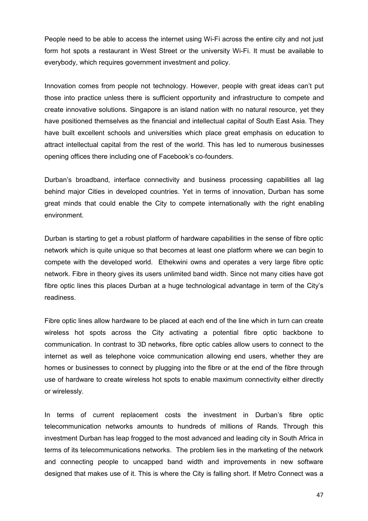People need to be able to access the internet using Wi-Fi across the entire city and not just form hot spots a restaurant in West Street or the university Wi-Fi. It must be available to everybody, which requires government investment and policy.

Innovation comes from people not technology. However, people with great ideas can't put those into practice unless there is sufficient opportunity and infrastructure to compete and create innovative solutions. Singapore is an island nation with no natural resource, yet they have positioned themselves as the financial and intellectual capital of South East Asia. They have built excellent schools and universities which place great emphasis on education to attract intellectual capital from the rest of the world. This has led to numerous businesses opening offices there including one of Facebook's co-founders.

Durban's broadband, interface connectivity and business processing capabilities all lag behind major Cities in developed countries. Yet in terms of innovation, Durban has some great minds that could enable the City to compete internationally with the right enabling environment.

Durban is starting to get a robust platform of hardware capabilities in the sense of fibre optic network which is quite unique so that becomes at least one platform where we can begin to compete with the developed world. Ethekwini owns and operates a very large fibre optic network. Fibre in theory gives its users unlimited band width. Since not many cities have got fibre optic lines this places Durban at a huge technological advantage in term of the City's readiness.

Fibre optic lines allow hardware to be placed at each end of the line which in turn can create wireless hot spots across the City activating a potential fibre optic backbone to communication. In contrast to 3D networks, fibre optic cables allow users to connect to the internet as well as telephone voice communication allowing end users, whether they are homes or businesses to connect by plugging into the fibre or at the end of the fibre through use of hardware to create wireless hot spots to enable maximum connectivity either directly or wirelessly.

In terms of current replacement costs the investment in Durban's fibre optic telecommunication networks amounts to hundreds of millions of Rands. Through this investment Durban has leap frogged to the most advanced and leading city in South Africa in terms of its telecommunications networks. The problem lies in the marketing of the network and connecting people to uncapped band width and improvements in new software designed that makes use of it. This is where the City is falling short. If Metro Connect was a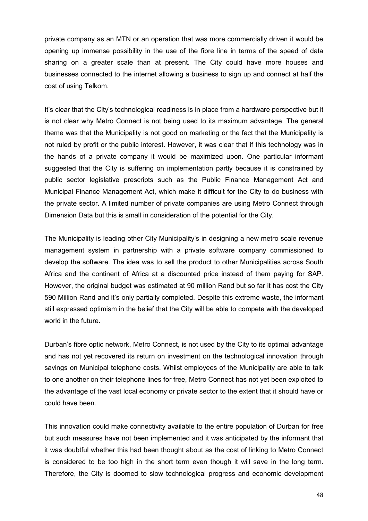private company as an MTN or an operation that was more commercially driven it would be opening up immense possibility in the use of the fibre line in terms of the speed of data sharing on a greater scale than at present. The City could have more houses and businesses connected to the internet allowing a business to sign up and connect at half the cost of using Telkom.

It's clear that the City's technological readiness is in place from a hardware perspective but it is not clear why Metro Connect is not being used to its maximum advantage. The general theme was that the Municipality is not good on marketing or the fact that the Municipality is not ruled by profit or the public interest. However, it was clear that if this technology was in the hands of a private company it would be maximized upon. One particular informant suggested that the City is suffering on implementation partly because it is constrained by public sector legislative prescripts such as the Public Finance Management Act and Municipal Finance Management Act, which make it difficult for the City to do business with the private sector. A limited number of private companies are using Metro Connect through Dimension Data but this is small in consideration of the potential for the City.

The Municipality is leading other City Municipality's in designing a new metro scale revenue management system in partnership with a private software company commissioned to develop the software. The idea was to sell the product to other Municipalities across South Africa and the continent of Africa at a discounted price instead of them paying for SAP. However, the original budget was estimated at 90 million Rand but so far it has cost the City 590 Million Rand and it's only partially completed. Despite this extreme waste, the informant still expressed optimism in the belief that the City will be able to compete with the developed world in the future.

Durban's fibre optic network, Metro Connect, is not used by the City to its optimal advantage and has not yet recovered its return on investment on the technological innovation through savings on Municipal telephone costs. Whilst employees of the Municipality are able to talk to one another on their telephone lines for free, Metro Connect has not yet been exploited to the advantage of the vast local economy or private sector to the extent that it should have or could have been.

This innovation could make connectivity available to the entire population of Durban for free but such measures have not been implemented and it was anticipated by the informant that it was doubtful whether this had been thought about as the cost of linking to Metro Connect is considered to be too high in the short term even though it will save in the long term. Therefore, the City is doomed to slow technological progress and economic development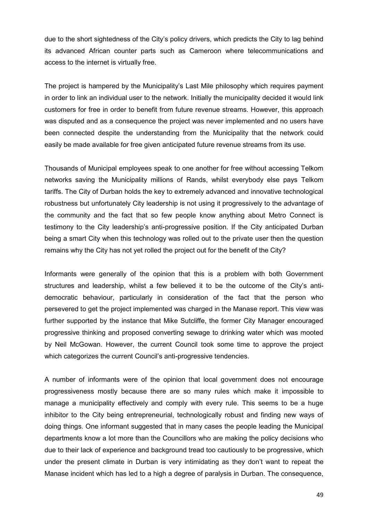due to the short sightedness of the City's policy drivers, which predicts the City to lag behind its advanced African counter parts such as Cameroon where telecommunications and access to the internet is virtually free.

The project is hampered by the Municipality's Last Mile philosophy which requires payment in order to link an individual user to the network. Initially the municipality decided it would link customers for free in order to benefit from future revenue streams. However, this approach was disputed and as a consequence the project was never implemented and no users have been connected despite the understanding from the Municipality that the network could easily be made available for free given anticipated future revenue streams from its use.

Thousands of Municipal employees speak to one another for free without accessing Telkom networks saving the Municipality millions of Rands, whilst everybody else pays Telkom tariffs. The City of Durban holds the key to extremely advanced and innovative technological robustness but unfortunately City leadership is not using it progressively to the advantage of the community and the fact that so few people know anything about Metro Connect is testimony to the City leadership's anti-progressive position. If the City anticipated Durban being a smart City when this technology was rolled out to the private user then the question remains why the City has not yet rolled the project out for the benefit of the City?

Informants were generally of the opinion that this is a problem with both Government structures and leadership, whilst a few believed it to be the outcome of the City's antidemocratic behaviour, particularly in consideration of the fact that the person who persevered to get the project implemented was charged in the Manase report. This view was further supported by the instance that Mike Sutcliffe, the former City Manager encouraged progressive thinking and proposed converting sewage to drinking water which was mooted by Neil McGowan. However, the current Council took some time to approve the project which categorizes the current Council's anti-progressive tendencies.

A number of informants were of the opinion that local government does not encourage progressiveness mostly because there are so many rules which make it impossible to manage a municipality effectively and comply with every rule. This seems to be a huge inhibitor to the City being entrepreneurial, technologically robust and finding new ways of doing things. One informant suggested that in many cases the people leading the Municipal departments know a lot more than the Councillors who are making the policy decisions who due to their lack of experience and background tread too cautiously to be progressive, which under the present climate in Durban is very intimidating as they don't want to repeat the Manase incident which has led to a high a degree of paralysis in Durban. The consequence,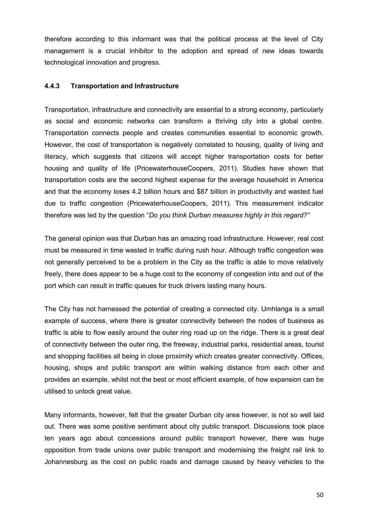therefore according to this informant was that the political process at the level of City management is a crucial inhibitor to the adoption and spread of new ideas towards technological innovation and progress.

## **4.4.3 Transportation and Infrastructure**

Transportation, infrastructure and connectivity are essential to a strong economy, particularly as social and economic networks can transform a thriving city into a global centre. Transportation connects people and creates communities essential to economic growth. However, the cost of transportation is negatively correlated to housing, quality of living and literacy, which suggests that citizens will accept higher transportation costs for better housing and quality of life (PricewaterhouseCoopers, 2011). Studies have shown that transportation costs are the second highest expense for the average household in America and that the economy loses 4.2 billion hours and \$87 billion in productivity and wasted fuel due to traffic congestion (PricewaterhouseCoopers, 2011). This measurement indicator therefore was led by the question "*Do you think Durban measures highly in this regard?"* 

The general opinion was that Durban has an amazing road infrastructure. However, real cost must be measured in time wasted in traffic during rush hour. Although traffic congestion was not generally perceived to be a problem in the City as the traffic is able to move relatively freely, there does appear to be a huge cost to the economy of congestion into and out of the port which can result in traffic queues for truck drivers lasting many hours.

The City has not harnessed the potential of creating a connected city. Umhlanga is a small example of success, where there is greater connectivity between the nodes of business as traffic is able to flow easily around the outer ring road up on the ridge. There is a great deal of connectivity between the outer ring, the freeway, industrial parks, residential areas, tourist and shopping facilities all being in close proximity which creates greater connectivity. Offices, housing, shops and public transport are within walking distance from each other and provides an example, whilst not the best or most efficient example, of how expansion can be utilised to unlock great value.

Many informants, however, felt that the greater Durban city area however, is not so well laid out. There was some positive sentiment about city public transport. Discussions took place ten years ago about concessions around public transport however, there was huge opposition from trade unions over public transport and modernising the freight rail link to Johannesburg as the cost on public roads and damage caused by heavy vehicles to the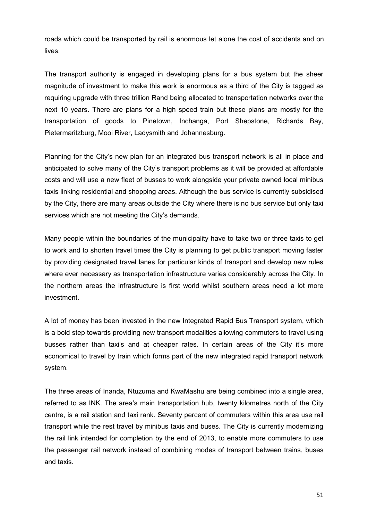roads which could be transported by rail is enormous let alone the cost of accidents and on lives.

The transport authority is engaged in developing plans for a bus system but the sheer magnitude of investment to make this work is enormous as a third of the City is tagged as requiring upgrade with three trillion Rand being allocated to transportation networks over the next 10 years. There are plans for a high speed train but these plans are mostly for the transportation of goods to Pinetown, Inchanga, Port Shepstone, Richards Bay, Pietermaritzburg, Mooi River, Ladysmith and Johannesburg.

Planning for the City's new plan for an integrated bus transport network is all in place and anticipated to solve many of the City's transport problems as it will be provided at affordable costs and will use a new fleet of busses to work alongside your private owned local minibus taxis linking residential and shopping areas. Although the bus service is currently subsidised by the City, there are many areas outside the City where there is no bus service but only taxi services which are not meeting the City's demands.

Many people within the boundaries of the municipality have to take two or three taxis to get to work and to shorten travel times the City is planning to get public transport moving faster by providing designated travel lanes for particular kinds of transport and develop new rules where ever necessary as transportation infrastructure varies considerably across the City. In the northern areas the infrastructure is first world whilst southern areas need a lot more investment.

A lot of money has been invested in the new Integrated Rapid Bus Transport system, which is a bold step towards providing new transport modalities allowing commuters to travel using busses rather than taxi's and at cheaper rates. In certain areas of the City it's more economical to travel by train which forms part of the new integrated rapid transport network system.

The three areas of Inanda, Ntuzuma and KwaMashu are being combined into a single area, referred to as INK. The area's main transportation hub, twenty kilometres north of the City centre, is a rail station and taxi rank. Seventy percent of commuters within this area use rail transport while the rest travel by minibus taxis and buses. The City is currently modernizing the rail link intended for completion by the end of 2013, to enable more commuters to use the passenger rail network instead of combining modes of transport between trains, buses and taxis.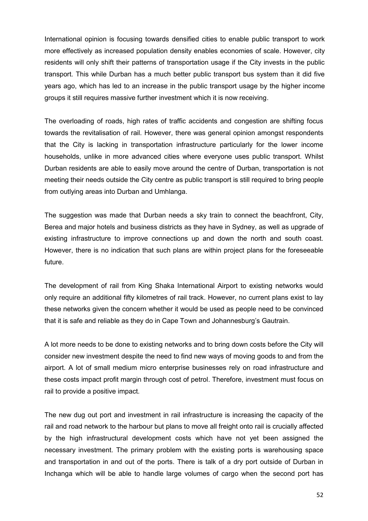International opinion is focusing towards densified cities to enable public transport to work more effectively as increased population density enables economies of scale. However, city residents will only shift their patterns of transportation usage if the City invests in the public transport. This while Durban has a much better public transport bus system than it did five years ago, which has led to an increase in the public transport usage by the higher income groups it still requires massive further investment which it is now receiving.

The overloading of roads, high rates of traffic accidents and congestion are shifting focus towards the revitalisation of rail. However, there was general opinion amongst respondents that the City is lacking in transportation infrastructure particularly for the lower income households, unlike in more advanced cities where everyone uses public transport. Whilst Durban residents are able to easily move around the centre of Durban, transportation is not meeting their needs outside the City centre as public transport is still required to bring people from outlying areas into Durban and Umhlanga.

The suggestion was made that Durban needs a sky train to connect the beachfront. City, Berea and major hotels and business districts as they have in Sydney, as well as upgrade of existing infrastructure to improve connections up and down the north and south coast. However, there is no indication that such plans are within project plans for the foreseeable future.

The development of rail from King Shaka International Airport to existing networks would only require an additional fifty kilometres of rail track. However, no current plans exist to lay these networks given the concern whether it would be used as people need to be convinced that it is safe and reliable as they do in Cape Town and Johannesburg's Gautrain.

A lot more needs to be done to existing networks and to bring down costs before the City will consider new investment despite the need to find new ways of moving goods to and from the airport. A lot of small medium micro enterprise businesses rely on road infrastructure and these costs impact profit margin through cost of petrol. Therefore, investment must focus on rail to provide a positive impact.

The new dug out port and investment in rail infrastructure is increasing the capacity of the rail and road network to the harbour but plans to move all freight onto rail is crucially affected by the high infrastructural development costs which have not yet been assigned the necessary investment. The primary problem with the existing ports is warehousing space and transportation in and out of the ports. There is talk of a dry port outside of Durban in Inchanga which will be able to handle large volumes of cargo when the second port has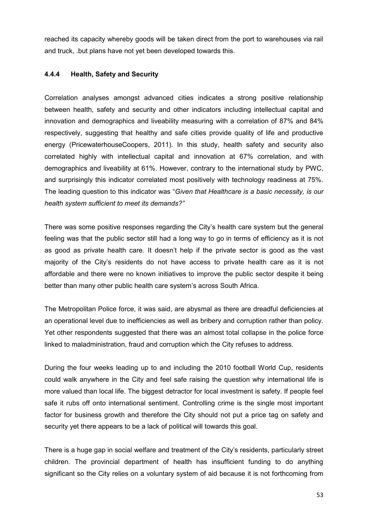reached its capacity whereby goods will be taken direct from the port to warehouses via rail and truck, .but plans have not yet been developed towards this.

# **4.4.4 Health, Safety and Security**

Correlation analyses amongst advanced cities indicates a strong positive relationship between health, safety and security and other indicators including intellectual capital and innovation and demographics and liveability measuring with a correlation of 87% and 84% respectively, suggesting that healthy and safe cities provide quality of life and productive energy (PricewaterhouseCoopers, 2011). In this study, health safety and security also correlated highly with intellectual capital and innovation at 67% correlation, and with demographics and liveability at 61%. However, contrary to the international study by PWC, and surprisingly this indicator correlated most positively with technology readiness at 75%. The leading question to this indicator was "*Given that Healthcare is a basic necessity, is our health system sufficient to meet its demands?"* 

There was some positive responses regarding the City's health care system but the general feeling was that the public sector still had a long way to go in terms of efficiency as it is not as good as private health care. It doesn't help if the private sector is good as the vast majority of the City's residents do not have access to private health care as it is not affordable and there were no known initiatives to improve the public sector despite it being better than many other public health care system's across South Africa.

The Metropolitan Police force, it was said, are abysmal as there are dreadful deficiencies at an operational level due to inefficiencies as well as bribery and corruption rather than policy. Yet other respondents suggested that there was an almost total collapse in the police force linked to maladministration, fraud and corruption which the City refuses to address.

During the four weeks leading up to and including the 2010 football World Cup, residents could walk anywhere in the City and feel safe raising the question why international life is more valued than local life. The biggest detractor for local investment is safety. If people feel safe it rubs off onto international sentiment. Controlling crime is the single most important factor for business growth and therefore the City should not put a price tag on safety and security yet there appears to be a lack of political will towards this goal.

There is a huge gap in social welfare and treatment of the City's residents, particularly street children. The provincial department of health has insufficient funding to do anything significant so the City relies on a voluntary system of aid because it is not forthcoming from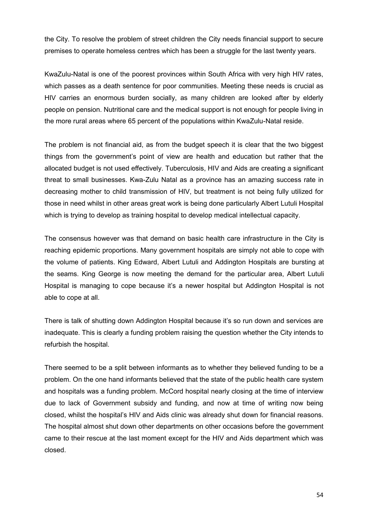the City. To resolve the problem of street children the City needs financial support to secure premises to operate homeless centres which has been a struggle for the last twenty years.

KwaZulu-Natal is one of the poorest provinces within South Africa with very high HIV rates, which passes as a death sentence for poor communities. Meeting these needs is crucial as HIV carries an enormous burden socially, as many children are looked after by elderly people on pension. Nutritional care and the medical support is not enough for people living in the more rural areas where 65 percent of the populations within KwaZulu-Natal reside.

The problem is not financial aid, as from the budget speech it is clear that the two biggest things from the government's point of view are health and education but rather that the allocated budget is not used effectively. Tuberculosis, HIV and Aids are creating a significant threat to small businesses. Kwa-Zulu Natal as a province has an amazing success rate in decreasing mother to child transmission of HIV, but treatment is not being fully utilized for those in need whilst in other areas great work is being done particularly Albert Lutuli Hospital which is trying to develop as training hospital to develop medical intellectual capacity.

The consensus however was that demand on basic health care infrastructure in the City is reaching epidemic proportions. Many government hospitals are simply not able to cope with the volume of patients. King Edward, Albert Lutuli and Addington Hospitals are bursting at the seams. King George is now meeting the demand for the particular area, Albert Lutuli Hospital is managing to cope because it's a newer hospital but Addington Hospital is not able to cope at all.

There is talk of shutting down Addington Hospital because it's so run down and services are inadequate. This is clearly a funding problem raising the question whether the City intends to refurbish the hospital.

There seemed to be a split between informants as to whether they believed funding to be a problem. On the one hand informants believed that the state of the public health care system and hospitals was a funding problem. McCord hospital nearly closing at the time of interview due to lack of Government subsidy and funding, and now at time of writing now being closed, whilst the hospital's HIV and Aids clinic was already shut down for financial reasons. The hospital almost shut down other departments on other occasions before the government came to their rescue at the last moment except for the HIV and Aids department which was closed.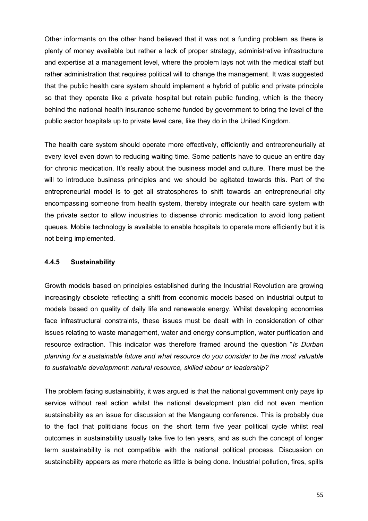Other informants on the other hand believed that it was not a funding problem as there is plenty of money available but rather a lack of proper strategy, administrative infrastructure and expertise at a management level, where the problem lays not with the medical staff but rather administration that requires political will to change the management. It was suggested that the public health care system should implement a hybrid of public and private principle so that they operate like a private hospital but retain public funding, which is the theory behind the national health insurance scheme funded by government to bring the level of the public sector hospitals up to private level care, like they do in the United Kingdom.

The health care system should operate more effectively, efficiently and entrepreneurially at every level even down to reducing waiting time. Some patients have to queue an entire day for chronic medication. It's really about the business model and culture. There must be the will to introduce business principles and we should be agitated towards this. Part of the entrepreneurial model is to get all stratospheres to shift towards an entrepreneurial city encompassing someone from health system, thereby integrate our health care system with the private sector to allow industries to dispense chronic medication to avoid long patient queues. Mobile technology is available to enable hospitals to operate more efficiently but it is not being implemented.

### **4.4.5 Sustainability**

Growth models based on principles established during the Industrial Revolution are growing increasingly obsolete reflecting a shift from economic models based on industrial output to models based on quality of daily life and renewable energy. Whilst developing economies face infrastructural constraints, these issues must be dealt with in consideration of other issues relating to waste management, water and energy consumption, water purification and resource extraction. This indicator was therefore framed around the question "*Is Durban planning for a sustainable future and what resource do you consider to be the most valuable to sustainable development: natural resource, skilled labour or leadership?*

The problem facing sustainability, it was argued is that the national government only pays lip service without real action whilst the national development plan did not even mention sustainability as an issue for discussion at the Mangaung conference. This is probably due to the fact that politicians focus on the short term five year political cycle whilst real outcomes in sustainability usually take five to ten years, and as such the concept of longer term sustainability is not compatible with the national political process. Discussion on sustainability appears as mere rhetoric as little is being done. Industrial pollution, fires, spills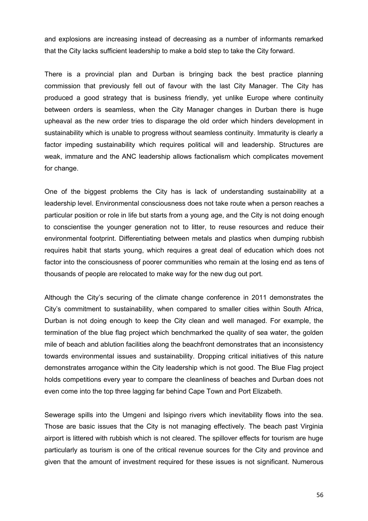and explosions are increasing instead of decreasing as a number of informants remarked that the City lacks sufficient leadership to make a bold step to take the City forward.

There is a provincial plan and Durban is bringing back the best practice planning commission that previously fell out of favour with the last City Manager. The City has produced a good strategy that is business friendly, yet unlike Europe where continuity between orders is seamless, when the City Manager changes in Durban there is huge upheaval as the new order tries to disparage the old order which hinders development in sustainability which is unable to progress without seamless continuity. Immaturity is clearly a factor impeding sustainability which requires political will and leadership. Structures are weak, immature and the ANC leadership allows factionalism which complicates movement for change.

One of the biggest problems the City has is lack of understanding sustainability at a leadership level. Environmental consciousness does not take route when a person reaches a particular position or role in life but starts from a young age, and the City is not doing enough to conscientise the younger generation not to litter, to reuse resources and reduce their environmental footprint. Differentiating between metals and plastics when dumping rubbish requires habit that starts young, which requires a great deal of education which does not factor into the consciousness of poorer communities who remain at the losing end as tens of thousands of people are relocated to make way for the new dug out port.

Although the City's securing of the climate change conference in 2011 demonstrates the City's commitment to sustainability, when compared to smaller cities within South Africa, Durban is not doing enough to keep the City clean and well managed. For example, the termination of the blue flag project which benchmarked the quality of sea water, the golden mile of beach and ablution facilities along the beachfront demonstrates that an inconsistency towards environmental issues and sustainability. Dropping critical initiatives of this nature demonstrates arrogance within the City leadership which is not good. The Blue Flag project holds competitions every year to compare the cleanliness of beaches and Durban does not even come into the top three lagging far behind Cape Town and Port Elizabeth.

Sewerage spills into the Umgeni and Isipingo rivers which inevitability flows into the sea. Those are basic issues that the City is not managing effectively. The beach past Virginia airport is littered with rubbish which is not cleared. The spillover effects for tourism are huge particularly as tourism is one of the critical revenue sources for the City and province and given that the amount of investment required for these issues is not significant. Numerous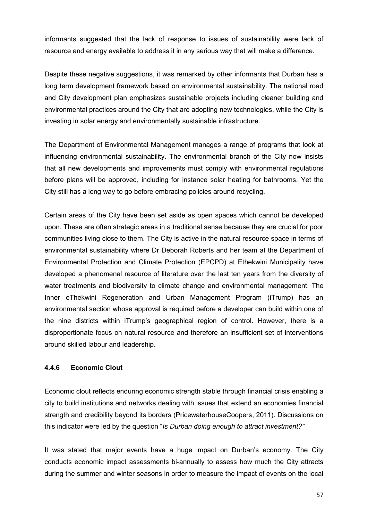informants suggested that the lack of response to issues of sustainability were lack of resource and energy available to address it in any serious way that will make a difference.

Despite these negative suggestions, it was remarked by other informants that Durban has a long term development framework based on environmental sustainability. The national road and City development plan emphasizes sustainable projects including cleaner building and environmental practices around the City that are adopting new technologies, while the City is investing in solar energy and environmentally sustainable infrastructure.

The Department of Environmental Management manages a range of programs that look at influencing environmental sustainability. The environmental branch of the City now insists that all new developments and improvements must comply with environmental regulations before plans will be approved, including for instance solar heating for bathrooms. Yet the City still has a long way to go before embracing policies around recycling.

Certain areas of the City have been set aside as open spaces which cannot be developed upon. These are often strategic areas in a traditional sense because they are crucial for poor communities living close to them. The City is active in the natural resource space in terms of environmental sustainability where Dr Deborah Roberts and her team at the Department of Environmental Protection and Climate Protection (EPCPD) at Ethekwini Municipality have developed a phenomenal resource of literature over the last ten years from the diversity of water treatments and biodiversity to climate change and environmental management. The Inner eThekwini Regeneration and Urban Management Program (iTrump) has an environmental section whose approval is required before a developer can build within one of the nine districts within iTrump's geographical region of control. However, there is a disproportionate focus on natural resource and therefore an insufficient set of interventions around skilled labour and leadership.

# **4.4.6 Economic Clout**

Economic clout reflects enduring economic strength stable through financial crisis enabling a city to build institutions and networks dealing with issues that extend an economies financial strength and credibility beyond its borders (PricewaterhouseCoopers, 2011). Discussions on this indicator were led by the question "*Is Durban doing enough to attract investment?"* 

It was stated that major events have a huge impact on Durban's economy. The City conducts economic impact assessments bi-annually to assess how much the City attracts during the summer and winter seasons in order to measure the impact of events on the local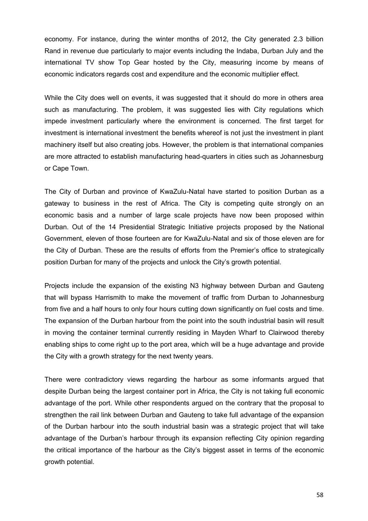economy. For instance, during the winter months of 2012, the City generated 2.3 billion Rand in revenue due particularly to major events including the Indaba, Durban July and the international TV show Top Gear hosted by the City, measuring income by means of economic indicators regards cost and expenditure and the economic multiplier effect.

While the City does well on events, it was suggested that it should do more in others area such as manufacturing. The problem, it was suggested lies with City regulations which impede investment particularly where the environment is concerned. The first target for investment is international investment the benefits whereof is not just the investment in plant machinery itself but also creating jobs. However, the problem is that international companies are more attracted to establish manufacturing head-quarters in cities such as Johannesburg or Cape Town.

The City of Durban and province of KwaZulu-Natal have started to position Durban as a gateway to business in the rest of Africa. The City is competing quite strongly on an economic basis and a number of large scale projects have now been proposed within Durban. Out of the 14 Presidential Strategic Initiative projects proposed by the National Government, eleven of those fourteen are for KwaZulu-Natal and six of those eleven are for the City of Durban. These are the results of efforts from the Premier's office to strategically position Durban for many of the projects and unlock the City's growth potential.

Projects include the expansion of the existing N3 highway between Durban and Gauteng that will bypass Harrismith to make the movement of traffic from Durban to Johannesburg from five and a half hours to only four hours cutting down significantly on fuel costs and time. The expansion of the Durban harbour from the point into the south industrial basin will result in moving the container terminal currently residing in Mayden Wharf to Clairwood thereby enabling ships to come right up to the port area, which will be a huge advantage and provide the City with a growth strategy for the next twenty years.

There were contradictory views regarding the harbour as some informants argued that despite Durban being the largest container port in Africa, the City is not taking full economic advantage of the port. While other respondents argued on the contrary that the proposal to strengthen the rail link between Durban and Gauteng to take full advantage of the expansion of the Durban harbour into the south industrial basin was a strategic project that will take advantage of the Durban's harbour through its expansion reflecting City opinion regarding the critical importance of the harbour as the City's biggest asset in terms of the economic growth potential.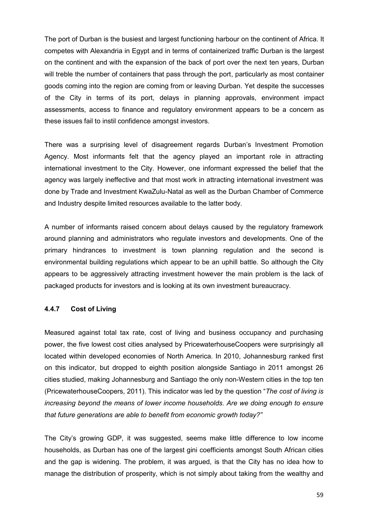The port of Durban is the busiest and largest functioning harbour on the continent of Africa. It competes with Alexandria in Egypt and in terms of containerized traffic Durban is the largest on the continent and with the expansion of the back of port over the next ten years, Durban will treble the number of containers that pass through the port, particularly as most container goods coming into the region are coming from or leaving Durban. Yet despite the successes of the City in terms of its port, delays in planning approvals, environment impact assessments, access to finance and regulatory environment appears to be a concern as these issues fail to instil confidence amongst investors.

There was a surprising level of disagreement regards Durban's Investment Promotion Agency. Most informants felt that the agency played an important role in attracting international investment to the City. However, one informant expressed the belief that the agency was largely ineffective and that most work in attracting international investment was done by Trade and Investment KwaZulu-Natal as well as the Durban Chamber of Commerce and Industry despite limited resources available to the latter body.

A number of informants raised concern about delays caused by the regulatory framework around planning and administrators who regulate investors and developments. One of the primary hindrances to investment is town planning regulation and the second is environmental building regulations which appear to be an uphill battle. So although the City appears to be aggressively attracting investment however the main problem is the lack of packaged products for investors and is looking at its own investment bureaucracy.

# **4.4.7 Cost of Living**

Measured against total tax rate, cost of living and business occupancy and purchasing power, the five lowest cost cities analysed by PricewaterhouseCoopers were surprisingly all located within developed economies of North America. In 2010, Johannesburg ranked first on this indicator, but dropped to eighth position alongside Santiago in 2011 amongst 26 cities studied, making Johannesburg and Santiago the only non-Western cities in the top ten (PricewaterhouseCoopers, 2011). This indicator was led by the question "*The cost of living is increasing beyond the means of lower income households. Are we doing enough to ensure that future generations are able to benefit from economic growth today?"* 

The City's growing GDP, it was suggested, seems make little difference to low income households, as Durban has one of the largest gini coefficients amongst South African cities and the gap is widening. The problem, it was argued, is that the City has no idea how to manage the distribution of prosperity, which is not simply about taking from the wealthy and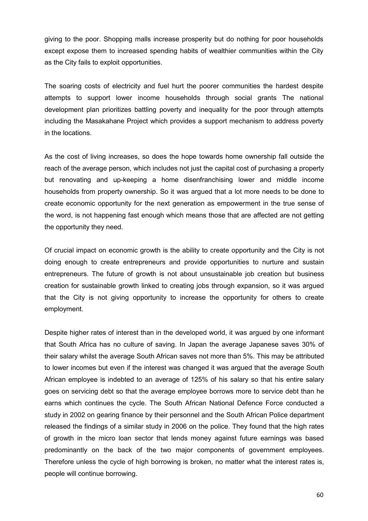giving to the poor. Shopping malls increase prosperity but do nothing for poor households except expose them to increased spending habits of wealthier communities within the City as the City fails to exploit opportunities.

The soaring costs of electricity and fuel hurt the poorer communities the hardest despite attempts to support lower income households through social grants The national development plan prioritizes battling poverty and inequality for the poor through attempts including the Masakahane Project which provides a support mechanism to address poverty in the locations.

As the cost of living increases, so does the hope towards home ownership fall outside the reach of the average person, which includes not just the capital cost of purchasing a property but renovating and up-keeping a home disenfranchising lower and middle income households from property ownership. So it was argued that a lot more needs to be done to create economic opportunity for the next generation as empowerment in the true sense of the word, is not happening fast enough which means those that are affected are not getting the opportunity they need.

Of crucial impact on economic growth is the ability to create opportunity and the City is not doing enough to create entrepreneurs and provide opportunities to nurture and sustain entrepreneurs. The future of growth is not about unsustainable job creation but business creation for sustainable growth linked to creating jobs through expansion, so it was argued that the City is not giving opportunity to increase the opportunity for others to create employment.

Despite higher rates of interest than in the developed world, it was argued by one informant that South Africa has no culture of saving. In Japan the average Japanese saves 30% of their salary whilst the average South African saves not more than 5%. This may be attributed to lower incomes but even if the interest was changed it was argued that the average South African employee is indebted to an average of 125% of his salary so that his entire salary goes on servicing debt so that the average employee borrows more to service debt than he earns which continues the cycle. The South African National Defence Force conducted a study in 2002 on gearing finance by their personnel and the South African Police department released the findings of a similar study in 2006 on the police. They found that the high rates of growth in the micro loan sector that lends money against future earnings was based predominantly on the back of the two major components of government employees. Therefore unless the cycle of high borrowing is broken, no matter what the interest rates is, people will continue borrowing.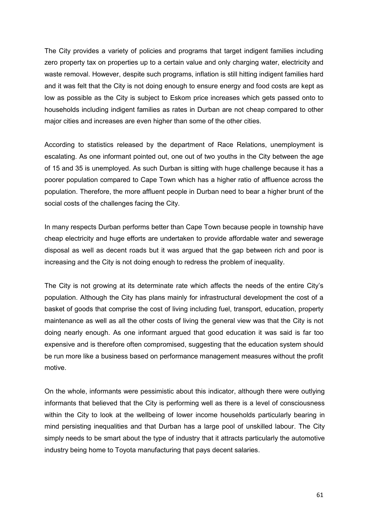The City provides a variety of policies and programs that target indigent families including zero property tax on properties up to a certain value and only charging water, electricity and waste removal. However, despite such programs, inflation is still hitting indigent families hard and it was felt that the City is not doing enough to ensure energy and food costs are kept as low as possible as the City is subject to Eskom price increases which gets passed onto to households including indigent families as rates in Durban are not cheap compared to other major cities and increases are even higher than some of the other cities.

According to statistics released by the department of Race Relations, unemployment is escalating. As one informant pointed out, one out of two youths in the City between the age of 15 and 35 is unemployed. As such Durban is sitting with huge challenge because it has a poorer population compared to Cape Town which has a higher ratio of affluence across the population. Therefore, the more affluent people in Durban need to bear a higher brunt of the social costs of the challenges facing the City.

In many respects Durban performs better than Cape Town because people in township have cheap electricity and huge efforts are undertaken to provide affordable water and sewerage disposal as well as decent roads but it was argued that the gap between rich and poor is increasing and the City is not doing enough to redress the problem of inequality.

The City is not growing at its determinate rate which affects the needs of the entire City's population. Although the City has plans mainly for infrastructural development the cost of a basket of goods that comprise the cost of living including fuel, transport, education, property maintenance as well as all the other costs of living the general view was that the City is not doing nearly enough. As one informant argued that good education it was said is far too expensive and is therefore often compromised, suggesting that the education system should be run more like a business based on performance management measures without the profit motive.

On the whole, informants were pessimistic about this indicator, although there were outlying informants that believed that the City is performing well as there is a level of consciousness within the City to look at the wellbeing of lower income households particularly bearing in mind persisting inequalities and that Durban has a large pool of unskilled labour. The City simply needs to be smart about the type of industry that it attracts particularly the automotive industry being home to Toyota manufacturing that pays decent salaries.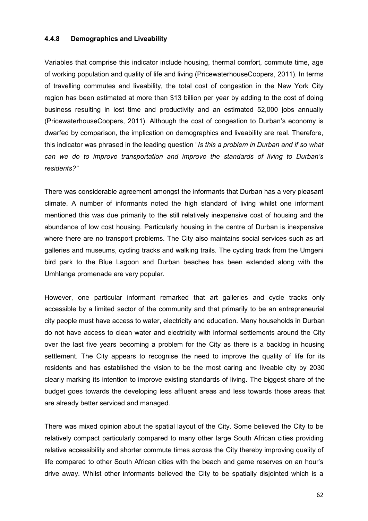#### **4.4.8 Demographics and Liveability**

Variables that comprise this indicator include housing, thermal comfort, commute time, age of working population and quality of life and living (PricewaterhouseCoopers, 2011). In terms of travelling commutes and liveability, the total cost of congestion in the New York City region has been estimated at more than \$13 billion per year by adding to the cost of doing business resulting in lost time and productivity and an estimated 52,000 jobs annually (PricewaterhouseCoopers, 2011). Although the cost of congestion to Durban's economy is dwarfed by comparison, the implication on demographics and liveability are real. Therefore, this indicator was phrased in the leading question "*Is this a problem in Durban and if so what can we do to improve transportation and improve the standards of living to Durban's residents?"* 

There was considerable agreement amongst the informants that Durban has a very pleasant climate. A number of informants noted the high standard of living whilst one informant mentioned this was due primarily to the still relatively inexpensive cost of housing and the abundance of low cost housing. Particularly housing in the centre of Durban is inexpensive where there are no transport problems. The City also maintains social services such as art galleries and museums, cycling tracks and walking trails. The cycling track from the Umgeni bird park to the Blue Lagoon and Durban beaches has been extended along with the Umhlanga promenade are very popular.

However, one particular informant remarked that art galleries and cycle tracks only accessible by a limited sector of the community and that primarily to be an entrepreneurial city people must have access to water, electricity and education. Many households in Durban do not have access to clean water and electricity with informal settlements around the City over the last five years becoming a problem for the City as there is a backlog in housing settlement. The City appears to recognise the need to improve the quality of life for its residents and has established the vision to be the most caring and liveable city by 2030 clearly marking its intention to improve existing standards of living. The biggest share of the budget goes towards the developing less affluent areas and less towards those areas that are already better serviced and managed.

There was mixed opinion about the spatial layout of the City. Some believed the City to be relatively compact particularly compared to many other large South African cities providing relative accessibility and shorter commute times across the City thereby improving quality of life compared to other South African cities with the beach and game reserves on an hour's drive away. Whilst other informants believed the City to be spatially disjointed which is a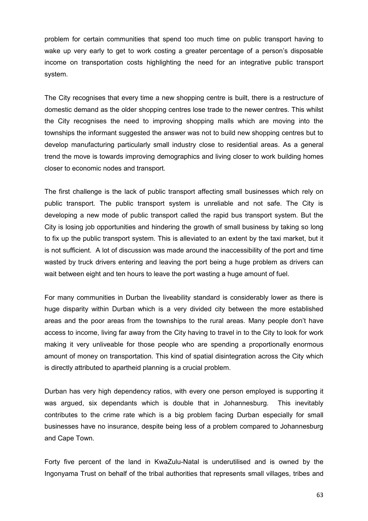problem for certain communities that spend too much time on public transport having to wake up very early to get to work costing a greater percentage of a person's disposable income on transportation costs highlighting the need for an integrative public transport system.

The City recognises that every time a new shopping centre is built, there is a restructure of domestic demand as the older shopping centres lose trade to the newer centres. This whilst the City recognises the need to improving shopping malls which are moving into the townships the informant suggested the answer was not to build new shopping centres but to develop manufacturing particularly small industry close to residential areas. As a general trend the move is towards improving demographics and living closer to work building homes closer to economic nodes and transport.

The first challenge is the lack of public transport affecting small businesses which rely on public transport. The public transport system is unreliable and not safe. The City is developing a new mode of public transport called the rapid bus transport system. But the City is losing job opportunities and hindering the growth of small business by taking so long to fix up the public transport system. This is alleviated to an extent by the taxi market, but it is not sufficient. A lot of discussion was made around the inaccessibility of the port and time wasted by truck drivers entering and leaving the port being a huge problem as drivers can wait between eight and ten hours to leave the port wasting a huge amount of fuel.

For many communities in Durban the liveability standard is considerably lower as there is huge disparity within Durban which is a very divided city between the more established areas and the poor areas from the townships to the rural areas. Many people don't have access to income, living far away from the City having to travel in to the City to look for work making it very unliveable for those people who are spending a proportionally enormous amount of money on transportation. This kind of spatial disintegration across the City which is directly attributed to apartheid planning is a crucial problem.

Durban has very high dependency ratios, with every one person employed is supporting it was argued, six dependants which is double that in Johannesburg. This inevitably contributes to the crime rate which is a big problem facing Durban especially for small businesses have no insurance, despite being less of a problem compared to Johannesburg and Cape Town.

Forty five percent of the land in KwaZulu-Natal is underutilised and is owned by the Ingonyama Trust on behalf of the tribal authorities that represents small villages, tribes and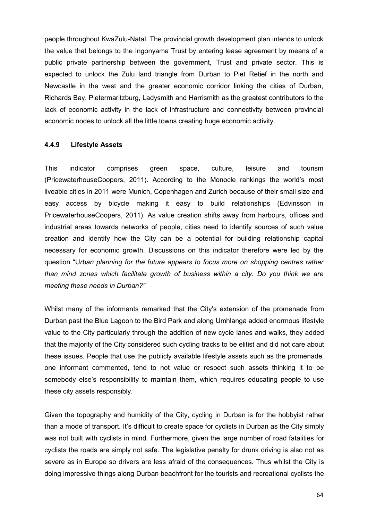people throughout KwaZulu-Natal. The provincial growth development plan intends to unlock the value that belongs to the Ingonyama Trust by entering lease agreement by means of a public private partnership between the government, Trust and private sector. This is expected to unlock the Zulu land triangle from Durban to Piet Retief in the north and Newcastle in the west and the greater economic corridor linking the cities of Durban, Richards Bay, Pietermaritzburg, Ladysmith and Harrismith as the greatest contributors to the lack of economic activity in the lack of infrastructure and connectivity between provincial economic nodes to unlock all the little towns creating huge economic activity.

#### **4.4.9 Lifestyle Assets**

This indicator comprises green space, culture, leisure and tourism (PricewaterhouseCoopers, 2011). According to the Monocle rankings the world's most liveable cities in 2011 were Munich, Copenhagen and Zurich because of their small size and easy access by bicycle making it easy to build relationships (Edvinsson in PricewaterhouseCoopers, 2011). As value creation shifts away from harbours, offices and industrial areas towards networks of people, cities need to identify sources of such value creation and identify how the City can be a potential for building relationship capital necessary for economic growth. Discussions on this indicator therefore were led by the question "U*rban planning for the future appears to focus more on shopping centres rather than mind zones which facilitate growth of business within a city. Do you think we are meeting these needs in Durban?"* 

Whilst many of the informants remarked that the City's extension of the promenade from Durban past the Blue Lagoon to the Bird Park and along Umhlanga added enormous lifestyle value to the City particularly through the addition of new cycle lanes and walks, they added that the majority of the City considered such cycling tracks to be elitist and did not care about these issues. People that use the publicly available lifestyle assets such as the promenade, one informant commented, tend to not value or respect such assets thinking it to be somebody else's responsibility to maintain them, which requires educating people to use these city assets responsibly.

Given the topography and humidity of the City, cycling in Durban is for the hobbyist rather than a mode of transport. It's difficult to create space for cyclists in Durban as the City simply was not built with cyclists in mind. Furthermore, given the large number of road fatalities for cyclists the roads are simply not safe. The legislative penalty for drunk driving is also not as severe as in Europe so drivers are less afraid of the consequences. Thus whilst the City is doing impressive things along Durban beachfront for the tourists and recreational cyclists the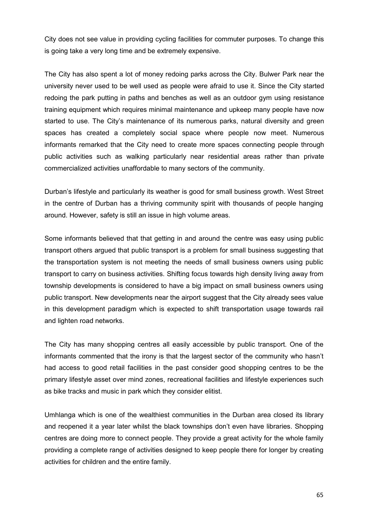City does not see value in providing cycling facilities for commuter purposes. To change this is going take a very long time and be extremely expensive.

The City has also spent a lot of money redoing parks across the City. Bulwer Park near the university never used to be well used as people were afraid to use it. Since the City started redoing the park putting in paths and benches as well as an outdoor gym using resistance training equipment which requires minimal maintenance and upkeep many people have now started to use. The City's maintenance of its numerous parks, natural diversity and green spaces has created a completely social space where people now meet. Numerous informants remarked that the City need to create more spaces connecting people through public activities such as walking particularly near residential areas rather than private commercialized activities unaffordable to many sectors of the community.

Durban's lifestyle and particularly its weather is good for small business growth. West Street in the centre of Durban has a thriving community spirit with thousands of people hanging around. However, safety is still an issue in high volume areas.

Some informants believed that that getting in and around the centre was easy using public transport others argued that public transport is a problem for small business suggesting that the transportation system is not meeting the needs of small business owners using public transport to carry on business activities. Shifting focus towards high density living away from township developments is considered to have a big impact on small business owners using public transport. New developments near the airport suggest that the City already sees value in this development paradigm which is expected to shift transportation usage towards rail and lighten road networks.

The City has many shopping centres all easily accessible by public transport. One of the informants commented that the irony is that the largest sector of the community who hasn't had access to good retail facilities in the past consider good shopping centres to be the primary lifestyle asset over mind zones, recreational facilities and lifestyle experiences such as bike tracks and music in park which they consider elitist.

Umhlanga which is one of the wealthiest communities in the Durban area closed its library and reopened it a year later whilst the black townships don't even have libraries. Shopping centres are doing more to connect people. They provide a great activity for the whole family providing a complete range of activities designed to keep people there for longer by creating activities for children and the entire family.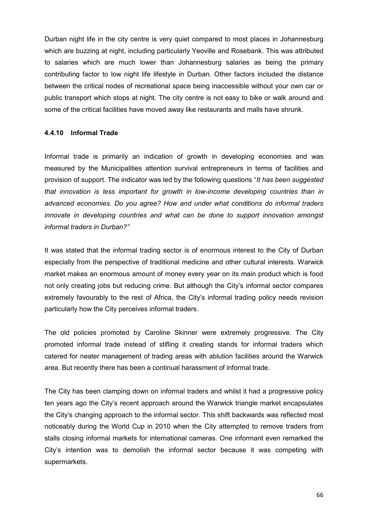Durban night life in the city centre is very quiet compared to most places in Johannesburg which are buzzing at night, including particularly Yeoville and Rosebank. This was attributed to salaries which are much lower than Johannesburg salaries as being the primary contributing factor to low night life lifestyle in Durban. Other factors included the distance between the critical nodes of recreational space being inaccessible without your own car or public transport which stops at night. The city centre is not easy to bike or walk around and some of the critical facilities have moved away like restaurants and malls have shrunk.

### **4.4.10 Informal Trade**

Informal trade is primarily an indication of growth in developing economies and was measured by the Municipalities attention survival entrepreneurs in terms of facilities and provision of support. The indicator was led by the following questions "*It has been suggested that innovation is less important for growth in low-income developing countries than in advanced economies. Do you agree? How and under what conditions do informal traders innovate in developing countries and what can be done to support innovation amongst informal traders in Durban?"* 

It was stated that the informal trading sector is of enormous interest to the City of Durban especially from the perspective of traditional medicine and other cultural interests. Warwick market makes an enormous amount of money every year on its main product which is food not only creating jobs but reducing crime. But although the City's informal sector compares extremely favourably to the rest of Africa, the City's informal trading policy needs revision particularly how the City perceives informal traders.

The old policies promoted by Caroline Skinner were extremely progressive. The City promoted informal trade instead of stifling it creating stands for informal traders which catered for neater management of trading areas with ablution facilities around the Warwick area. But recently there has been a continual harassment of informal trade.

The City has been clamping down on informal traders and whilst it had a progressive policy ten years ago the City's recent approach around the Warwick triangle market encapsulates the City's changing approach to the informal sector. This shift backwards was reflected most noticeably during the World Cup in 2010 when the City attempted to remove traders from stalls closing informal markets for international cameras. One informant even remarked the City's intention was to demolish the informal sector because it was competing with supermarkets.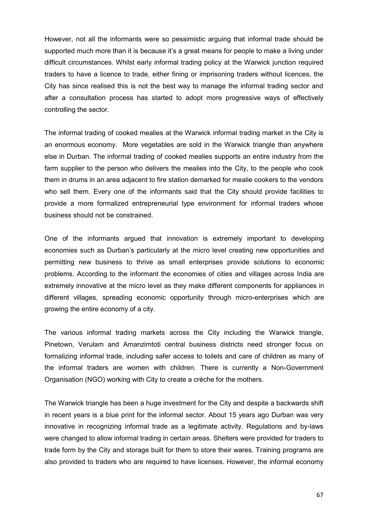However, not all the informants were so pessimistic arguing that informal trade should be supported much more than it is because it's a great means for people to make a living under difficult circumstances. Whilst early informal trading policy at the Warwick junction required traders to have a licence to trade, either fining or imprisoning traders without licences, the City has since realised this is not the best way to manage the informal trading sector and after a consultation process has started to adopt more progressive ways of effectively controlling the sector.

The informal trading of cooked mealies at the Warwick informal trading market in the City is an enormous economy. More vegetables are sold in the Warwick triangle than anywhere else in Durban. The informal trading of cooked mealies supports an entire industry from the farm supplier to the person who delivers the mealies into the City, to the people who cook them in drums in an area adjacent to fire station demarked for mealie cookers to the vendors who sell them. Every one of the informants said that the City should provide facilities to provide a more formalized entrepreneurial type environment for informal traders whose business should not be constrained.

One of the informants argued that innovation is extremely important to developing economies such as Durban's particularly at the micro level creating new opportunities and permitting new business to thrive as small enterprises provide solutions to economic problems. According to the informant the economies of cities and villages across India are extremely innovative at the micro level as they make different components for appliances in different villages, spreading economic opportunity through micro-enterprises which are growing the entire economy of a city.

The various informal trading markets across the City including the Warwick triangle, Pinetown, Verulam and Amanzimtoti central business districts need stronger focus on formalizing informal trade, including safer access to toilets and care of children as many of the informal traders are women with children. There is currently a Non-Government Organisation (NGO) working with City to create a crèche for the mothers.

The Warwick triangle has been a huge investment for the City and despite a backwards shift in recent years is a blue print for the informal sector. About 15 years ago Durban was very innovative in recognizing informal trade as a legitimate activity. Regulations and by-laws were changed to allow informal trading in certain areas. Shelters were provided for traders to trade form by the City and storage built for them to store their wares. Training programs are also provided to traders who are required to have licenses. However, the informal economy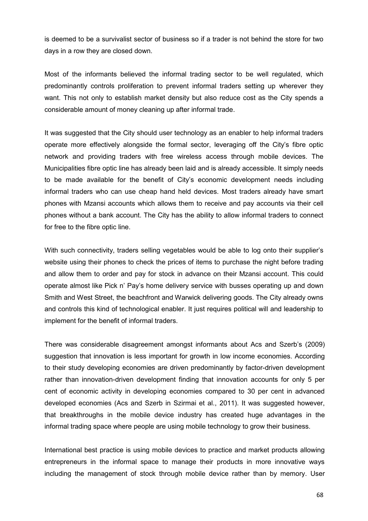is deemed to be a survivalist sector of business so if a trader is not behind the store for two days in a row they are closed down.

Most of the informants believed the informal trading sector to be well regulated, which predominantly controls proliferation to prevent informal traders setting up wherever they want. This not only to establish market density but also reduce cost as the City spends a considerable amount of money cleaning up after informal trade.

It was suggested that the City should user technology as an enabler to help informal traders operate more effectively alongside the formal sector, leveraging off the City's fibre optic network and providing traders with free wireless access through mobile devices. The Municipalities fibre optic line has already been laid and is already accessible. It simply needs to be made available for the benefit of City's economic development needs including informal traders who can use cheap hand held devices. Most traders already have smart phones with Mzansi accounts which allows them to receive and pay accounts via their cell phones without a bank account. The City has the ability to allow informal traders to connect for free to the fibre optic line.

With such connectivity, traders selling vegetables would be able to log onto their supplier's website using their phones to check the prices of items to purchase the night before trading and allow them to order and pay for stock in advance on their Mzansi account. This could operate almost like Pick n' Pay's home delivery service with busses operating up and down Smith and West Street, the beachfront and Warwick delivering goods. The City already owns and controls this kind of technological enabler. It just requires political will and leadership to implement for the benefit of informal traders.

There was considerable disagreement amongst informants about Acs and Szerb's (2009) suggestion that innovation is less important for growth in low income economies. According to their study developing economies are driven predominantly by factor-driven development rather than innovation-driven development finding that innovation accounts for only 5 per cent of economic activity in developing economies compared to 30 per cent in advanced developed economies (Acs and Szerb in Szirmai et al., 2011). It was suggested however. that breakthroughs in the mobile device industry has created huge advantages in the informal trading space where people are using mobile technology to grow their business.

International best practice is using mobile devices to practice and market products allowing entrepreneurs in the informal space to manage their products in more innovative ways including the management of stock through mobile device rather than by memory. User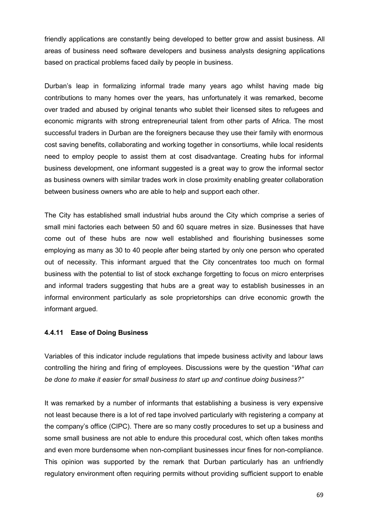friendly applications are constantly being developed to better grow and assist business. All areas of business need software developers and business analysts designing applications based on practical problems faced daily by people in business.

Durban's leap in formalizing informal trade many years ago whilst having made big contributions to many homes over the years, has unfortunately it was remarked, become over traded and abused by original tenants who sublet their licensed sites to refugees and economic migrants with strong entrepreneurial talent from other parts of Africa. The most successful traders in Durban are the foreigners because they use their family with enormous cost saving benefits, collaborating and working together in consortiums, while local residents need to employ people to assist them at cost disadvantage. Creating hubs for informal business development, one informant suggested is a great way to grow the informal sector as business owners with similar trades work in close proximity enabling greater collaboration between business owners who are able to help and support each other.

The City has established small industrial hubs around the City which comprise a series of small mini factories each between 50 and 60 square metres in size. Businesses that have come out of these hubs are now well established and flourishing businesses some employing as many as 30 to 40 people after being started by only one person who operated out of necessity. This informant argued that the City concentrates too much on formal business with the potential to list of stock exchange forgetting to focus on micro enterprises and informal traders suggesting that hubs are a great way to establish businesses in an informal environment particularly as sole proprietorships can drive economic growth the informant argued.

## **4.4.11 Ease of Doing Business**

Variables of this indicator include regulations that impede business activity and labour laws controlling the hiring and firing of employees. Discussions were by the question "*What can be done to make it easier for small business to start up and continue doing business?"* 

It was remarked by a number of informants that establishing a business is very expensive not least because there is a lot of red tape involved particularly with registering a company at the company's office (CIPC). There are so many costly procedures to set up a business and some small business are not able to endure this procedural cost, which often takes months and even more burdensome when non-compliant businesses incur fines for non-compliance. This opinion was supported by the remark that Durban particularly has an unfriendly regulatory environment often requiring permits without providing sufficient support to enable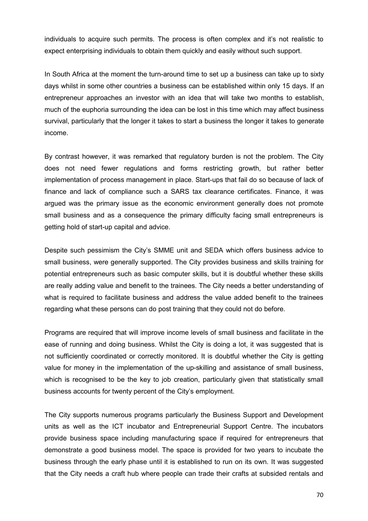individuals to acquire such permits. The process is often complex and it's not realistic to expect enterprising individuals to obtain them quickly and easily without such support.

In South Africa at the moment the turn-around time to set up a business can take up to sixty days whilst in some other countries a business can be established within only 15 days. If an entrepreneur approaches an investor with an idea that will take two months to establish, much of the euphoria surrounding the idea can be lost in this time which may affect business survival, particularly that the longer it takes to start a business the longer it takes to generate income.

By contrast however, it was remarked that regulatory burden is not the problem. The City does not need fewer regulations and forms restricting growth, but rather better implementation of process management in place. Start-ups that fail do so because of lack of finance and lack of compliance such a SARS tax clearance certificates. Finance, it was argued was the primary issue as the economic environment generally does not promote small business and as a consequence the primary difficulty facing small entrepreneurs is getting hold of start-up capital and advice.

Despite such pessimism the City's SMME unit and SEDA which offers business advice to small business, were generally supported. The City provides business and skills training for potential entrepreneurs such as basic computer skills, but it is doubtful whether these skills are really adding value and benefit to the trainees. The City needs a better understanding of what is required to facilitate business and address the value added benefit to the trainees regarding what these persons can do post training that they could not do before.

Programs are required that will improve income levels of small business and facilitate in the ease of running and doing business. Whilst the City is doing a lot, it was suggested that is not sufficiently coordinated or correctly monitored. It is doubtful whether the City is getting value for money in the implementation of the up-skilling and assistance of small business, which is recognised to be the key to job creation, particularly given that statistically small business accounts for twenty percent of the City's employment.

The City supports numerous programs particularly the Business Support and Development units as well as the ICT incubator and Entrepreneurial Support Centre. The incubators provide business space including manufacturing space if required for entrepreneurs that demonstrate a good business model. The space is provided for two years to incubate the business through the early phase until it is established to run on its own. It was suggested that the City needs a craft hub where people can trade their crafts at subsided rentals and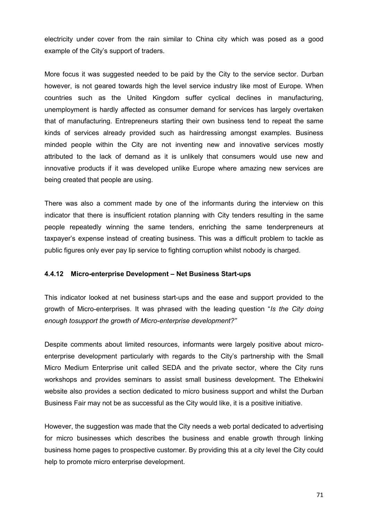electricity under cover from the rain similar to China city which was posed as a good example of the City's support of traders.

More focus it was suggested needed to be paid by the City to the service sector. Durban however, is not geared towards high the level service industry like most of Europe. When countries such as the United Kingdom suffer cyclical declines in manufacturing, unemployment is hardly affected as consumer demand for services has largely overtaken that of manufacturing. Entrepreneurs starting their own business tend to repeat the same kinds of services already provided such as hairdressing amongst examples. Business minded people within the City are not inventing new and innovative services mostly attributed to the lack of demand as it is unlikely that consumers would use new and innovative products if it was developed unlike Europe where amazing new services are being created that people are using.

There was also a comment made by one of the informants during the interview on this indicator that there is insufficient rotation planning with City tenders resulting in the same people repeatedly winning the same tenders, enriching the same tenderpreneurs at taxpayer's expense instead of creating business. This was a difficult problem to tackle as public figures only ever pay lip service to fighting corruption whilst nobody is charged.

#### **4.4.12 Micro-enterprise Development – Net Business Start-ups**

This indicator looked at net business start-ups and the ease and support provided to the growth of Micro-enterprises. It was phrased with the leading question "*Is the City doing enough tosupport the growth of Micro-enterprise development?"* 

Despite comments about limited resources, informants were largely positive about microenterprise development particularly with regards to the City's partnership with the Small Micro Medium Enterprise unit called SEDA and the private sector, where the City runs workshops and provides seminars to assist small business development. The Ethekwini website also provides a section dedicated to micro business support and whilst the Durban Business Fair may not be as successful as the City would like, it is a positive initiative.

However, the suggestion was made that the City needs a web portal dedicated to advertising for micro businesses which describes the business and enable growth through linking business home pages to prospective customer. By providing this at a city level the City could help to promote micro enterprise development.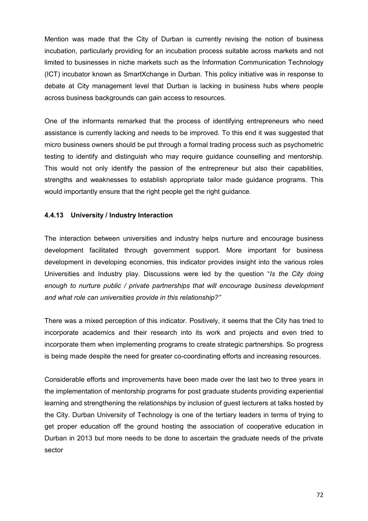Mention was made that the City of Durban is currently revising the notion of business incubation, particularly providing for an incubation process suitable across markets and not limited to businesses in niche markets such as the Information Communication Technology (ICT) incubator known as SmartXchange in Durban. This policy initiative was in response to debate at City management level that Durban is lacking in business hubs where people across business backgrounds can gain access to resources.

One of the informants remarked that the process of identifying entrepreneurs who need assistance is currently lacking and needs to be improved. To this end it was suggested that micro business owners should be put through a formal trading process such as psychometric testing to identify and distinguish who may require guidance counselling and mentorship. This would not only identify the passion of the entrepreneur but also their capabilities, strengths and weaknesses to establish appropriate tailor made guidance programs. This would importantly ensure that the right people get the right guidance.

## **4.4.13 University / Industry Interaction**

The interaction between universities and industry helps nurture and encourage business development facilitated through government support. More important for business development in developing economies, this indicator provides insight into the various roles Universities and Industry play. Discussions were led by the question "*Is the City doing enough to nurture public / private partnerships that will encourage business development and what role can universities provide in this relationship?"* 

There was a mixed perception of this indicator. Positively, it seems that the City has tried to incorporate academics and their research into its work and projects and even tried to incorporate them when implementing programs to create strategic partnerships. So progress is being made despite the need for greater co-coordinating efforts and increasing resources.

Considerable efforts and improvements have been made over the last two to three years in the implementation of mentorship programs for post graduate students providing experiential learning and strengthening the relationships by inclusion of guest lecturers at talks hosted by the City. Durban University of Technology is one of the tertiary leaders in terms of trying to get proper education off the ground hosting the association of cooperative education in Durban in 2013 but more needs to be done to ascertain the graduate needs of the private sector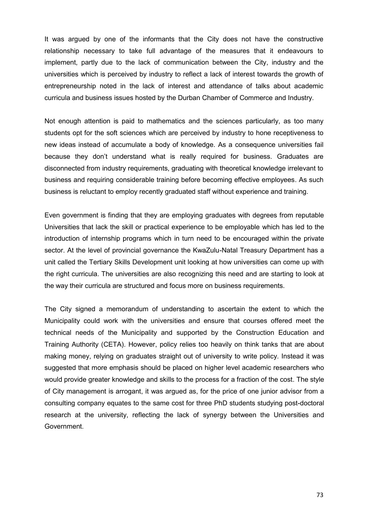It was argued by one of the informants that the City does not have the constructive relationship necessary to take full advantage of the measures that it endeavours to implement, partly due to the lack of communication between the City, industry and the universities which is perceived by industry to reflect a lack of interest towards the growth of entrepreneurship noted in the lack of interest and attendance of talks about academic curricula and business issues hosted by the Durban Chamber of Commerce and Industry.

Not enough attention is paid to mathematics and the sciences particularly, as too many students opt for the soft sciences which are perceived by industry to hone receptiveness to new ideas instead of accumulate a body of knowledge. As a consequence universities fail because they don't understand what is really required for business. Graduates are disconnected from industry requirements, graduating with theoretical knowledge irrelevant to business and requiring considerable training before becoming effective employees. As such business is reluctant to employ recently graduated staff without experience and training.

Even government is finding that they are employing graduates with degrees from reputable Universities that lack the skill or practical experience to be employable which has led to the introduction of internship programs which in turn need to be encouraged within the private sector. At the level of provincial governance the KwaZulu-Natal Treasury Department has a unit called the Tertiary Skills Development unit looking at how universities can come up with the right curricula. The universities are also recognizing this need and are starting to look at the way their curricula are structured and focus more on business requirements.

The City signed a memorandum of understanding to ascertain the extent to which the Municipality could work with the universities and ensure that courses offered meet the technical needs of the Municipality and supported by the Construction Education and Training Authority (CETA). However, policy relies too heavily on think tanks that are about making money, relying on graduates straight out of university to write policy. Instead it was suggested that more emphasis should be placed on higher level academic researchers who would provide greater knowledge and skills to the process for a fraction of the cost. The style of City management is arrogant, it was argued as, for the price of one junior advisor from a consulting company equates to the same cost for three PhD students studying post-doctoral research at the university, reflecting the lack of synergy between the Universities and Government.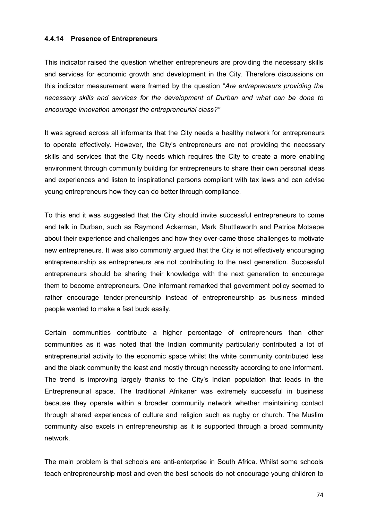#### **4.4.14 Presence of Entrepreneurs**

This indicator raised the question whether entrepreneurs are providing the necessary skills and services for economic growth and development in the City. Therefore discussions on this indicator measurement were framed by the question "*Are entrepreneurs providing the necessary skills and services for the development of Durban and what can be done to encourage innovation amongst the entrepreneurial class?"* 

It was agreed across all informants that the City needs a healthy network for entrepreneurs to operate effectively. However, the City's entrepreneurs are not providing the necessary skills and services that the City needs which requires the City to create a more enabling environment through community building for entrepreneurs to share their own personal ideas and experiences and listen to inspirational persons compliant with tax laws and can advise young entrepreneurs how they can do better through compliance.

To this end it was suggested that the City should invite successful entrepreneurs to come and talk in Durban, such as Raymond Ackerman, Mark Shuttleworth and Patrice Motsepe about their experience and challenges and how they over-came those challenges to motivate new entrepreneurs. It was also commonly argued that the City is not effectively encouraging entrepreneurship as entrepreneurs are not contributing to the next generation. Successful entrepreneurs should be sharing their knowledge with the next generation to encourage them to become entrepreneurs. One informant remarked that government policy seemed to rather encourage tender-preneurship instead of entrepreneurship as business minded people wanted to make a fast buck easily.

Certain communities contribute a higher percentage of entrepreneurs than other communities as it was noted that the Indian community particularly contributed a lot of entrepreneurial activity to the economic space whilst the white community contributed less and the black community the least and mostly through necessity according to one informant. The trend is improving largely thanks to the City's Indian population that leads in the Entrepreneurial space. The traditional Afrikaner was extremely successful in business because they operate within a broader community network whether maintaining contact through shared experiences of culture and religion such as rugby or church. The Muslim community also excels in entrepreneurship as it is supported through a broad community network.

The main problem is that schools are anti-enterprise in South Africa. Whilst some schools teach entrepreneurship most and even the best schools do not encourage young children to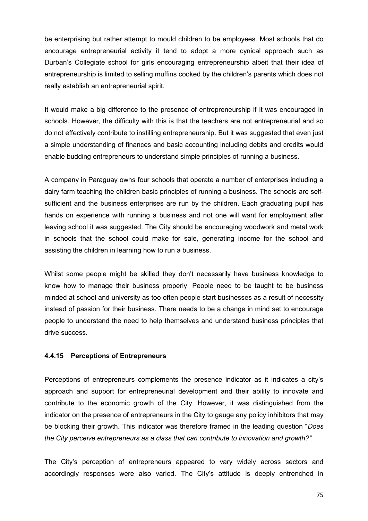be enterprising but rather attempt to mould children to be employees. Most schools that do encourage entrepreneurial activity it tend to adopt a more cynical approach such as Durban's Collegiate school for girls encouraging entrepreneurship albeit that their idea of entrepreneurship is limited to selling muffins cooked by the children's parents which does not really establish an entrepreneurial spirit.

It would make a big difference to the presence of entrepreneurship if it was encouraged in schools. However, the difficulty with this is that the teachers are not entrepreneurial and so do not effectively contribute to instilling entrepreneurship. But it was suggested that even just a simple understanding of finances and basic accounting including debits and credits would enable budding entrepreneurs to understand simple principles of running a business.

A company in Paraguay owns four schools that operate a number of enterprises including a dairy farm teaching the children basic principles of running a business. The schools are selfsufficient and the business enterprises are run by the children. Each graduating pupil has hands on experience with running a business and not one will want for employment after leaving school it was suggested. The City should be encouraging woodwork and metal work in schools that the school could make for sale, generating income for the school and assisting the children in learning how to run a business.

Whilst some people might be skilled they don't necessarily have business knowledge to know how to manage their business properly. People need to be taught to be business minded at school and university as too often people start businesses as a result of necessity instead of passion for their business. There needs to be a change in mind set to encourage people to understand the need to help themselves and understand business principles that drive success.

## **4.4.15 Perceptions of Entrepreneurs**

Perceptions of entrepreneurs complements the presence indicator as it indicates a city's approach and support for entrepreneurial development and their ability to innovate and contribute to the economic growth of the City. However, it was distinguished from the indicator on the presence of entrepreneurs in the City to gauge any policy inhibitors that may be blocking their growth. This indicator was therefore framed in the leading question "*Does the City perceive entrepreneurs as a class that can contribute to innovation and growth?"* 

The City's perception of entrepreneurs appeared to vary widely across sectors and accordingly responses were also varied. The City's attitude is deeply entrenched in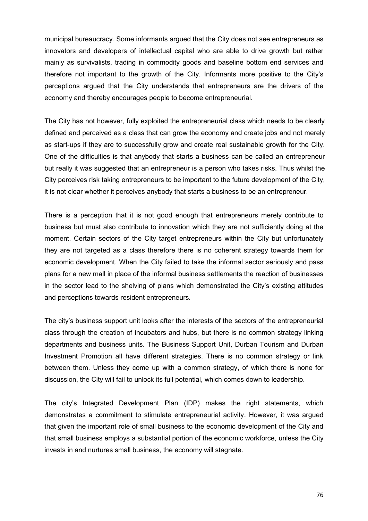municipal bureaucracy. Some informants argued that the City does not see entrepreneurs as innovators and developers of intellectual capital who are able to drive growth but rather mainly as survivalists, trading in commodity goods and baseline bottom end services and therefore not important to the growth of the City. Informants more positive to the City's perceptions argued that the City understands that entrepreneurs are the drivers of the economy and thereby encourages people to become entrepreneurial.

The City has not however, fully exploited the entrepreneurial class which needs to be clearly defined and perceived as a class that can grow the economy and create jobs and not merely as start-ups if they are to successfully grow and create real sustainable growth for the City. One of the difficulties is that anybody that starts a business can be called an entrepreneur but really it was suggested that an entrepreneur is a person who takes risks. Thus whilst the City perceives risk taking entrepreneurs to be important to the future development of the City, it is not clear whether it perceives anybody that starts a business to be an entrepreneur.

There is a perception that it is not good enough that entrepreneurs merely contribute to business but must also contribute to innovation which they are not sufficiently doing at the moment. Certain sectors of the City target entrepreneurs within the City but unfortunately they are not targeted as a class therefore there is no coherent strategy towards them for economic development. When the City failed to take the informal sector seriously and pass plans for a new mall in place of the informal business settlements the reaction of businesses in the sector lead to the shelving of plans which demonstrated the City's existing attitudes and perceptions towards resident entrepreneurs.

The city's business support unit looks after the interests of the sectors of the entrepreneurial class through the creation of incubators and hubs, but there is no common strategy linking departments and business units. The Business Support Unit, Durban Tourism and Durban Investment Promotion all have different strategies. There is no common strategy or link between them. Unless they come up with a common strategy, of which there is none for discussion, the City will fail to unlock its full potential, which comes down to leadership.

The city's Integrated Development Plan (IDP) makes the right statements, which demonstrates a commitment to stimulate entrepreneurial activity. However, it was argued that given the important role of small business to the economic development of the City and that small business employs a substantial portion of the economic workforce, unless the City invests in and nurtures small business, the economy will stagnate.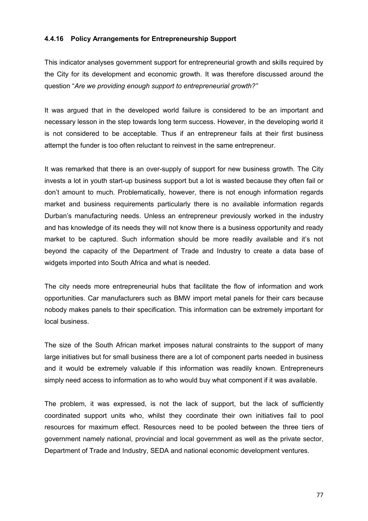#### **4.4.16 Policy Arrangements for Entrepreneurship Support**

This indicator analyses government support for entrepreneurial growth and skills required by the City for its development and economic growth. It was therefore discussed around the question "*Are we providing enough support to entrepreneurial growth?"* 

It was argued that in the developed world failure is considered to be an important and necessary lesson in the step towards long term success. However, in the developing world it is not considered to be acceptable. Thus if an entrepreneur fails at their first business attempt the funder is too often reluctant to reinvest in the same entrepreneur.

It was remarked that there is an over-supply of support for new business growth. The City invests a lot in youth start-up business support but a lot is wasted because they often fail or don't amount to much. Problematically, however, there is not enough information regards market and business requirements particularly there is no available information regards Durban's manufacturing needs. Unless an entrepreneur previously worked in the industry and has knowledge of its needs they will not know there is a business opportunity and ready market to be captured. Such information should be more readily available and it's not beyond the capacity of the Department of Trade and Industry to create a data base of widgets imported into South Africa and what is needed.

The city needs more entrepreneurial hubs that facilitate the flow of information and work opportunities. Car manufacturers such as BMW import metal panels for their cars because nobody makes panels to their specification. This information can be extremely important for local business.

The size of the South African market imposes natural constraints to the support of many large initiatives but for small business there are a lot of component parts needed in business and it would be extremely valuable if this information was readily known. Entrepreneurs simply need access to information as to who would buy what component if it was available.

The problem, it was expressed, is not the lack of support, but the lack of sufficiently coordinated support units who, whilst they coordinate their own initiatives fail to pool resources for maximum effect. Resources need to be pooled between the three tiers of government namely national, provincial and local government as well as the private sector, Department of Trade and Industry, SEDA and national economic development ventures.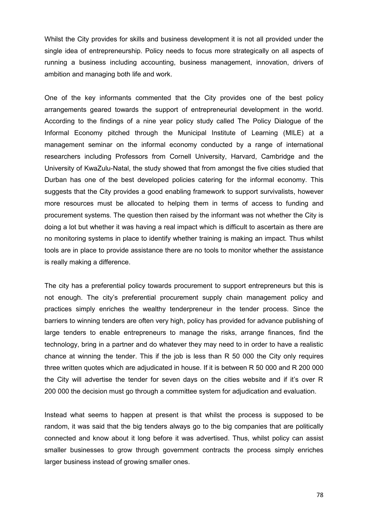Whilst the City provides for skills and business development it is not all provided under the single idea of entrepreneurship. Policy needs to focus more strategically on all aspects of running a business including accounting, business management, innovation, drivers of ambition and managing both life and work.

One of the key informants commented that the City provides one of the best policy arrangements geared towards the support of entrepreneurial development in the world. According to the findings of a nine year policy study called The Policy Dialogue of the Informal Economy pitched through the Municipal Institute of Learning (MILE) at a management seminar on the informal economy conducted by a range of international researchers including Professors from Cornell University, Harvard, Cambridge and the University of KwaZulu-Natal, the study showed that from amongst the five cities studied that Durban has one of the best developed policies catering for the informal economy. This suggests that the City provides a good enabling framework to support survivalists, however more resources must be allocated to helping them in terms of access to funding and procurement systems. The question then raised by the informant was not whether the City is doing a lot but whether it was having a real impact which is difficult to ascertain as there are no monitoring systems in place to identify whether training is making an impact. Thus whilst tools are in place to provide assistance there are no tools to monitor whether the assistance is really making a difference.

The city has a preferential policy towards procurement to support entrepreneurs but this is not enough. The city's preferential procurement supply chain management policy and practices simply enriches the wealthy tenderpreneur in the tender process. Since the barriers to winning tenders are often very high, policy has provided for advance publishing of large tenders to enable entrepreneurs to manage the risks, arrange finances, find the technology, bring in a partner and do whatever they may need to in order to have a realistic chance at winning the tender. This if the job is less than R 50 000 the City only requires three written quotes which are adjudicated in house. If it is between R 50 000 and R 200 000 the City will advertise the tender for seven days on the cities website and if it's over R 200 000 the decision must go through a committee system for adjudication and evaluation.

Instead what seems to happen at present is that whilst the process is supposed to be random, it was said that the big tenders always go to the big companies that are politically connected and know about it long before it was advertised. Thus, whilst policy can assist smaller businesses to grow through government contracts the process simply enriches larger business instead of growing smaller ones.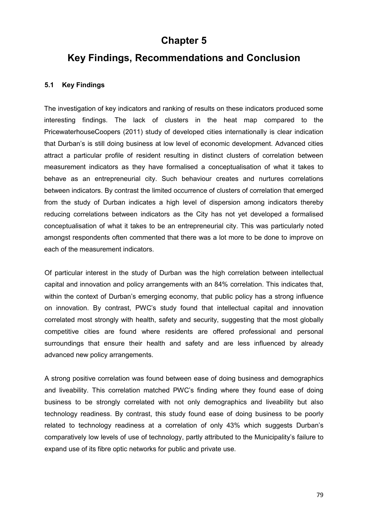## **Chapter 5**

# **Key Findings, Recommendations and Conclusion**

### **5.1 Key Findings**

The investigation of key indicators and ranking of results on these indicators produced some interesting findings. The lack of clusters in the heat map compared to the PricewaterhouseCoopers (2011) study of developed cities internationally is clear indication that Durban's is still doing business at low level of economic development. Advanced cities attract a particular profile of resident resulting in distinct clusters of correlation between measurement indicators as they have formalised a conceptualisation of what it takes to behave as an entrepreneurial city. Such behaviour creates and nurtures correlations between indicators. By contrast the limited occurrence of clusters of correlation that emerged from the study of Durban indicates a high level of dispersion among indicators thereby reducing correlations between indicators as the City has not yet developed a formalised conceptualisation of what it takes to be an entrepreneurial city. This was particularly noted amongst respondents often commented that there was a lot more to be done to improve on each of the measurement indicators.

Of particular interest in the study of Durban was the high correlation between intellectual capital and innovation and policy arrangements with an 84% correlation. This indicates that, within the context of Durban's emerging economy, that public policy has a strong influence on innovation. By contrast, PWC's study found that intellectual capital and innovation correlated most strongly with health, safety and security, suggesting that the most globally competitive cities are found where residents are offered professional and personal surroundings that ensure their health and safety and are less influenced by already advanced new policy arrangements.

A strong positive correlation was found between ease of doing business and demographics and liveability. This correlation matched PWC's finding where they found ease of doing business to be strongly correlated with not only demographics and liveability but also technology readiness. By contrast, this study found ease of doing business to be poorly related to technology readiness at a correlation of only 43% which suggests Durban's comparatively low levels of use of technology, partly attributed to the Municipality's failure to expand use of its fibre optic networks for public and private use.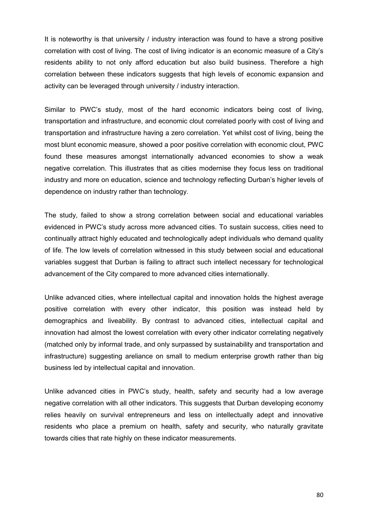It is noteworthy is that university / industry interaction was found to have a strong positive correlation with cost of living. The cost of living indicator is an economic measure of a City's residents ability to not only afford education but also build business. Therefore a high correlation between these indicators suggests that high levels of economic expansion and activity can be leveraged through university / industry interaction.

Similar to PWC's study, most of the hard economic indicators being cost of living, transportation and infrastructure, and economic clout correlated poorly with cost of living and transportation and infrastructure having a zero correlation. Yet whilst cost of living, being the most blunt economic measure, showed a poor positive correlation with economic clout, PWC found these measures amongst internationally advanced economies to show a weak negative correlation. This illustrates that as cities modernise they focus less on traditional industry and more on education, science and technology reflecting Durban's higher levels of dependence on industry rather than technology.

The study, failed to show a strong correlation between social and educational variables evidenced in PWC's study across more advanced cities. To sustain success, cities need to continually attract highly educated and technologically adept individuals who demand quality of life. The low levels of correlation witnessed in this study between social and educational variables suggest that Durban is failing to attract such intellect necessary for technological advancement of the City compared to more advanced cities internationally.

Unlike advanced cities, where intellectual capital and innovation holds the highest average positive correlation with every other indicator, this position was instead held by demographics and liveability. By contrast to advanced cities, intellectual capital and innovation had almost the lowest correlation with every other indicator correlating negatively (matched only by informal trade, and only surpassed by sustainability and transportation and infrastructure) suggesting areliance on small to medium enterprise growth rather than big business led by intellectual capital and innovation.

Unlike advanced cities in PWC's study, health, safety and security had a low average negative correlation with all other indicators. This suggests that Durban developing economy relies heavily on survival entrepreneurs and less on intellectually adept and innovative residents who place a premium on health, safety and security, who naturally gravitate towards cities that rate highly on these indicator measurements.

80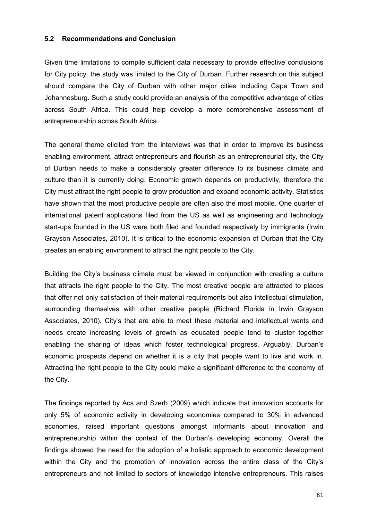#### **5.2 Recommendations and Conclusion**

Given time limitations to compile sufficient data necessary to provide effective conclusions for City policy, the study was limited to the City of Durban. Further research on this subject should compare the City of Durban with other major cities including Cape Town and Johannesburg. Such a study could provide an analysis of the competitive advantage of cities across South Africa. This could help develop a more comprehensive assessment of entrepreneurship across South Africa.

The general theme elicited from the interviews was that in order to improve its business enabling environment, attract entrepreneurs and flourish as an entrepreneurial city, the City of Durban needs to make a considerably greater difference to its business climate and culture than it is currently doing. Economic growth depends on productivity, therefore the City must attract the right people to grow production and expand economic activity. Statistics have shown that the most productive people are often also the most mobile. One quarter of international patent applications filed from the US as well as engineering and technology start-ups founded in the US were both filed and founded respectively by immigrants (Irwin Grayson Associates, 2010). It is critical to the economic expansion of Durban that the City creates an enabling environment to attract the right people to the City.

Building the City's business climate must be viewed in conjunction with creating a culture that attracts the right people to the City. The most creative people are attracted to places that offer not only satisfaction of their material requirements but also intellectual stimulation, surrounding themselves with other creative people (Richard Florida in Irwin Grayson Associates, 2010). City's that are able to meet these material and intellectual wants and needs create increasing levels of growth as educated people tend to cluster together enabling the sharing of ideas which foster technological progress. Arguably, Durban's economic prospects depend on whether it is a city that people want to live and work in. Attracting the right people to the City could make a significant difference to the economy of the City.

The findings reported by Acs and Szerb (2009) which indicate that innovation accounts for only 5% of economic activity in developing economies compared to 30% in advanced economies, raised important questions amongst informants about innovation and entrepreneurship within the context of the Durban's developing economy. Overall the findings showed the need for the adoption of a holistic approach to economic development within the City and the promotion of innovation across the entire class of the City's entrepreneurs and not limited to sectors of knowledge intensive entrepreneurs. This raises

81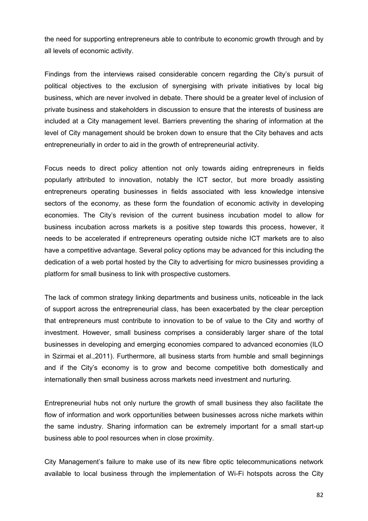the need for supporting entrepreneurs able to contribute to economic growth through and by all levels of economic activity.

Findings from the interviews raised considerable concern regarding the City's pursuit of political objectives to the exclusion of synergising with private initiatives by local big business, which are never involved in debate. There should be a greater level of inclusion of private business and stakeholders in discussion to ensure that the interests of business are included at a City management level. Barriers preventing the sharing of information at the level of City management should be broken down to ensure that the City behaves and acts entrepreneurially in order to aid in the growth of entrepreneurial activity.

Focus needs to direct policy attention not only towards aiding entrepreneurs in fields popularly attributed to innovation, notably the ICT sector, but more broadly assisting entrepreneurs operating businesses in fields associated with less knowledge intensive sectors of the economy, as these form the foundation of economic activity in developing economies. The City's revision of the current business incubation model to allow for business incubation across markets is a positive step towards this process, however, it needs to be accelerated if entrepreneurs operating outside niche ICT markets are to also have a competitive advantage. Several policy options may be advanced for this including the dedication of a web portal hosted by the City to advertising for micro businesses providing a platform for small business to link with prospective customers.

The lack of common strategy linking departments and business units, noticeable in the lack of support across the entrepreneurial class, has been exacerbated by the clear perception that entrepreneurs must contribute to innovation to be of value to the City and worthy of investment. However, small business comprises a considerably larger share of the total businesses in developing and emerging economies compared to advanced economies (ILO in Szirmai et al.,2011). Furthermore, all business starts from humble and small beginnings and if the City's economy is to grow and become competitive both domestically and internationally then small business across markets need investment and nurturing.

Entrepreneurial hubs not only nurture the growth of small business they also facilitate the flow of information and work opportunities between businesses across niche markets within the same industry. Sharing information can be extremely important for a small start-up business able to pool resources when in close proximity.

City Management's failure to make use of its new fibre optic telecommunications network available to local business through the implementation of Wi-Fi hotspots across the City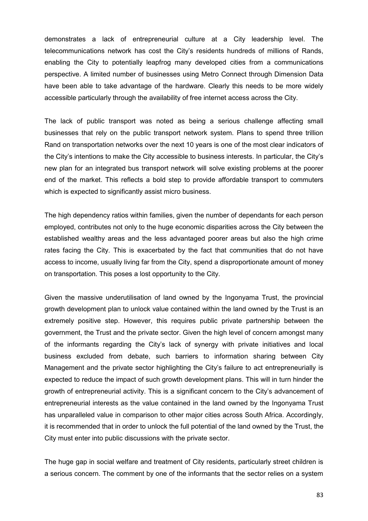demonstrates a lack of entrepreneurial culture at a City leadership level. The telecommunications network has cost the City's residents hundreds of millions of Rands, enabling the City to potentially leapfrog many developed cities from a communications perspective. A limited number of businesses using Metro Connect through Dimension Data have been able to take advantage of the hardware. Clearly this needs to be more widely accessible particularly through the availability of free internet access across the City.

The lack of public transport was noted as being a serious challenge affecting small businesses that rely on the public transport network system. Plans to spend three trillion Rand on transportation networks over the next 10 years is one of the most clear indicators of the City's intentions to make the City accessible to business interests. In particular, the City's new plan for an integrated bus transport network will solve existing problems at the poorer end of the market. This reflects a bold step to provide affordable transport to commuters which is expected to significantly assist micro business.

The high dependency ratios within families, given the number of dependants for each person employed, contributes not only to the huge economic disparities across the City between the established wealthy areas and the less advantaged poorer areas but also the high crime rates facing the City. This is exacerbated by the fact that communities that do not have access to income, usually living far from the City, spend a disproportionate amount of money on transportation. This poses a lost opportunity to the City.

Given the massive underutilisation of land owned by the Ingonyama Trust, the provincial growth development plan to unlock value contained within the land owned by the Trust is an extremely positive step. However, this requires public private partnership between the government, the Trust and the private sector. Given the high level of concern amongst many of the informants regarding the City's lack of synergy with private initiatives and local business excluded from debate, such barriers to information sharing between City Management and the private sector highlighting the City's failure to act entrepreneurially is expected to reduce the impact of such growth development plans. This will in turn hinder the growth of entrepreneurial activity. This is a significant concern to the City's advancement of entrepreneurial interests as the value contained in the land owned by the Ingonyama Trust has unparalleled value in comparison to other major cities across South Africa. Accordingly, it is recommended that in order to unlock the full potential of the land owned by the Trust, the City must enter into public discussions with the private sector.

The huge gap in social welfare and treatment of City residents, particularly street children is a serious concern. The comment by one of the informants that the sector relies on a system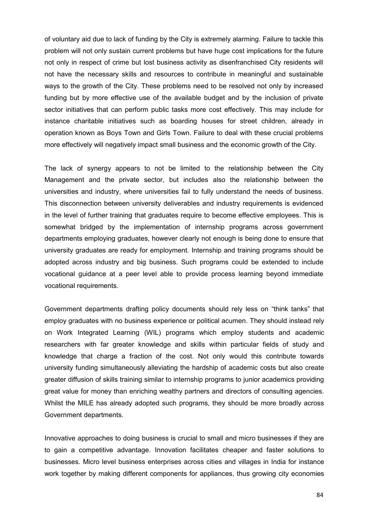of voluntary aid due to lack of funding by the City is extremely alarming. Failure to tackle this problem will not only sustain current problems but have huge cost implications for the future not only in respect of crime but lost business activity as disenfranchised City residents will not have the necessary skills and resources to contribute in meaningful and sustainable ways to the growth of the City. These problems need to be resolved not only by increased funding but by more effective use of the available budget and by the inclusion of private sector initiatives that can perform public tasks more cost effectively. This may include for instance charitable initiatives such as boarding houses for street children, already in operation known as Boys Town and Girls Town. Failure to deal with these crucial problems more effectively will negatively impact small business and the economic growth of the City.

The lack of synergy appears to not be limited to the relationship between the City Management and the private sector, but includes also the relationship between the universities and industry, where universities fail to fully understand the needs of business. This disconnection between university deliverables and industry requirements is evidenced in the level of further training that graduates require to become effective employees. This is somewhat bridged by the implementation of internship programs across government departments employing graduates, however clearly not enough is being done to ensure that university graduates are ready for employment. Internship and training programs should be adopted across industry and big business. Such programs could be extended to include vocational guidance at a peer level able to provide process learning beyond immediate vocational requirements.

Government departments drafting policy documents should rely less on "think tanks" that employ graduates with no business experience or political acumen. They should instead rely on Work Integrated Learning (WIL) programs which employ students and academic researchers with far greater knowledge and skills within particular fields of study and knowledge that charge a fraction of the cost. Not only would this contribute towards university funding simultaneously alleviating the hardship of academic costs but also create greater diffusion of skills training similar to internship programs to junior academics providing great value for money than enriching wealthy partners and directors of consulting agencies. Whilst the MILE has already adopted such programs, they should be more broadly across Government departments.

Innovative approaches to doing business is crucial to small and micro businesses if they are to gain a competitive advantage. Innovation facilitates cheaper and faster solutions to businesses. Micro level business enterprises across cities and villages in India for instance work together by making different components for appliances, thus growing city economies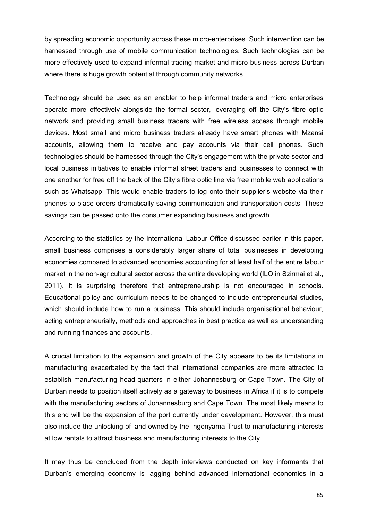by spreading economic opportunity across these micro-enterprises. Such intervention can be harnessed through use of mobile communication technologies. Such technologies can be more effectively used to expand informal trading market and micro business across Durban where there is huge growth potential through community networks.

Technology should be used as an enabler to help informal traders and micro enterprises operate more effectively alongside the formal sector, leveraging off the City's fibre optic network and providing small business traders with free wireless access through mobile devices. Most small and micro business traders already have smart phones with Mzansi accounts, allowing them to receive and pay accounts via their cell phones. Such technologies should be harnessed through the City's engagement with the private sector and local business initiatives to enable informal street traders and businesses to connect with one another for free off the back of the City's fibre optic line via free mobile web applications such as Whatsapp. This would enable traders to log onto their supplier's website via their phones to place orders dramatically saving communication and transportation costs. These savings can be passed onto the consumer expanding business and growth.

According to the statistics by the International Labour Office discussed earlier in this paper, small business comprises a considerably larger share of total businesses in developing economies compared to advanced economies accounting for at least half of the entire labour market in the non-agricultural sector across the entire developing world (ILO in Szirmai et al., 2011). It is surprising therefore that entrepreneurship is not encouraged in schools. Educational policy and curriculum needs to be changed to include entrepreneurial studies, which should include how to run a business. This should include organisational behaviour, acting entrepreneurially, methods and approaches in best practice as well as understanding and running finances and accounts.

A crucial limitation to the expansion and growth of the City appears to be its limitations in manufacturing exacerbated by the fact that international companies are more attracted to establish manufacturing head-quarters in either Johannesburg or Cape Town. The City of Durban needs to position itself actively as a gateway to business in Africa if it is to compete with the manufacturing sectors of Johannesburg and Cape Town. The most likely means to this end will be the expansion of the port currently under development. However, this must also include the unlocking of land owned by the Ingonyama Trust to manufacturing interests at low rentals to attract business and manufacturing interests to the City.

It may thus be concluded from the depth interviews conducted on key informants that Durban's emerging economy is lagging behind advanced international economies in a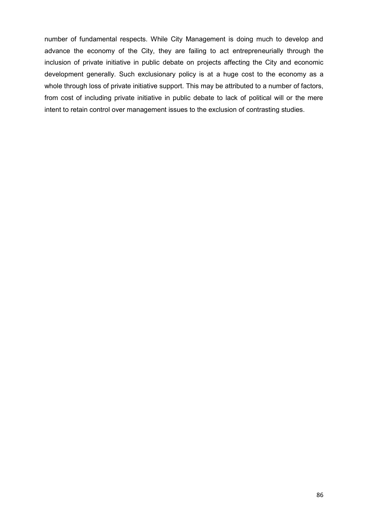number of fundamental respects. While City Management is doing much to develop and advance the economy of the City, they are failing to act entrepreneurially through the inclusion of private initiative in public debate on projects affecting the City and economic development generally. Such exclusionary policy is at a huge cost to the economy as a whole through loss of private initiative support. This may be attributed to a number of factors, from cost of including private initiative in public debate to lack of political will or the mere intent to retain control over management issues to the exclusion of contrasting studies.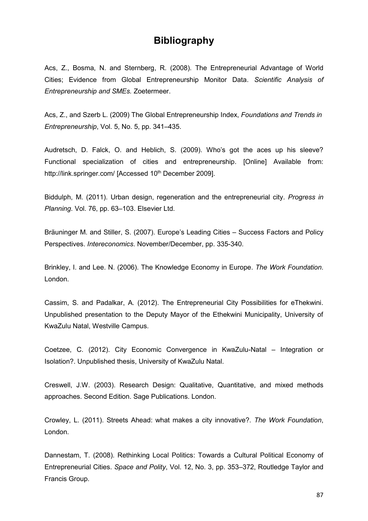## **Bibliography**

Acs, Z., Bosma, N. and Sternberg, R. (2008). The Entrepreneurial Advantage of World Cities; Evidence from Global Entrepreneurship Monitor Data. *Scientific Analysis of Entrepreneurship and SMEs.* Zoetermeer.

Acs, Z., and Szerb L. (2009) The Global Entrepreneurship Index, *Foundations and Trends in Entrepreneurship*, Vol. 5, No. 5, pp. 341–435.

Audretsch, D. Falck, O. and Heblich, S. (2009). Who's got the aces up his sleeve? Functional specialization of cities and entrepreneurship. [Online] Available from: http://link.springer.com/ [Accessed 10<sup>th</sup> December 2009].

Biddulph, M. (2011). Urban design, regeneration and the entrepreneurial city. *Progress in Planning*. Vol. 76, pp. 63–103. Elsevier Ltd.

Bräuninger M. and Stiller, S. (2007). Europe's Leading Cities – Success Factors and Policy Perspectives. *Intereconomics*. November/December, pp. 335-340.

Brinkley, I. and Lee. N. (2006). The Knowledge Economy in Europe. *The Work Foundation*. London.

Cassim, S. and Padalkar, A. (2012). The Entrepreneurial City Possibilities for eThekwini. Unpublished presentation to the Deputy Mayor of the Ethekwini Municipality, University of KwaZulu Natal, Westville Campus.

Coetzee, C. (2012). City Economic Convergence in KwaZulu-Natal – Integration or Isolation?. Unpublished thesis, University of KwaZulu Natal.

Creswell, J.W. (2003). Research Design: Qualitative, Quantitative, and mixed methods approaches. Second Edition. Sage Publications. London.

Crowley, L. (2011). Streets Ahead: what makes a city innovative?. *The Work Foundation*, London.

Dannestam, T. (2008). Rethinking Local Politics: Towards a Cultural Political Economy of Entrepreneurial Cities. *Space and Polity*, Vol. 12, No. 3, pp. 353–372, Routledge Taylor and Francis Group.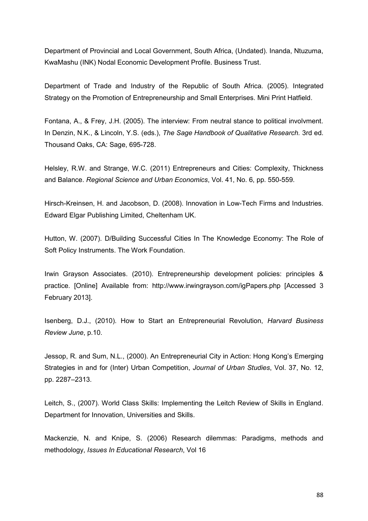Department of Provincial and Local Government, South Africa, (Undated). Inanda, Ntuzuma, KwaMashu (INK) Nodal Economic Development Profile. Business Trust.

Department of Trade and Industry of the Republic of South Africa. (2005). Integrated Strategy on the Promotion of Entrepreneurship and Small Enterprises. Mini Print Hatfield.

Fontana, A., & Frey, J.H. (2005). The interview: From neutral stance to political involvment. In Denzin, N.K., & Lincoln, Y.S. (eds.), *The Sage Handbook of Qualitative Research.* 3rd ed. Thousand Oaks, CA: Sage, 695-728.

Helsley, R.W. and Strange, W.C. (2011) Entrepreneurs and Cities: Complexity, Thickness and Balance. *[Regional Science and Urban Economics](http://yadda.icm.edu.pl/yadda/element/bwmeta1.element.elsevier-1eae735f-da2b-3142-b941-ee6b319ebbe1)*, Vol. [41,](http://yadda.icm.edu.pl/yadda/element/bwmeta1.element.elsevier-67b806c8-c1be-3113-9343-dca8cb1e6275) No. [6,](http://yadda.icm.edu.pl/yadda/element/bwmeta1.element.elsevier-427fdce5-eadc-373d-9e4f-43e623471dac) pp. 550-559.

Hirsch-Kreinsen, H. and Jacobson, D. (2008). Innovation in Low-Tech Firms and Industries. Edward Elgar Publishing Limited, Cheltenham UK.

Hutton, W. (2007). D/Building Successful Cities In The Knowledge Economy: The Role of Soft Policy Instruments. The Work Foundation.

Irwin Grayson Associates. (2010). Entrepreneurship development policies: principles & practice. [Online] Available from: http://www.irwingrayson.com/igPapers.php [Accessed 3 February 2013].

Isenberg, D.J., (2010). How to Start an Entrepreneurial Revolution, *Harvard Business Review June*, p.10.

Jessop, R. and Sum, N.L., (2000). An Entrepreneurial City in Action: Hong Kong's Emerging Strategies in and for (Inter) Urban Competition, *Journal of Urban Studies*, Vol. 37, No. 12, pp. 2287–2313.

Leitch, S., (2007). World Class Skills: Implementing the Leitch Review of Skills in England. Department for Innovation, Universities and Skills.

Mackenzie, N. and Knipe, S. (2006) Research dilemmas: Paradigms, methods and methodology, *Issues In Educational Research*, Vol 16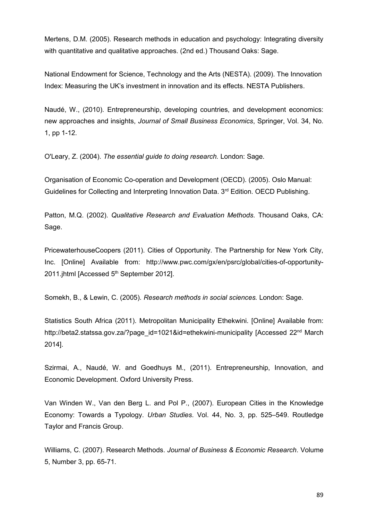Mertens, D.M. (2005). Research methods in education and psychology: Integrating diversity with quantitative and qualitative approaches. (2nd ed.) Thousand Oaks: Sage.

National Endowment for Science, Technology and the Arts (NESTA). (2009). The Innovation Index: Measuring the UK's investment in innovation and its effects. NESTA Publishers.

Naudé, W., (2010). Entrepreneurship, developing countries, and development economics: new approaches and insights, *Journal of Small Business Economics*, Springer, Vol. 34, No. 1, pp 1-12.

O'Leary, Z. (2004). *The essential guide to doing research.* London: Sage.

Organisation of Economic Co-operation and Development (OECD). (2005). Oslo Manual: Guidelines for Collecting and Interpreting Innovation Data. 3<sup>rd</sup> Edition. OECD Publishing.

Patton, M.Q. (2002). *Qualitative Research and Evaluation Methods.* Thousand Oaks, CA: Sage.

PricewaterhouseCoopers (2011). Cities of Opportunity. The Partnership for New York City, Inc. [Online] Available from: [http://www.pwc.com/gx/en/psrc/global/cities-of-opportunity-](http://www.pwc.com/gx/en/psrc/global/cities-of-opportunity-2011.jhtml)[2011.jhtml](http://www.pwc.com/gx/en/psrc/global/cities-of-opportunity-2011.jhtml) [Accessed 5<sup>th</sup> September 2012].

Somekh, B., & Lewin, C. (2005). *Research methods in social sciences.* London: Sage.

Statistics South Africa (2011). Metropolitan Municipality Ethekwini. [Online] Available from: http://beta2.statssa.gov.za/?page\_id=1021&id=ethekwini-municipality [Accessed 22<sup>nd</sup> March 2014].

Szirmai, A., Naudé, W. and Goedhuys M., (2011). Entrepreneurship, Innovation, and Economic Development. Oxford University Press.

Van Winden W., Van den Berg L. and Pol P., (2007). European Cities in the Knowledge Economy: Towards a Typology. *Urban Studies*. Vol. 44, No. 3, pp. 525–549. Routledge Taylor and Francis Group.

Williams, C. (2007). Research Methods. *Journal of Business & Economic Research*. Volume 5, Number 3, pp. 65-71.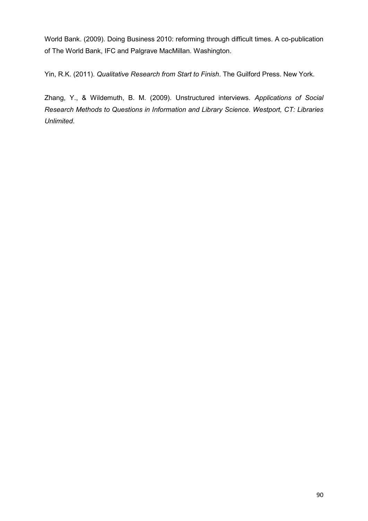World Bank. (2009). Doing Business 2010: reforming through difficult times. A co-publication of The World Bank, IFC and Palgrave MacMillan. Washington.

Yin, R.K. (2011). *Qualitative Research from Start to Finish*. The Guilford Press. New York.

Zhang, Y., & Wildemuth, B. M. (2009). Unstructured interviews. *Applications of Social Research Methods to Questions in Information and Library Science. Westport, CT: Libraries Unlimited*.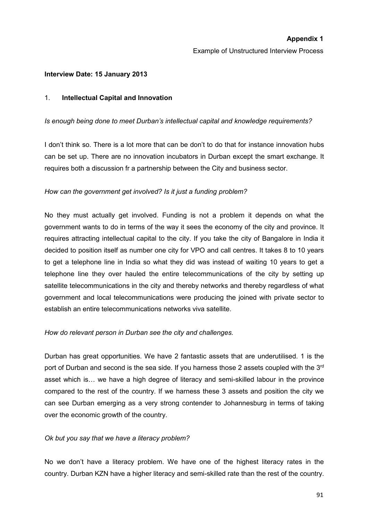Example of Unstructured Interview Process

#### **Interview Date: 15 January 2013**

#### 1. **Intellectual Capital and Innovation**

#### *Is enough being done to meet Durban's intellectual capital and knowledge requirements?*

I don't think so. There is a lot more that can be don't to do that for instance innovation hubs can be set up. There are no innovation incubators in Durban except the smart exchange. It requires both a discussion fr a partnership between the City and business sector.

### *How can the government get involved? Is it just a funding problem?*

No they must actually get involved. Funding is not a problem it depends on what the government wants to do in terms of the way it sees the economy of the city and province. It requires attracting intellectual capital to the city. If you take the city of Bangalore in India it decided to position itself as number one city for VPO and call centres. It takes 8 to 10 years to get a telephone line in India so what they did was instead of waiting 10 years to get a telephone line they over hauled the entire telecommunications of the city by setting up satellite telecommunications in the city and thereby networks and thereby regardless of what government and local telecommunications were producing the joined with private sector to establish an entire telecommunications networks viva satellite.

#### *How do relevant person in Durban see the city and challenges.*

Durban has great opportunities. We have 2 fantastic assets that are underutilised. 1 is the port of Durban and second is the sea side. If you harness those 2 assets coupled with the  $3<sup>rd</sup>$ asset which is… we have a high degree of literacy and semi-skilled labour in the province compared to the rest of the country. If we harness these 3 assets and position the city we can see Durban emerging as a very strong contender to Johannesburg in terms of taking over the economic growth of the country.

#### *Ok but you say that we have a literacy problem?*

No we don't have a literacy problem. We have one of the highest literacy rates in the country. Durban KZN have a higher literacy and semi-skilled rate than the rest of the country.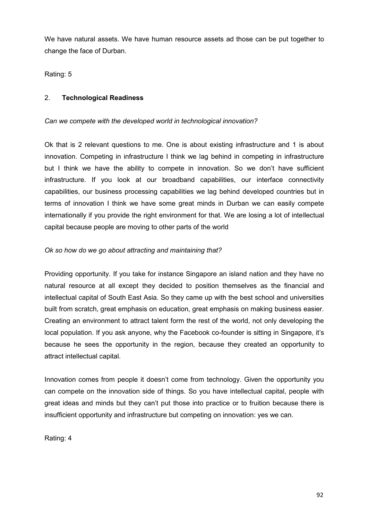We have natural assets. We have human resource assets ad those can be put together to change the face of Durban.

Rating: 5

## 2. **Technological Readiness**

## *Can we compete with the developed world in technological innovation?*

Ok that is 2 relevant questions to me. One is about existing infrastructure and 1 is about innovation. Competing in infrastructure I think we lag behind in competing in infrastructure but I think we have the ability to compete in innovation. So we don't have sufficient infrastructure. If you look at our broadband capabilities, our interface connectivity capabilities, our business processing capabilities we lag behind developed countries but in terms of innovation I think we have some great minds in Durban we can easily compete internationally if you provide the right environment for that. We are losing a lot of intellectual capital because people are moving to other parts of the world

## *Ok so how do we go about attracting and maintaining that?*

Providing opportunity. If you take for instance Singapore an island nation and they have no natural resource at all except they decided to position themselves as the financial and intellectual capital of South East Asia. So they came up with the best school and universities built from scratch, great emphasis on education, great emphasis on making business easier. Creating an environment to attract talent form the rest of the world, not only developing the local population. If you ask anyone, why the Facebook co-founder is sitting in Singapore, it's because he sees the opportunity in the region, because they created an opportunity to attract intellectual capital.

Innovation comes from people it doesn't come from technology. Given the opportunity you can compete on the innovation side of things. So you have intellectual capital, people with great ideas and minds but they can't put those into practice or to fruition because there is insufficient opportunity and infrastructure but competing on innovation: yes we can.

Rating: 4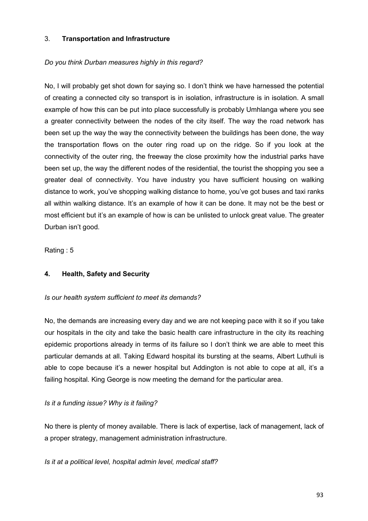## 3. **Transportation and Infrastructure**

## *Do you think Durban measures highly in this regard?*

No, I will probably get shot down for saying so. I don't think we have harnessed the potential of creating a connected city so transport is in isolation, infrastructure is in isolation. A small example of how this can be put into place successfully is probably Umhlanga where you see a greater connectivity between the nodes of the city itself. The way the road network has been set up the way the way the connectivity between the buildings has been done, the way the transportation flows on the outer ring road up on the ridge. So if you look at the connectivity of the outer ring, the freeway the close proximity how the industrial parks have been set up, the way the different nodes of the residential, the tourist the shopping you see a greater deal of connectivity. You have industry you have sufficient housing on walking distance to work, you've shopping walking distance to home, you've got buses and taxi ranks all within walking distance. It's an example of how it can be done. It may not be the best or most efficient but it's an example of how is can be unlisted to unlock great value. The greater Durban isn't good.

Rating : 5

## **4. Health, Safety and Security**

#### *Is our health system sufficient to meet its demands?*

No, the demands are increasing every day and we are not keeping pace with it so if you take our hospitals in the city and take the basic health care infrastructure in the city its reaching epidemic proportions already in terms of its failure so I don't think we are able to meet this particular demands at all. Taking Edward hospital its bursting at the seams, Albert Luthuli is able to cope because it's a newer hospital but Addington is not able to cope at all, it's a failing hospital. King George is now meeting the demand for the particular area.

## *Is it a funding issue? Why is it failing?*

No there is plenty of money available. There is lack of expertise, lack of management, lack of a proper strategy, management administration infrastructure.

#### *Is it at a political level, hospital admin level, medical staff?*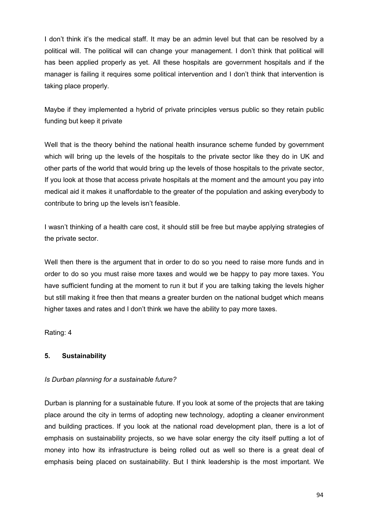I don't think it's the medical staff. It may be an admin level but that can be resolved by a political will. The political will can change your management. I don't think that political will has been applied properly as yet. All these hospitals are government hospitals and if the manager is failing it requires some political intervention and I don't think that intervention is taking place properly.

Maybe if they implemented a hybrid of private principles versus public so they retain public funding but keep it private

Well that is the theory behind the national health insurance scheme funded by government which will bring up the levels of the hospitals to the private sector like they do in UK and other parts of the world that would bring up the levels of those hospitals to the private sector, If you look at those that access private hospitals at the moment and the amount you pay into medical aid it makes it unaffordable to the greater of the population and asking everybody to contribute to bring up the levels isn't feasible.

I wasn't thinking of a health care cost, it should still be free but maybe applying strategies of the private sector.

Well then there is the argument that in order to do so you need to raise more funds and in order to do so you must raise more taxes and would we be happy to pay more taxes. You have sufficient funding at the moment to run it but if you are talking taking the levels higher but still making it free then that means a greater burden on the national budget which means higher taxes and rates and I don't think we have the ability to pay more taxes.

Rating: 4

## **5. Sustainability**

## *Is Durban planning for a sustainable future?*

Durban is planning for a sustainable future. If you look at some of the projects that are taking place around the city in terms of adopting new technology, adopting a cleaner environment and building practices. If you look at the national road development plan, there is a lot of emphasis on sustainability projects, so we have solar energy the city itself putting a lot of money into how its infrastructure is being rolled out as well so there is a great deal of emphasis being placed on sustainability. But I think leadership is the most important. We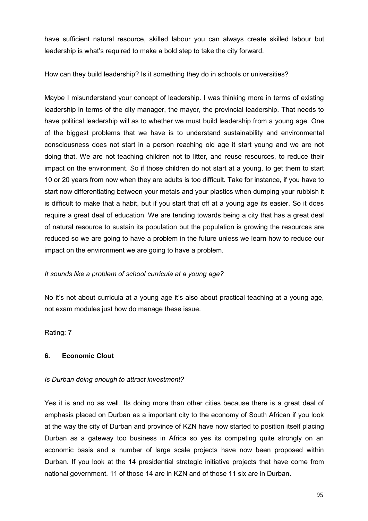have sufficient natural resource, skilled labour you can always create skilled labour but leadership is what's required to make a bold step to take the city forward.

How can they build leadership? Is it something they do in schools or universities?

Maybe I misunderstand your concept of leadership. I was thinking more in terms of existing leadership in terms of the city manager, the mayor, the provincial leadership. That needs to have political leadership will as to whether we must build leadership from a young age. One of the biggest problems that we have is to understand sustainability and environmental consciousness does not start in a person reaching old age it start young and we are not doing that. We are not teaching children not to litter, and reuse resources, to reduce their impact on the environment. So if those children do not start at a young, to get them to start 10 or 20 years from now when they are adults is too difficult. Take for instance, if you have to start now differentiating between your metals and your plastics when dumping your rubbish it is difficult to make that a habit, but if you start that off at a young age its easier. So it does require a great deal of education. We are tending towards being a city that has a great deal of natural resource to sustain its population but the population is growing the resources are reduced so we are going to have a problem in the future unless we learn how to reduce our impact on the environment we are going to have a problem.

## *It sounds like a problem of school curricula at a young age?*

No it's not about curricula at a young age it's also about practical teaching at a young age, not exam modules just how do manage these issue.

Rating: 7

## **6. Economic Clout**

## *Is Durban doing enough to attract investment?*

Yes it is and no as well. Its doing more than other cities because there is a great deal of emphasis placed on Durban as a important city to the economy of South African if you look at the way the city of Durban and province of KZN have now started to position itself placing Durban as a gateway too business in Africa so yes its competing quite strongly on an economic basis and a number of large scale projects have now been proposed within Durban. If you look at the 14 presidential strategic initiative projects that have come from national government. 11 of those 14 are in KZN and of those 11 six are in Durban.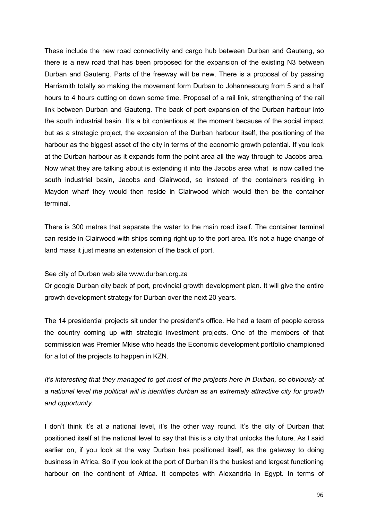These include the new road connectivity and cargo hub between Durban and Gauteng, so there is a new road that has been proposed for the expansion of the existing N3 between Durban and Gauteng. Parts of the freeway will be new. There is a proposal of by passing Harrismith totally so making the movement form Durban to Johannesburg from 5 and a half hours to 4 hours cutting on down some time. Proposal of a rail link, strengthening of the rail link between Durban and Gauteng. The back of port expansion of the Durban harbour into the south industrial basin. It's a bit contentious at the moment because of the social impact but as a strategic project, the expansion of the Durban harbour itself, the positioning of the harbour as the biggest asset of the city in terms of the economic growth potential. If you look at the Durban harbour as it expands form the point area all the way through to Jacobs area. Now what they are talking about is extending it into the Jacobs area what is now called the south industrial basin, Jacobs and Clairwood, so instead of the containers residing in Maydon wharf they would then reside in Clairwood which would then be the container terminal.

There is 300 metres that separate the water to the main road itself. The container terminal can reside in Clairwood with ships coming right up to the port area. It's not a huge change of land mass it just means an extension of the back of port.

See city of Durban web site www.durban.org.za

Or google Durban city back of port, provincial growth development plan. It will give the entire growth development strategy for Durban over the next 20 years.

The 14 presidential projects sit under the president's office. He had a team of people across the country coming up with strategic investment projects. One of the members of that commission was Premier Mkise who heads the Economic development portfolio championed for a lot of the projects to happen in KZN.

*It's interesting that they managed to get most of the projects here in Durban, so obviously at a national level the political will is identifies durban as an extremely attractive city for growth and opportunity.* 

I don't think it's at a national level, it's the other way round. It's the city of Durban that positioned itself at the national level to say that this is a city that unlocks the future. As I said earlier on, if you look at the way Durban has positioned itself, as the gateway to doing business in Africa. So if you look at the port of Durban it's the busiest and largest functioning harbour on the continent of Africa. It competes with Alexandria in Egypt. In terms of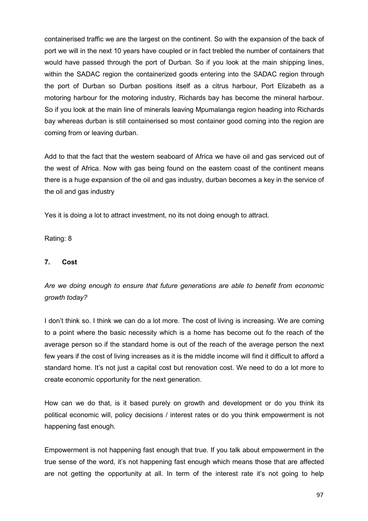containerised traffic we are the largest on the continent. So with the expansion of the back of port we will in the next 10 years have coupled or in fact trebled the number of containers that would have passed through the port of Durban. So if you look at the main shipping lines, within the SADAC region the containerized goods entering into the SADAC region through the port of Durban so Durban positions itself as a citrus harbour, Port Elizabeth as a motoring harbour for the motoring industry, Richards bay has become the mineral harbour. So if you look at the main line of minerals leaving Mpumalanga region heading into Richards bay whereas durban is still containerised so most container good coming into the region are coming from or leaving durban.

Add to that the fact that the western seaboard of Africa we have oil and gas serviced out of the west of Africa. Now with gas being found on the eastern coast of the continent means there is a huge expansion of the oil and gas industry, durban becomes a key in the service of the oil and gas industry

Yes it is doing a lot to attract investment, no its not doing enough to attract.

Rating: 8

## **7. Cost**

*Are we doing enough to ensure that future generations are able to benefit from economic growth today?*

I don't think so. I think we can do a lot more. The cost of living is increasing. We are coming to a point where the basic necessity which is a home has become out fo the reach of the average person so if the standard home is out of the reach of the average person the next few years if the cost of living increases as it is the middle income will find it difficult to afford a standard home. It's not just a capital cost but renovation cost. We need to do a lot more to create economic opportunity for the next generation.

How can we do that, is it based purely on growth and development or do you think its political economic will, policy decisions / interest rates or do you think empowerment is not happening fast enough.

Empowerment is not happening fast enough that true. If you talk about empowerment in the true sense of the word, it's not happening fast enough which means those that are affected are not getting the opportunity at all. In term of the interest rate it's not going to help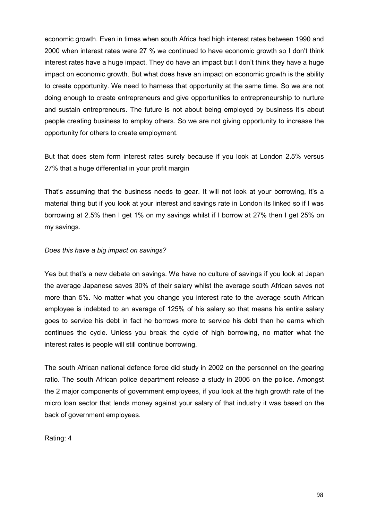economic growth. Even in times when south Africa had high interest rates between 1990 and 2000 when interest rates were 27 % we continued to have economic growth so I don't think interest rates have a huge impact. They do have an impact but I don't think they have a huge impact on economic growth. But what does have an impact on economic growth is the ability to create opportunity. We need to harness that opportunity at the same time. So we are not doing enough to create entrepreneurs and give opportunities to entrepreneurship to nurture and sustain entrepreneurs. The future is not about being employed by business it's about people creating business to employ others. So we are not giving opportunity to increase the opportunity for others to create employment.

But that does stem form interest rates surely because if you look at London 2.5% versus 27% that a huge differential in your profit margin

That's assuming that the business needs to gear. It will not look at your borrowing, it's a material thing but if you look at your interest and savings rate in London its linked so if I was borrowing at 2.5% then I get 1% on my savings whilst if I borrow at 27% then I get 25% on my savings.

### *Does this have a big impact on savings?*

Yes but that's a new debate on savings. We have no culture of savings if you look at Japan the average Japanese saves 30% of their salary whilst the average south African saves not more than 5%. No matter what you change you interest rate to the average south African employee is indebted to an average of 125% of his salary so that means his entire salary goes to service his debt in fact he borrows more to service his debt than he earns which continues the cycle. Unless you break the cycle of high borrowing, no matter what the interest rates is people will still continue borrowing.

The south African national defence force did study in 2002 on the personnel on the gearing ratio. The south African police department release a study in 2006 on the police. Amongst the 2 major components of government employees, if you look at the high growth rate of the micro loan sector that lends money against your salary of that industry it was based on the back of government employees.

Rating: 4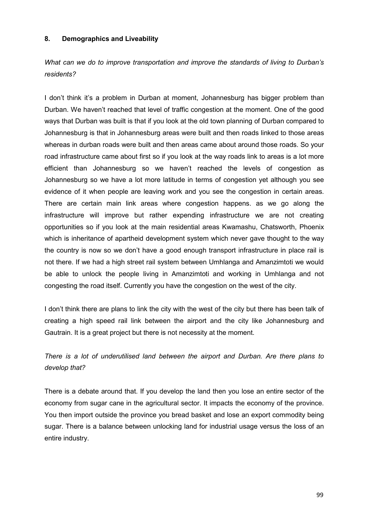#### **8. Demographics and Liveability**

*What can we do to improve transportation and improve the standards of living to Durban's residents?*

I don't think it's a problem in Durban at moment, Johannesburg has bigger problem than Durban. We haven't reached that level of traffic congestion at the moment. One of the good ways that Durban was built is that if you look at the old town planning of Durban compared to Johannesburg is that in Johannesburg areas were built and then roads linked to those areas whereas in durban roads were built and then areas came about around those roads. So your road infrastructure came about first so if you look at the way roads link to areas is a lot more efficient than Johannesburg so we haven't reached the levels of congestion as Johannesburg so we have a lot more latitude in terms of congestion yet although you see evidence of it when people are leaving work and you see the congestion in certain areas. There are certain main link areas where congestion happens. as we go along the infrastructure will improve but rather expending infrastructure we are not creating opportunities so if you look at the main residential areas Kwamashu, Chatsworth, Phoenix which is inheritance of apartheid development system which never gave thought to the way the country is now so we don't have a good enough transport infrastructure in place rail is not there. If we had a high street rail system between Umhlanga and Amanzimtoti we would be able to unlock the people living in Amanzimtoti and working in Umhlanga and not congesting the road itself. Currently you have the congestion on the west of the city.

I don't think there are plans to link the city with the west of the city but there has been talk of creating a high speed rail link between the airport and the city like Johannesburg and Gautrain. It is a great project but there is not necessity at the moment.

*There is a lot of underutilised land between the airport and Durban. Are there plans to develop that?* 

There is a debate around that. If you develop the land then you lose an entire sector of the economy from sugar cane in the agricultural sector. It impacts the economy of the province. You then import outside the province you bread basket and lose an export commodity being sugar. There is a balance between unlocking land for industrial usage versus the loss of an entire industry.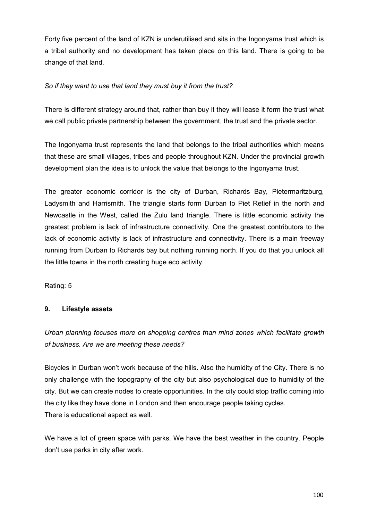Forty five percent of the land of KZN is underutilised and sits in the Ingonyama trust which is a tribal authority and no development has taken place on this land. There is going to be change of that land.

### *So if they want to use that land they must buy it from the trust?*

There is different strategy around that, rather than buy it they will lease it form the trust what we call public private partnership between the government, the trust and the private sector.

The Ingonyama trust represents the land that belongs to the tribal authorities which means that these are small villages, tribes and people throughout KZN. Under the provincial growth development plan the idea is to unlock the value that belongs to the Ingonyama trust.

The greater economic corridor is the city of Durban, Richards Bay, Pietermaritzburg, Ladysmith and Harrismith. The triangle starts form Durban to Piet Retief in the north and Newcastle in the West, called the Zulu land triangle. There is little economic activity the greatest problem is lack of infrastructure connectivity. One the greatest contributors to the lack of economic activity is lack of infrastructure and connectivity. There is a main freeway running from Durban to Richards bay but nothing running north. If you do that you unlock all the little towns in the north creating huge eco activity.

Rating: 5

# **9. Lifestyle assets**

*Urban planning focuses more on shopping centres than mind zones which facilitate growth of business. Are we are meeting these needs?* 

Bicycles in Durban won't work because of the hills. Also the humidity of the City. There is no only challenge with the topography of the city but also psychological due to humidity of the city. But we can create nodes to create opportunities. In the city could stop traffic coming into the city like they have done in London and then encourage people taking cycles. There is educational aspect as well.

We have a lot of green space with parks. We have the best weather in the country. People don't use parks in city after work.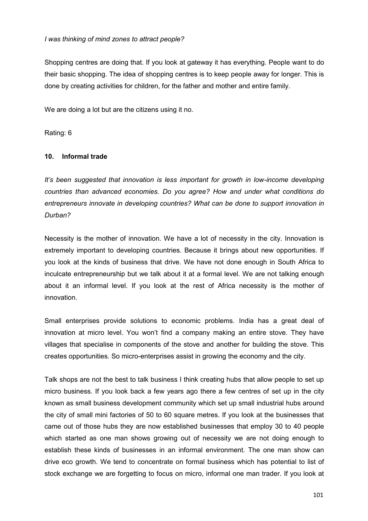#### *I was thinking of mind zones to attract people?*

Shopping centres are doing that. If you look at gateway it has everything. People want to do their basic shopping. The idea of shopping centres is to keep people away for longer. This is done by creating activities for children, for the father and mother and entire family.

We are doing a lot but are the citizens using it no.

Rating: 6

#### **10. Informal trade**

*It's been suggested that innovation is less important for growth in low-income developing countries than advanced economies. Do you agree? How and under what conditions do entrepreneurs innovate in developing countries? What can be done to support innovation in Durban?* 

Necessity is the mother of innovation. We have a lot of necessity in the city. Innovation is extremely important to developing countries. Because it brings about new opportunities. If you look at the kinds of business that drive. We have not done enough in South Africa to inculcate entrepreneurship but we talk about it at a formal level. We are not talking enough about it an informal level. If you look at the rest of Africa necessity is the mother of innovation.

Small enterprises provide solutions to economic problems. India has a great deal of innovation at micro level. You won't find a company making an entire stove. They have villages that specialise in components of the stove and another for building the stove. This creates opportunities. So micro-enterprises assist in growing the economy and the city.

Talk shops are not the best to talk business I think creating hubs that allow people to set up micro business. If you look back a few years ago there a few centres of set up in the city known as small business development community which set up small industrial hubs around the city of small mini factories of 50 to 60 square metres. If you look at the businesses that came out of those hubs they are now established businesses that employ 30 to 40 people which started as one man shows growing out of necessity we are not doing enough to establish these kinds of businesses in an informal environment. The one man show can drive eco growth. We tend to concentrate on formal business which has potential to list of stock exchange we are forgetting to focus on micro, informal one man trader. If you look at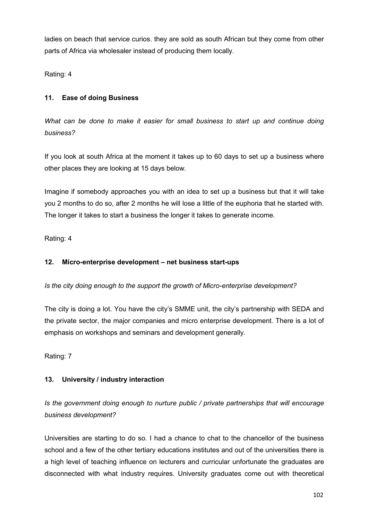ladies on beach that service curios. they are sold as south African but they come from other parts of Africa via wholesaler instead of producing them locally.

Rating: 4

# **11. Ease of doing Business**

*What can be done to make it easier for small business to start up and continue doing business?*

If you look at south Africa at the moment it takes up to 60 days to set up a business where other places they are looking at 15 days below.

Imagine if somebody approaches you with an idea to set up a business but that it will take you 2 months to do so, after 2 months he will lose a little of the euphoria that he started with. The longer it takes to start a business the longer it takes to generate income.

Rating: 4

# **12. Micro-enterprise development – net business start-ups**

*Is the city doing enough to the support the growth of Micro-enterprise development?*

The city is doing a lot. You have the city's SMME unit, the city's partnership with SEDA and the private sector, the major companies and micro enterprise development. There is a lot of emphasis on workshops and seminars and development generally.

Rating: 7

# **13. University / industry interaction**

*Is the government doing enough to nurture public / private partnerships that will encourage business development?*

Universities are starting to do so. I had a chance to chat to the chancellor of the business school and a few of the other tertiary educations institutes and out of the universities there is a high level of teaching influence on lecturers and curricular unfortunate the graduates are disconnected with what industry requires. University graduates come out with theoretical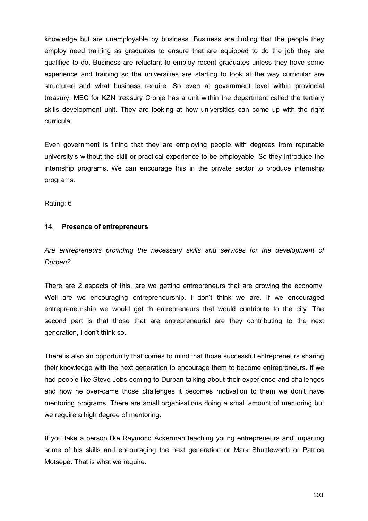knowledge but are unemployable by business. Business are finding that the people they employ need training as graduates to ensure that are equipped to do the job they are qualified to do. Business are reluctant to employ recent graduates unless they have some experience and training so the universities are starting to look at the way curricular are structured and what business require. So even at government level within provincial treasury. MEC for KZN treasury Cronje has a unit within the department called the tertiary skills development unit. They are looking at how universities can come up with the right curricula.

Even government is fining that they are employing people with degrees from reputable university's without the skill or practical experience to be employable. So they introduce the internship programs. We can encourage this in the private sector to produce internship programs.

Rating: 6

#### 14. **Presence of entrepreneurs**

*Are entrepreneurs providing the necessary skills and services for the development of Durban?* 

There are 2 aspects of this. are we getting entrepreneurs that are growing the economy. Well are we encouraging entrepreneurship. I don't think we are. If we encouraged entrepreneurship we would get th entrepreneurs that would contribute to the city. The second part is that those that are entrepreneurial are they contributing to the next generation, I don't think so.

There is also an opportunity that comes to mind that those successful entrepreneurs sharing their knowledge with the next generation to encourage them to become entrepreneurs. If we had people like Steve Jobs coming to Durban talking about their experience and challenges and how he over-came those challenges it becomes motivation to them we don't have mentoring programs. There are small organisations doing a small amount of mentoring but we require a high degree of mentoring.

If you take a person like Raymond Ackerman teaching young entrepreneurs and imparting some of his skills and encouraging the next generation or Mark Shuttleworth or Patrice Motsepe. That is what we require.